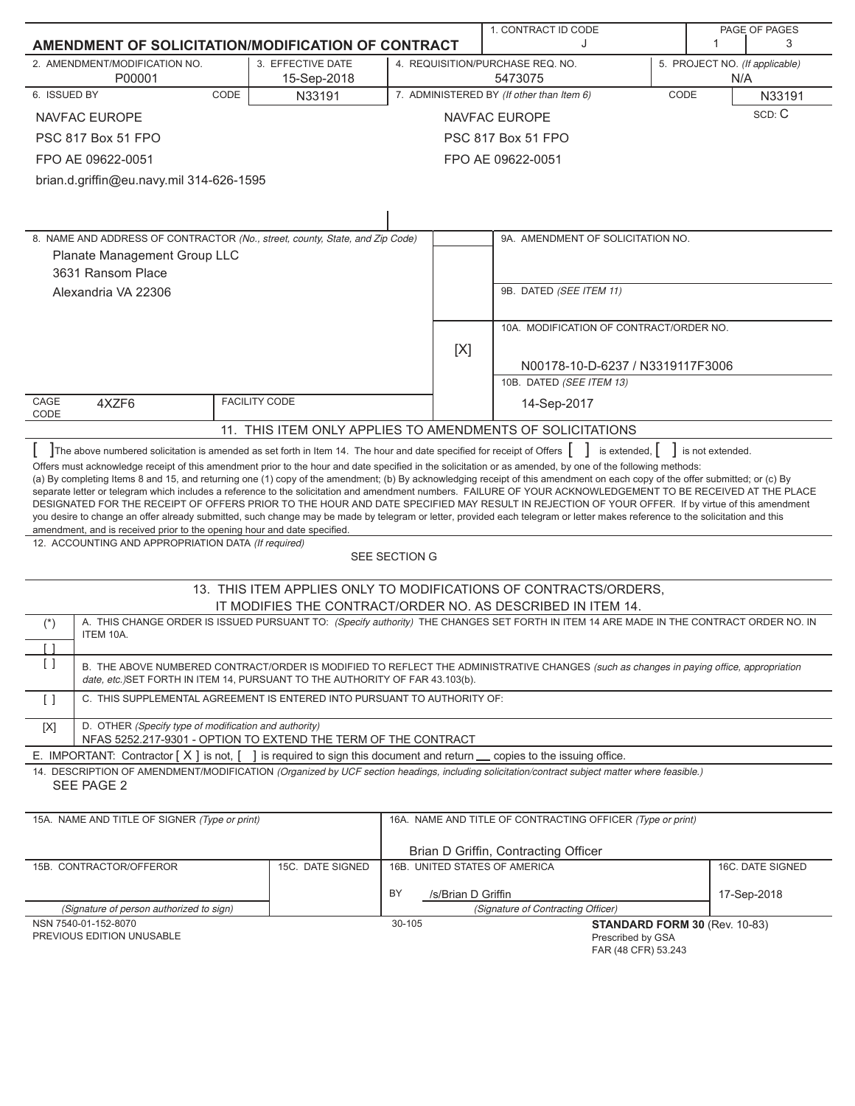|                    | AMENDMENT OF SOLICITATION/MODIFICATION OF CONTRACT                                                                                                                                                                                                                                                                                                                                                                                                                                                                                                                                                                                                                                                                                                                                                                                                                                                                          |                                  |               |                    | 1. CONTRACT ID CODE<br>J                                                                                                                |      | 1                | PAGE OF PAGES<br>3                    |
|--------------------|-----------------------------------------------------------------------------------------------------------------------------------------------------------------------------------------------------------------------------------------------------------------------------------------------------------------------------------------------------------------------------------------------------------------------------------------------------------------------------------------------------------------------------------------------------------------------------------------------------------------------------------------------------------------------------------------------------------------------------------------------------------------------------------------------------------------------------------------------------------------------------------------------------------------------------|----------------------------------|---------------|--------------------|-----------------------------------------------------------------------------------------------------------------------------------------|------|------------------|---------------------------------------|
|                    | 2. AMENDMENT/MODIFICATION NO.<br>P00001                                                                                                                                                                                                                                                                                                                                                                                                                                                                                                                                                                                                                                                                                                                                                                                                                                                                                     | 3. EFFECTIVE DATE<br>15-Sep-2018 |               |                    | 4. REQUISITION/PURCHASE REQ. NO.<br>5473075                                                                                             |      |                  | 5. PROJECT NO. (If applicable)<br>N/A |
| 6. ISSUED BY       | CODE                                                                                                                                                                                                                                                                                                                                                                                                                                                                                                                                                                                                                                                                                                                                                                                                                                                                                                                        | N33191                           |               |                    | 7. ADMINISTERED BY (If other than Item 6)                                                                                               | CODE |                  | N33191                                |
|                    | <b>NAVFAC EUROPE</b>                                                                                                                                                                                                                                                                                                                                                                                                                                                                                                                                                                                                                                                                                                                                                                                                                                                                                                        |                                  |               |                    | <b>NAVFAC EUROPE</b>                                                                                                                    |      |                  | SCD: C                                |
|                    | <b>PSC 817 Box 51 FPO</b>                                                                                                                                                                                                                                                                                                                                                                                                                                                                                                                                                                                                                                                                                                                                                                                                                                                                                                   |                                  |               |                    | <b>PSC 817 Box 51 FPO</b>                                                                                                               |      |                  |                                       |
|                    | FPO AE 09622-0051                                                                                                                                                                                                                                                                                                                                                                                                                                                                                                                                                                                                                                                                                                                                                                                                                                                                                                           |                                  |               |                    | FPO AE 09622-0051                                                                                                                       |      |                  |                                       |
|                    | brian.d.griffin@eu.navy.mil 314-626-1595                                                                                                                                                                                                                                                                                                                                                                                                                                                                                                                                                                                                                                                                                                                                                                                                                                                                                    |                                  |               |                    |                                                                                                                                         |      |                  |                                       |
|                    |                                                                                                                                                                                                                                                                                                                                                                                                                                                                                                                                                                                                                                                                                                                                                                                                                                                                                                                             |                                  |               |                    |                                                                                                                                         |      |                  |                                       |
|                    |                                                                                                                                                                                                                                                                                                                                                                                                                                                                                                                                                                                                                                                                                                                                                                                                                                                                                                                             |                                  |               |                    |                                                                                                                                         |      |                  |                                       |
|                    | 8. NAME AND ADDRESS OF CONTRACTOR (No., street, county, State, and Zip Code)                                                                                                                                                                                                                                                                                                                                                                                                                                                                                                                                                                                                                                                                                                                                                                                                                                                |                                  |               |                    | 9A. AMENDMENT OF SOLICITATION NO.                                                                                                       |      |                  |                                       |
|                    | <b>Planate Management Group LLC</b>                                                                                                                                                                                                                                                                                                                                                                                                                                                                                                                                                                                                                                                                                                                                                                                                                                                                                         |                                  |               |                    |                                                                                                                                         |      |                  |                                       |
|                    | 3631 Ransom Place                                                                                                                                                                                                                                                                                                                                                                                                                                                                                                                                                                                                                                                                                                                                                                                                                                                                                                           |                                  |               |                    | 9B. DATED (SEE ITEM 11)                                                                                                                 |      |                  |                                       |
|                    | Alexandria VA 22306                                                                                                                                                                                                                                                                                                                                                                                                                                                                                                                                                                                                                                                                                                                                                                                                                                                                                                         |                                  |               |                    |                                                                                                                                         |      |                  |                                       |
|                    |                                                                                                                                                                                                                                                                                                                                                                                                                                                                                                                                                                                                                                                                                                                                                                                                                                                                                                                             |                                  |               |                    | 10A. MODIFICATION OF CONTRACT/ORDER NO.                                                                                                 |      |                  |                                       |
|                    |                                                                                                                                                                                                                                                                                                                                                                                                                                                                                                                                                                                                                                                                                                                                                                                                                                                                                                                             |                                  |               | [X]                |                                                                                                                                         |      |                  |                                       |
|                    |                                                                                                                                                                                                                                                                                                                                                                                                                                                                                                                                                                                                                                                                                                                                                                                                                                                                                                                             |                                  |               |                    | N00178-10-D-6237 / N3319117F3006                                                                                                        |      |                  |                                       |
|                    |                                                                                                                                                                                                                                                                                                                                                                                                                                                                                                                                                                                                                                                                                                                                                                                                                                                                                                                             |                                  |               |                    | 10B. DATED (SEE ITEM 13)                                                                                                                |      |                  |                                       |
| CAGE<br>CODE       | 4XZF6                                                                                                                                                                                                                                                                                                                                                                                                                                                                                                                                                                                                                                                                                                                                                                                                                                                                                                                       | <b>FACILITY CODE</b>             |               |                    | 14-Sep-2017                                                                                                                             |      |                  |                                       |
|                    |                                                                                                                                                                                                                                                                                                                                                                                                                                                                                                                                                                                                                                                                                                                                                                                                                                                                                                                             |                                  |               |                    | 11. THIS ITEM ONLY APPLIES TO AMENDMENTS OF SOLICITATIONS                                                                               |      |                  |                                       |
|                    | The above numbered solicitation is amended as set forth in Item 14. The hour and date specified for receipt of Offers                                                                                                                                                                                                                                                                                                                                                                                                                                                                                                                                                                                                                                                                                                                                                                                                       |                                  |               |                    | is extended, $\vert$                                                                                                                    |      | is not extended. |                                       |
|                    | Offers must acknowledge receipt of this amendment prior to the hour and date specified in the solicitation or as amended, by one of the following methods:<br>(a) By completing Items 8 and 15, and returning one (1) copy of the amendment; (b) By acknowledging receipt of this amendment on each copy of the offer submitted; or (c) By<br>separate letter or telegram which includes a reference to the solicitation and amendment numbers. FAILURE OF YOUR ACKNOWLEDGEMENT TO BE RECEIVED AT THE PLACE<br>DESIGNATED FOR THE RECEIPT OF OFFERS PRIOR TO THE HOUR AND DATE SPECIFIED MAY RESULT IN REJECTION OF YOUR OFFER. If by virtue of this amendment<br>you desire to change an offer already submitted, such change may be made by telegram or letter, provided each telegram or letter makes reference to the solicitation and this<br>amendment, and is received prior to the opening hour and date specified. |                                  |               |                    |                                                                                                                                         |      |                  |                                       |
|                    | 12. ACCOUNTING AND APPROPRIATION DATA (If required)                                                                                                                                                                                                                                                                                                                                                                                                                                                                                                                                                                                                                                                                                                                                                                                                                                                                         |                                  | SEE SECTION G |                    |                                                                                                                                         |      |                  |                                       |
|                    |                                                                                                                                                                                                                                                                                                                                                                                                                                                                                                                                                                                                                                                                                                                                                                                                                                                                                                                             |                                  |               |                    |                                                                                                                                         |      |                  |                                       |
|                    |                                                                                                                                                                                                                                                                                                                                                                                                                                                                                                                                                                                                                                                                                                                                                                                                                                                                                                                             |                                  |               |                    | 13. THIS ITEM APPLIES ONLY TO MODIFICATIONS OF CONTRACTS/ORDERS,<br>IT MODIFIES THE CONTRACT/ORDER NO. AS DESCRIBED IN ITEM 14.         |      |                  |                                       |
| $(*)$              |                                                                                                                                                                                                                                                                                                                                                                                                                                                                                                                                                                                                                                                                                                                                                                                                                                                                                                                             |                                  |               |                    | A. THIS CHANGE ORDER IS ISSUED PURSUANT TO: (Specify authority) THE CHANGES SET FORTH IN ITEM 14 ARE MADE IN THE CONTRACT ORDER NO. IN  |      |                  |                                       |
| $\lceil$ 1         | ITEM 10A.                                                                                                                                                                                                                                                                                                                                                                                                                                                                                                                                                                                                                                                                                                                                                                                                                                                                                                                   |                                  |               |                    |                                                                                                                                         |      |                  |                                       |
| $\lceil$ $\rceil$  | date, etc.) SET FORTH IN ITEM 14, PURSUANT TO THE AUTHORITY OF FAR 43.103(b).                                                                                                                                                                                                                                                                                                                                                                                                                                                                                                                                                                                                                                                                                                                                                                                                                                               |                                  |               |                    | B. THE ABOVE NUMBERED CONTRACT/ORDER IS MODIFIED TO REFLECT THE ADMINISTRATIVE CHANGES (such as changes in paying office, appropriation |      |                  |                                       |
| $\left[ \ \right]$ | C. THIS SUPPLEMENTAL AGREEMENT IS ENTERED INTO PURSUANT TO AUTHORITY OF:                                                                                                                                                                                                                                                                                                                                                                                                                                                                                                                                                                                                                                                                                                                                                                                                                                                    |                                  |               |                    |                                                                                                                                         |      |                  |                                       |
| [X]                | D. OTHER (Specify type of modification and authority)<br>NFAS 5252.217-9301 - OPTION TO EXTEND THE TERM OF THE CONTRACT                                                                                                                                                                                                                                                                                                                                                                                                                                                                                                                                                                                                                                                                                                                                                                                                     |                                  |               |                    |                                                                                                                                         |      |                  |                                       |
|                    | E. IMPORTANT: Contractor $[X]$ is not, $\begin{bmatrix} 1 \\ 1 \end{bmatrix}$ is required to sign this document and return $\begin{bmatrix} 1 \\ 0 \end{bmatrix}$ copies to the issuing office.                                                                                                                                                                                                                                                                                                                                                                                                                                                                                                                                                                                                                                                                                                                             |                                  |               |                    |                                                                                                                                         |      |                  |                                       |
|                    | 14. DESCRIPTION OF AMENDMENT/MODIFICATION (Organized by UCF section headings, including solicitation/contract subject matter where feasible.)                                                                                                                                                                                                                                                                                                                                                                                                                                                                                                                                                                                                                                                                                                                                                                               |                                  |               |                    |                                                                                                                                         |      |                  |                                       |
|                    | SEE PAGE 2                                                                                                                                                                                                                                                                                                                                                                                                                                                                                                                                                                                                                                                                                                                                                                                                                                                                                                                  |                                  |               |                    |                                                                                                                                         |      |                  |                                       |
|                    | 15A. NAME AND TITLE OF SIGNER (Type or print)                                                                                                                                                                                                                                                                                                                                                                                                                                                                                                                                                                                                                                                                                                                                                                                                                                                                               |                                  |               |                    | 16A. NAME AND TITLE OF CONTRACTING OFFICER (Type or print)                                                                              |      |                  |                                       |
|                    |                                                                                                                                                                                                                                                                                                                                                                                                                                                                                                                                                                                                                                                                                                                                                                                                                                                                                                                             |                                  |               |                    |                                                                                                                                         |      |                  |                                       |
|                    |                                                                                                                                                                                                                                                                                                                                                                                                                                                                                                                                                                                                                                                                                                                                                                                                                                                                                                                             |                                  |               |                    | Brian D Griffin, Contracting Officer                                                                                                    |      |                  |                                       |
|                    | 15B. CONTRACTOR/OFFEROR                                                                                                                                                                                                                                                                                                                                                                                                                                                                                                                                                                                                                                                                                                                                                                                                                                                                                                     | 15C. DATE SIGNED                 |               |                    | 16B. UNITED STATES OF AMERICA                                                                                                           |      |                  | 16C. DATE SIGNED                      |
|                    |                                                                                                                                                                                                                                                                                                                                                                                                                                                                                                                                                                                                                                                                                                                                                                                                                                                                                                                             |                                  | BY            | /s/Brian D Griffin |                                                                                                                                         |      |                  | 17-Sep-2018                           |
|                    | (Signature of person authorized to sign)<br>NSN 7540-01-152-8070                                                                                                                                                                                                                                                                                                                                                                                                                                                                                                                                                                                                                                                                                                                                                                                                                                                            |                                  | 30-105        |                    | (Signature of Contracting Officer)<br>STANDARD FORM 30 (Rev. 10-83)                                                                     |      |                  |                                       |
|                    | PREVIOUS EDITION UNUSABLE                                                                                                                                                                                                                                                                                                                                                                                                                                                                                                                                                                                                                                                                                                                                                                                                                                                                                                   |                                  |               |                    | Prescribed by GSA<br>FAR (48 CFR) 53.243                                                                                                |      |                  |                                       |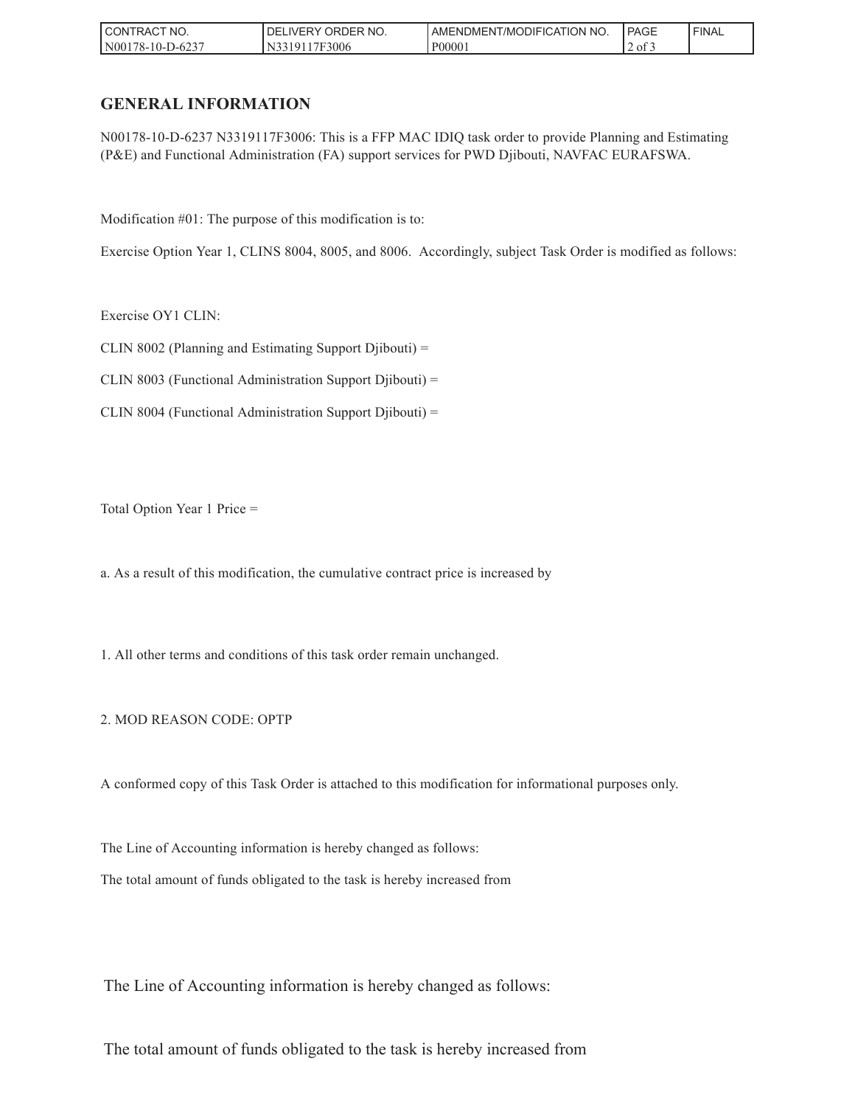| NO.<br>CONT<br>I RAC                    | `ER NO.<br>ORDEP<br>DELI<br>LIVERY. | <b>ICATION</b><br>' NO.<br>AMENDMENT/MODIFI( | <b>PAGE</b>      | FINAL |
|-----------------------------------------|-------------------------------------|----------------------------------------------|------------------|-------|
| N <sub>00</sub> 1<br>78-10-L<br>$10-62$ | T <sub>3006</sub><br>7T<br>1 Q I    | P <sub>0000</sub>                            | $\sim$<br>2 of 3 |       |

# **GENERAL INFORMATION**

N00178-10-D-6237 N3319117F3006: This is a FFP MAC IDIQ task order to provide Planning and Estimating (P&E) and Functional Administration (FA) support services for PWD Djibouti, NAVFAC EURAFSWA.

Modification #01: The purpose of this modification is to:

Exercise Option Year 1, CLINS 8004, 8005, and 8006. Accordingly, subject Task Order is modified as follows:

Exercise OY1 CLIN:

CLIN 8002 (Planning and Estimating Support Djibouti) =

CLIN 8003 (Functional Administration Support Djibouti) =

CLIN 8004 (Functional Administration Support Djibouti) =

Total Option Year 1 Price =

a. As a result of this modification, the cumulative contract price is increased by

1. All other terms and conditions of this task order remain unchanged.

2. MOD REASON CODE: OPTP

A conformed copy of this Task Order is attached to this modification for informational purposes only.

The Line of Accounting information is hereby changed as follows:

The total amount of funds obligated to the task is hereby increased from

The Line of Accounting information is hereby changed as follows:

The total amount of funds obligated to the task is hereby increased from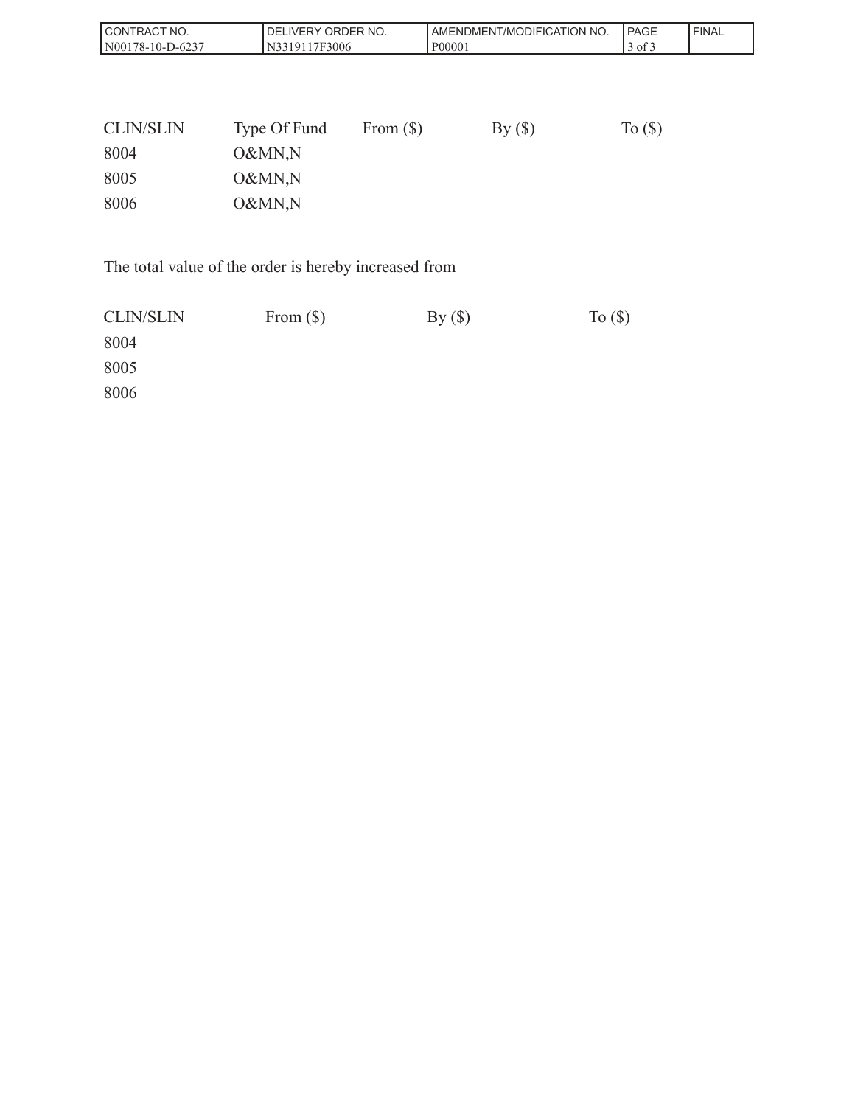| 'NO.<br>UUN '<br><b>RAV</b>    | NO.<br>DF<br>℩⊨<br>ж<br>້<br>N>F | 'NO.<br><b>ON</b><br>÷А<br>$11-H$<br>AM⊢<br>/MC<br>⊟M⊢N I<br><b>INI</b> | <b>PAGE</b>                       | <b>FINAL</b> |
|--------------------------------|----------------------------------|-------------------------------------------------------------------------|-----------------------------------|--------------|
| N001<br>$1 - 02$<br>$(8-10-1)$ | 3006<br>ъ<br>N                   | P0000                                                                   | $\sim$<br>$\rightarrow$ 01 $\sim$ |              |

| <b>CLIN/SLIN</b> | Type Of Fund | From $(\$)$ | $By (\$)$ | To $($ ) |
|------------------|--------------|-------------|-----------|----------|
| 8004             | O&MN,N       |             |           |          |
| 8005             | O&MN,N       |             |           |          |
| 8006             | O&MN,N       |             |           |          |

The total value of the order is hereby increased from

| <b>CLIN/SLIN</b> | From $(\$)$ | By() | To $(\$)$ |
|------------------|-------------|------|-----------|
| 8004             |             |      |           |
| 8005             |             |      |           |
| 8006             |             |      |           |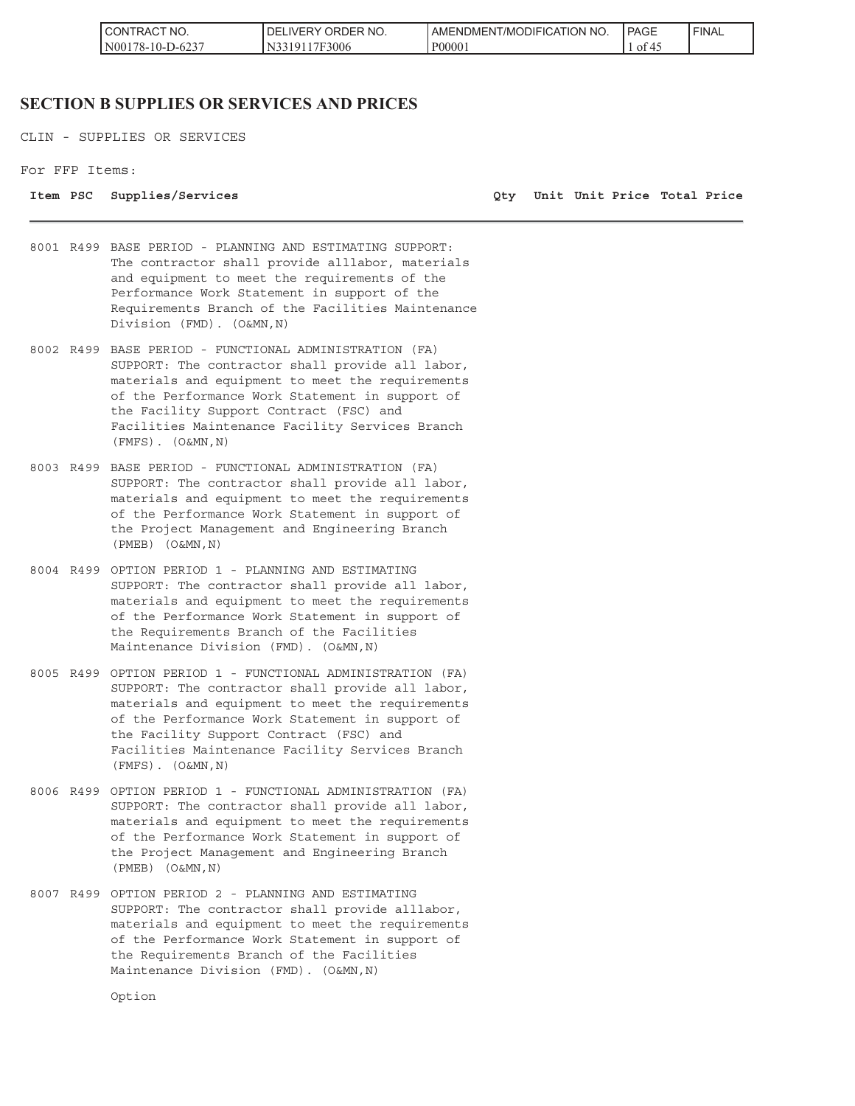| CT NO.<br>I CON .<br>FRAC      | ORDER NO.<br>DEI<br><b>IVERY</b> | T/MODIFICATION<br>NO.<br><b>AME</b><br>:NDMEN | <b>PAGE</b>         | <b>FINAL</b> |
|--------------------------------|----------------------------------|-----------------------------------------------|---------------------|--------------|
| N001<br>$78-10-L$<br>$9 - 623$ | 7F3006<br>۱۵1                    | $P0000_1$                                     | $\sim$ $\sim$<br>0Ī |              |

## **SECTION B SUPPLIES OR SERVICES AND PRICES**

CLIN - SUPPLIES OR SERVICES

For FFP Items:

**Item PSC Supplies/Services Qty Unit Unit Price Total Price**

- 8001 R499 BASE PERIOD PLANNING AND ESTIMATING SUPPORT: The contractor shall provide alllabor, materials and equipment to meet the requirements of the Performance Work Statement in support of the Requirements Branch of the Facilities Maintenance Division (FMD). (O&MN,N)
- 8002 R499 BASE PERIOD FUNCTIONAL ADMINISTRATION (FA) SUPPORT: The contractor shall provide all labor, materials and equipment to meet the requirements of the Performance Work Statement in support of the Facility Support Contract (FSC) and Facilities Maintenance Facility Services Branch (FMFS). (O&MN,N)
- 8003 R499 BASE PERIOD FUNCTIONAL ADMINISTRATION (FA) SUPPORT: The contractor shall provide all labor, materials and equipment to meet the requirements of the Performance Work Statement in support of the Project Management and Engineering Branch (PMEB) (O&MN,N)
- 8004 R499 OPTION PERIOD 1 PLANNING AND ESTIMATING SUPPORT: The contractor shall provide all labor, materials and equipment to meet the requirements of the Performance Work Statement in support of the Requirements Branch of the Facilities Maintenance Division (FMD). (O&MN,N)
- 8005 R499 OPTION PERIOD 1 FUNCTIONAL ADMINISTRATION (FA) SUPPORT: The contractor shall provide all labor, materials and equipment to meet the requirements of the Performance Work Statement in support of the Facility Support Contract (FSC) and Facilities Maintenance Facility Services Branch (FMFS). (O&MN,N)
- 8006 R499 OPTION PERIOD 1 FUNCTIONAL ADMINISTRATION (FA) SUPPORT: The contractor shall provide all labor, materials and equipment to meet the requirements of the Performance Work Statement in support of the Project Management and Engineering Branch (PMEB) (O&MN,N)
- 8007 R499 OPTION PERIOD 2 PLANNING AND ESTIMATING SUPPORT: The contractor shall provide alllabor, materials and equipment to meet the requirements of the Performance Work Statement in support of the Requirements Branch of the Facilities Maintenance Division (FMD). (O&MN,N)

Option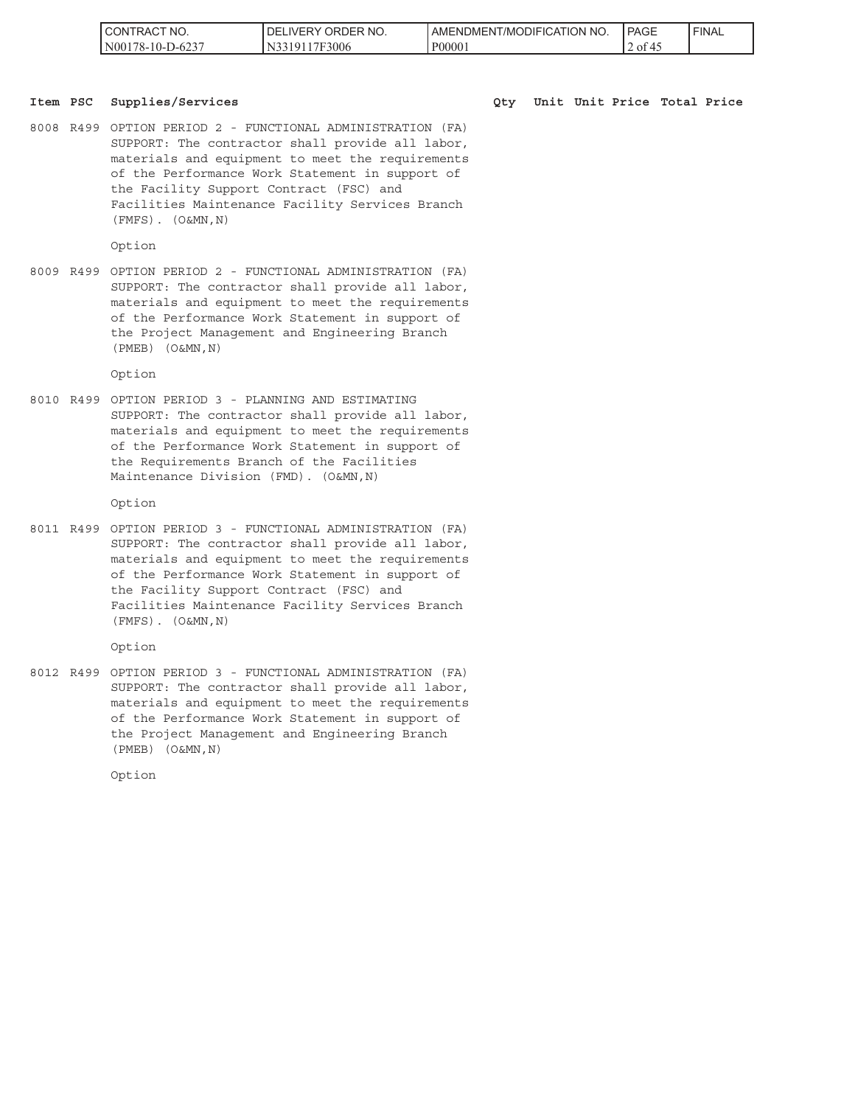| I CON'<br><b>ITRACT NO.</b> | ' ORDER NO.<br>DELIVERY ( | 'NO.<br>  AMENDMENT/MODIFICATION | <b>PAGE</b>  | FINAL |
|-----------------------------|---------------------------|----------------------------------|--------------|-------|
| N00178-10-D-6237            | '7F3006<br>33191          | P0000                            | f 14<br>' oi |       |

8008 R499 OPTION PERIOD 2 - FUNCTIONAL ADMINISTRATION (FA) SUPPORT: The contractor shall provide all labor, materials and equipment to meet the requirements of the Performance Work Statement in support of the Facility Support Contract (FSC) and Facilities Maintenance Facility Services Branch (FMFS). (O&MN,N)

Option

8009 R499 OPTION PERIOD 2 - FUNCTIONAL ADMINISTRATION (FA) SUPPORT: The contractor shall provide all labor, materials and equipment to meet the requirements of the Performance Work Statement in support of the Project Management and Engineering Branch (PMEB) (O&MN,N)

Option

8010 R499 OPTION PERIOD 3 - PLANNING AND ESTIMATING SUPPORT: The contractor shall provide all labor, materials and equipment to meet the requirements of the Performance Work Statement in support of the Requirements Branch of the Facilities Maintenance Division (FMD). (O&MN,N)

Option

8011 R499 OPTION PERIOD 3 - FUNCTIONAL ADMINISTRATION (FA) SUPPORT: The contractor shall provide all labor, materials and equipment to meet the requirements of the Performance Work Statement in support of the Facility Support Contract (FSC) and Facilities Maintenance Facility Services Branch (FMFS). (O&MN,N)

Option

8012 R499 OPTION PERIOD 3 - FUNCTIONAL ADMINISTRATION (FA) SUPPORT: The contractor shall provide all labor, materials and equipment to meet the requirements of the Performance Work Statement in support of the Project Management and Engineering Branch (PMEB) (O&MN,N)

Option

#### **Item PSC Supplies/Services Qty Unit Unit Price Total Price**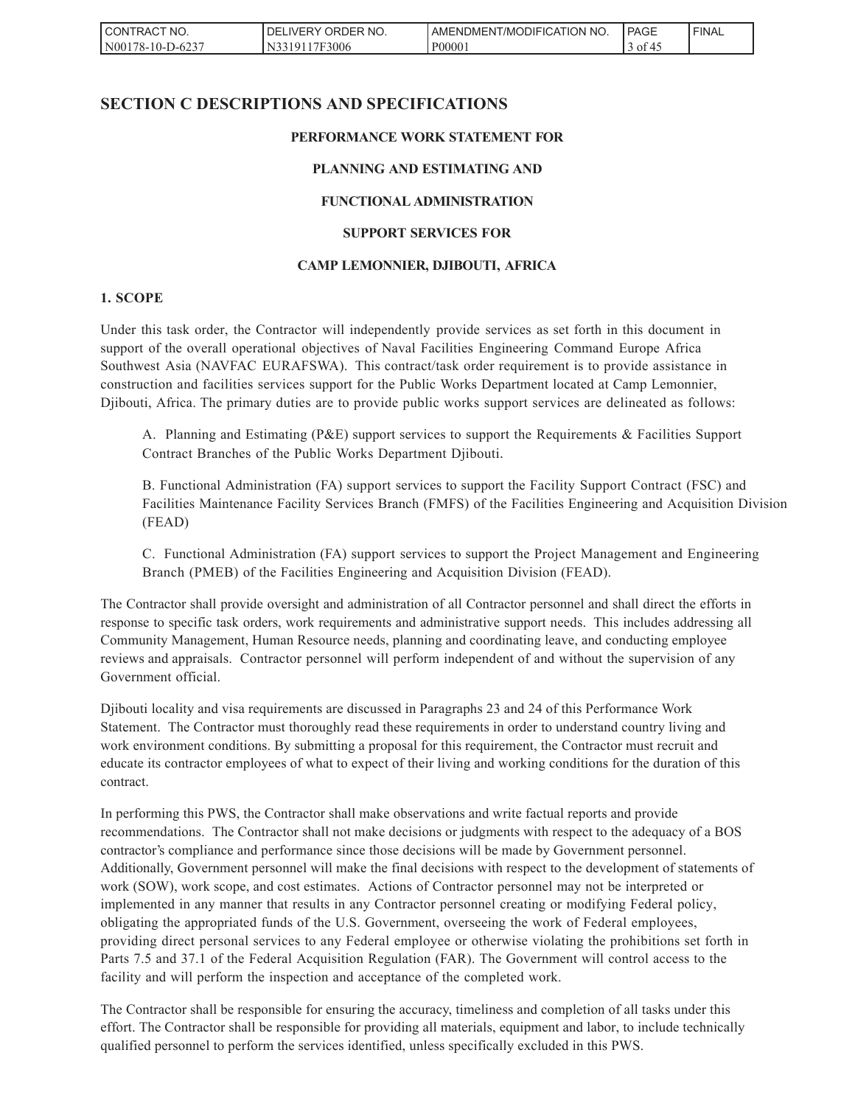| NO.<br>CONT<br><b>RAC</b> | ER NO.<br>ORDEP<br>, IVERY | <b>NO</b><br>TION<br>⊶ /MODIFICA<br>I AMEI<br>:NDMEN | <b>PAGE</b>               | ' FINAL |
|---------------------------|----------------------------|------------------------------------------------------|---------------------------|---------|
| N00<br>78-10-1<br>$10-62$ | 3006<br>7⊾<br>191          | P0000 <sub>1</sub>                                   | $\sim$ $\sim$<br>$\Omega$ |         |

### **SECTION C DESCRIPTIONS AND SPECIFICATIONS**

### **PERFORMANCE WORK STATEMENT FOR**

### **PLANNING AND ESTIMATING AND**

### **FUNCTIONAL ADMINISTRATION**

### **SUPPORT SERVICES FOR**

### **CAMP LEMONNIER, DJIBOUTI, AFRICA**

### **1. SCOPE**

Under this task order, the Contractor will independently provide services as set forth in this document in support of the overall operational objectives of Naval Facilities Engineering Command Europe Africa Southwest Asia (NAVFAC EURAFSWA). This contract/task order requirement is to provide assistance in construction and facilities services support for the Public Works Department located at Camp Lemonnier, Djibouti, Africa. The primary duties are to provide public works support services are delineated as follows:

A. Planning and Estimating (P&E) support services to support the Requirements & Facilities Support Contract Branches of the Public Works Department Djibouti.

B. Functional Administration (FA) support services to support the Facility Support Contract (FSC) and Facilities Maintenance Facility Services Branch (FMFS) of the Facilities Engineering and Acquisition Division (FEAD)

C. Functional Administration (FA) support services to support the Project Management and Engineering Branch (PMEB) of the Facilities Engineering and Acquisition Division (FEAD).

The Contractor shall provide oversight and administration of all Contractor personnel and shall direct the efforts in response to specific task orders, work requirements and administrative support needs. This includes addressing all Community Management, Human Resource needs, planning and coordinating leave, and conducting employee reviews and appraisals. Contractor personnel will perform independent of and without the supervision of any Government official.

Djibouti locality and visa requirements are discussed in Paragraphs 23 and 24 of this Performance Work Statement. The Contractor must thoroughly read these requirements in order to understand country living and work environment conditions. By submitting a proposal for this requirement, the Contractor must recruit and educate its contractor employees of what to expect of their living and working conditions for the duration of this contract.

In performing this PWS, the Contractor shall make observations and write factual reports and provide recommendations. The Contractor shall not make decisions or judgments with respect to the adequacy of a BOS contractor's compliance and performance since those decisions will be made by Government personnel. Additionally, Government personnel will make the final decisions with respect to the development of statements of work (SOW), work scope, and cost estimates. Actions of Contractor personnel may not be interpreted or implemented in any manner that results in any Contractor personnel creating or modifying Federal policy, obligating the appropriated funds of the U.S. Government, overseeing the work of Federal employees, providing direct personal services to any Federal employee or otherwise violating the prohibitions set forth in Parts 7.5 and 37.1 of the Federal Acquisition Regulation (FAR). The Government will control access to the facility and will perform the inspection and acceptance of the completed work.

The Contractor shall be responsible for ensuring the accuracy, timeliness and completion of all tasks under this effort. The Contractor shall be responsible for providing all materials, equipment and labor, to include technically qualified personnel to perform the services identified, unless specifically excluded in this PWS.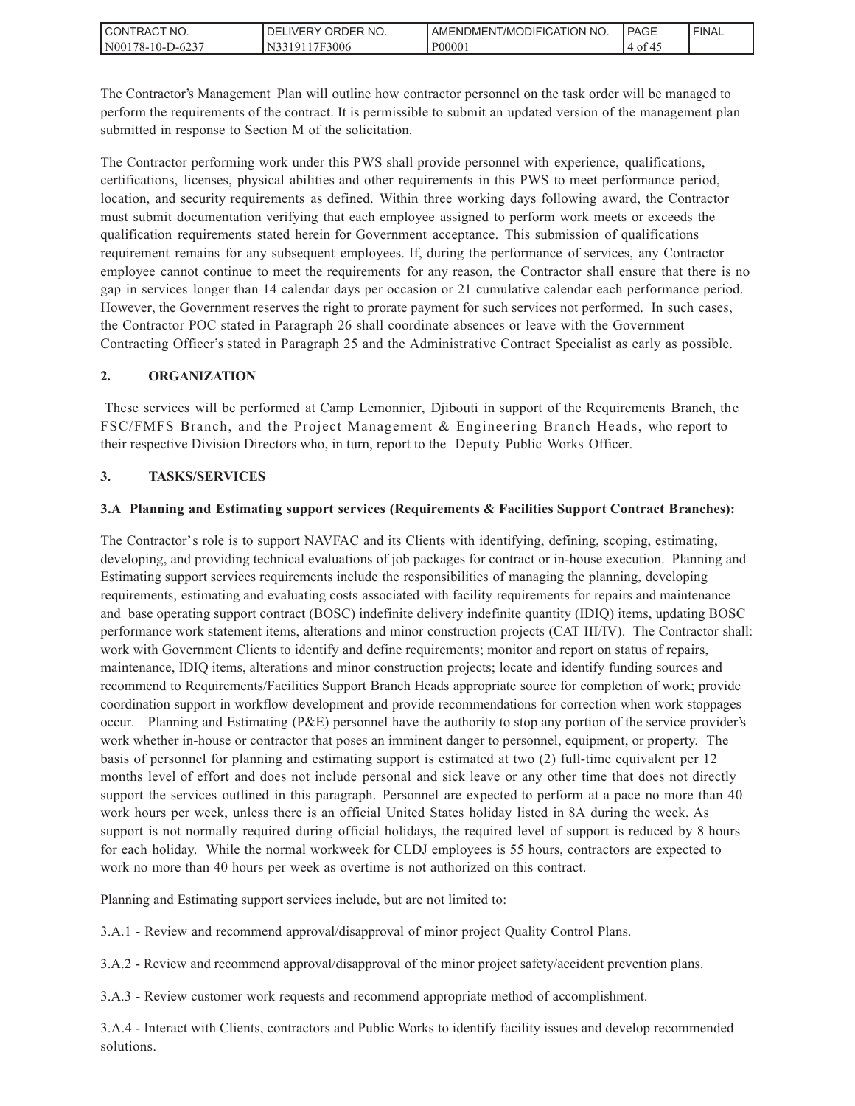| I CONTRACT NO.   | <b>IDELIVERY ORDER NO.</b> | AMENDMENT/MODIFICATION<br>' NO. | <b>PAGE</b> | `FINAL |
|------------------|----------------------------|---------------------------------|-------------|--------|
| N00178-10-D-6237 | 3319117F3006               | P00001                          | 4 of        |        |

The Contractor's Management Plan will outline how contractor personnel on the task order will be managed to perform the requirements of the contract. It is permissible to submit an updated version of the management plan submitted in response to Section M of the solicitation.

The Contractor performing work under this PWS shall provide personnel with experience, qualifications, certifications, licenses, physical abilities and other requirements in this PWS to meet performance period, location, and security requirements as defined. Within three working days following award, the Contractor must submit documentation verifying that each employee assigned to perform work meets or exceeds the qualification requirements stated herein for Government acceptance. This submission of qualifications requirement remains for any subsequent employees. If, during the performance of services, any Contractor employee cannot continue to meet the requirements for any reason, the Contractor shall ensure that there is no gap in services longer than 14 calendar days per occasion or 21 cumulative calendar each performance period. However, the Government reserves the right to prorate payment for such services not performed. In such cases, the Contractor POC stated in Paragraph 26 shall coordinate absences or leave with the Government Contracting Officer's stated in Paragraph 25 and the Administrative Contract Specialist as early as possible.

### **2. ORGANIZATION**

These services will be performed at Camp Lemonnier, Djibouti in support of the Requirements Branch, the FSC/FMFS Branch, and the Project Management & Engineering Branch Heads, who report to their respective Division Directors who, in turn, report to the Deputy Public Works Officer.

### **3. TASKS/SERVICES**

### **3.A Planning and Estimating support services (Requirements & Facilities Support Contract Branches):**

The Contractor's role is to support NAVFAC and its Clients with identifying, defining, scoping, estimating, developing, and providing technical evaluations of job packages for contract or in-house execution. Planning and Estimating support services requirements include the responsibilities of managing the planning, developing requirements, estimating and evaluating costs associated with facility requirements for repairs and maintenance and base operating support contract (BOSC) indefinite delivery indefinite quantity (IDIQ) items, updating BOSC performance work statement items, alterations and minor construction projects (CAT III/IV). The Contractor shall: work with Government Clients to identify and define requirements; monitor and report on status of repairs, maintenance, IDIQ items, alterations and minor construction projects; locate and identify funding sources and recommend to Requirements/Facilities Support Branch Heads appropriate source for completion of work; provide coordination support in workflow development and provide recommendations for correction when work stoppages occur. Planning and Estimating (P&E) personnel have the authority to stop any portion of the service provider's work whether in-house or contractor that poses an imminent danger to personnel, equipment, or property. The basis of personnel for planning and estimating support is estimated at two (2) full-time equivalent per 12 months level of effort and does not include personal and sick leave or any other time that does not directly support the services outlined in this paragraph. Personnel are expected to perform at a pace no more than 40 work hours per week, unless there is an official United States holiday listed in 8A during the week. As support is not normally required during official holidays, the required level of support is reduced by 8 hours for each holiday. While the normal workweek for CLDJ employees is 55 hours, contractors are expected to work no more than 40 hours per week as overtime is not authorized on this contract.

Planning and Estimating support services include, but are not limited to:

3.A.1 - Review and recommend approval/disapproval of minor project Quality Control Plans.

3.A.2 - Review and recommend approval/disapproval of the minor project safety/accident prevention plans.

3.A.3 - Review customer work requests and recommend appropriate method of accomplishment.

3.A.4 - Interact with Clients, contractors and Public Works to identify facility issues and develop recommended solutions.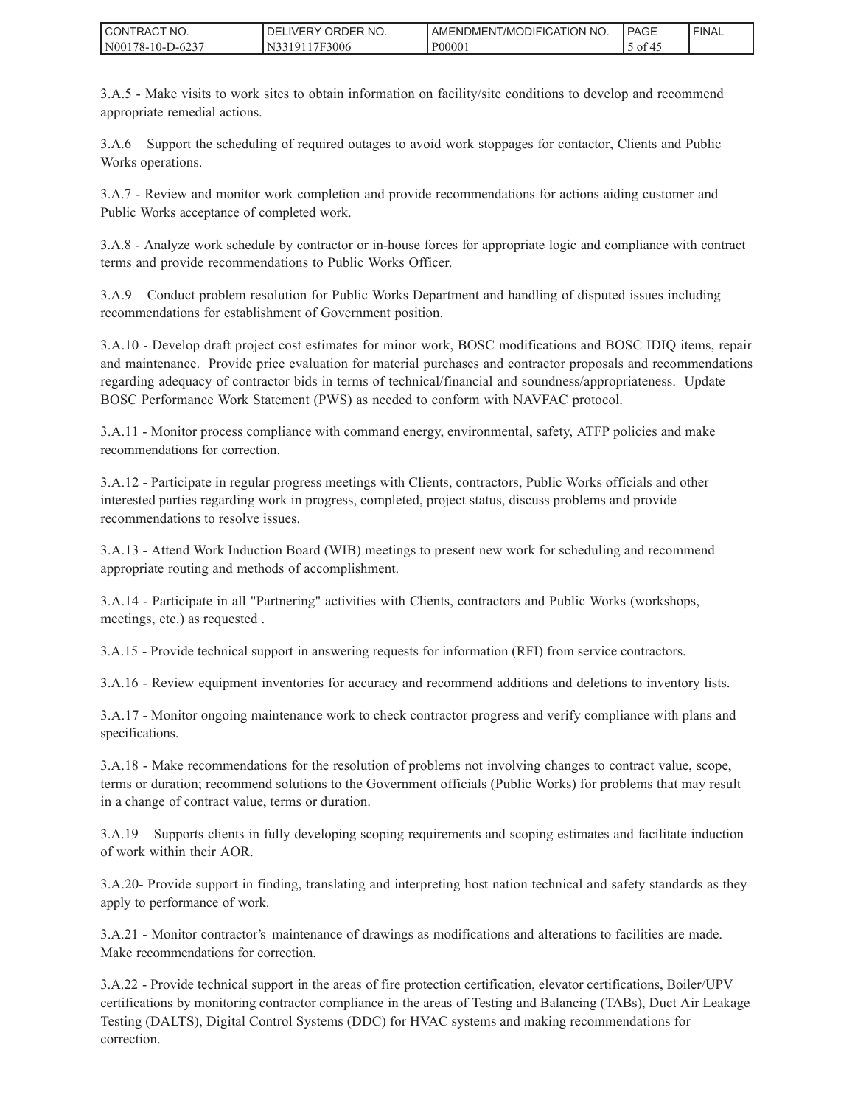| I CON'<br>" NO.<br>TRAC <sup>1</sup> | ' ORDER NO.<br><b>DELIVERY (</b> | <b>LAMENDMENT/MODIFICATION</b><br>NO. | <b>PAGE</b>                        | ' FINAL |
|--------------------------------------|----------------------------------|---------------------------------------|------------------------------------|---------|
| $\overline{N00}$<br>/178-10-D-6237   | 7F3006<br>19 I                   | P00001                                | 0.47<br>οt<br>$\prime\prime\prime$ |         |

3.A.5 - Make visits to work sites to obtain information on facility/site conditions to develop and recommend appropriate remedial actions.

3.A.6 – Support the scheduling of required outages to avoid work stoppages for contactor, Clients and Public Works operations.

3.A.7 - Review and monitor work completion and provide recommendations for actions aiding customer and Public Works acceptance of completed work.

3.A.8 - Analyze work schedule by contractor or in-house forces for appropriate logic and compliance with contract terms and provide recommendations to Public Works Officer.

3.A.9 – Conduct problem resolution for Public Works Department and handling of disputed issues including recommendations for establishment of Government position.

3.A.10 - Develop draft project cost estimates for minor work, BOSC modifications and BOSC IDIQ items, repair and maintenance. Provide price evaluation for material purchases and contractor proposals and recommendations regarding adequacy of contractor bids in terms of technical/financial and soundness/appropriateness. Update BOSC Performance Work Statement (PWS) as needed to conform with NAVFAC protocol.

3.A.11 - Monitor process compliance with command energy, environmental, safety, ATFP policies and make recommendations for correction.

3.A.12 - Participate in regular progress meetings with Clients, contractors, Public Works officials and other interested parties regarding work in progress, completed, project status, discuss problems and provide recommendations to resolve issues.

3.A.13 - Attend Work Induction Board (WIB) meetings to present new work for scheduling and recommend appropriate routing and methods of accomplishment.

3.A.14 - Participate in all "Partnering" activities with Clients, contractors and Public Works (workshops, meetings, etc.) as requested .

3.A.15 - Provide technical support in answering requests for information (RFI) from service contractors.

3.A.16 - Review equipment inventories for accuracy and recommend additions and deletions to inventory lists.

3.A.17 - Monitor ongoing maintenance work to check contractor progress and verify compliance with plans and specifications.

3.A.18 - Make recommendations for the resolution of problems not involving changes to contract value, scope, terms or duration; recommend solutions to the Government officials (Public Works) for problems that may result in a change of contract value, terms or duration.

3.A.19 – Supports clients in fully developing scoping requirements and scoping estimates and facilitate induction of work within their AOR.

3.A.20- Provide support in finding, translating and interpreting host nation technical and safety standards as they apply to performance of work.

3.A.21 - Monitor contractor's maintenance of drawings as modifications and alterations to facilities are made. Make recommendations for correction.

3.A.22 - Provide technical support in the areas of fire protection certification, elevator certifications, Boiler/UPV certifications by monitoring contractor compliance in the areas of Testing and Balancing (TABs), Duct Air Leakage Testing (DALTS), Digital Control Systems (DDC) for HVAC systems and making recommendations for correction.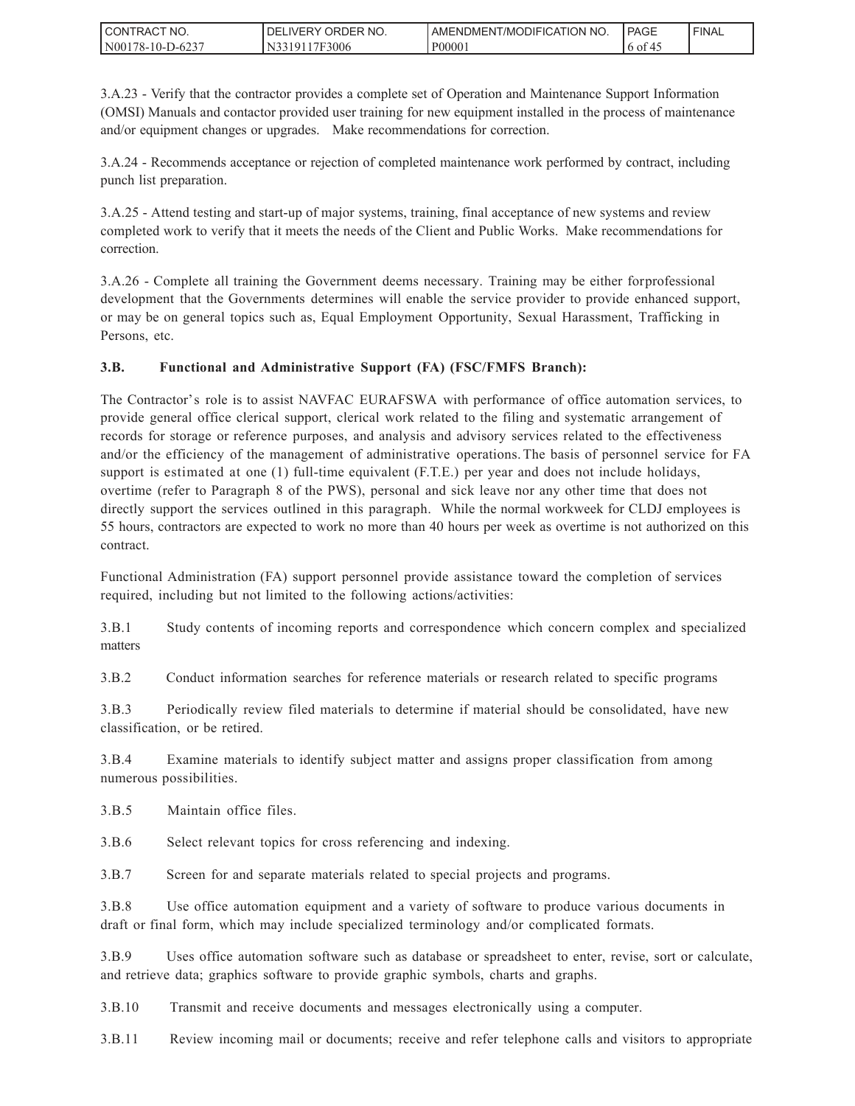| <b>CONT.</b><br>`CT NO.<br><b>IRAC</b> | NO.<br>ORDER<br>"DEL.<br>_IVERY_ | AMENDMENT/MODIFICATION NO. | <b>PAGE</b> | ' FINAL |
|----------------------------------------|----------------------------------|----------------------------|-------------|---------|
| N00<br>.78-10-I<br>-D-623              | T3006<br>101<br>7T               | P0000                      | 6 of        |         |

3.A.23 - Verify that the contractor provides a complete set of Operation and Maintenance Support Information (OMSI) Manuals and contactor provided user training for new equipment installed in the process of maintenance and/or equipment changes or upgrades. Make recommendations for correction.

3.A.24 - Recommends acceptance or rejection of completed maintenance work performed by contract, including punch list preparation.

3.A.25 - Attend testing and start-up of major systems, training, final acceptance of new systems and review completed work to verify that it meets the needs of the Client and Public Works. Make recommendations for correction.

3.A.26 - Complete all training the Government deems necessary. Training may be either forprofessional development that the Governments determines will enable the service provider to provide enhanced support, or may be on general topics such as, Equal Employment Opportunity, Sexual Harassment, Trafficking in Persons, etc.

### **3.B. Functional and Administrative Support (FA) (FSC/FMFS Branch):**

The Contractor's role is to assist NAVFAC EURAFSWA with performance of office automation services, to provide general office clerical support, clerical work related to the filing and systematic arrangement of records for storage or reference purposes, and analysis and advisory services related to the effectiveness and/or the efficiency of the management of administrative operations. The basis of personnel service for FA support is estimated at one (1) full-time equivalent (F.T.E.) per year and does not include holidays, overtime (refer to Paragraph 8 of the PWS), personal and sick leave nor any other time that does not directly support the services outlined in this paragraph. While the normal workweek for CLDJ employees is 55 hours, contractors are expected to work no more than 40 hours per week as overtime is not authorized on this contract.

Functional Administration (FA) support personnel provide assistance toward the completion of services required, including but not limited to the following actions/activities:

3.B.1 Study contents of incoming reports and correspondence which concern complex and specialized matters

3.B.2 Conduct information searches for reference materials or research related to specific programs

3.B.3 Periodically review filed materials to determine if material should be consolidated, have new classification, or be retired.

3.B.4 Examine materials to identify subject matter and assigns proper classification from among numerous possibilities.

3.B.5 Maintain office files.

3.B.6 Select relevant topics for cross referencing and indexing.

3.B.7 Screen for and separate materials related to special projects and programs.

3.B.8 Use office automation equipment and a variety of software to produce various documents in draft or final form, which may include specialized terminology and/or complicated formats.

3.B.9 Uses office automation software such as database or spreadsheet to enter, revise, sort or calculate, and retrieve data; graphics software to provide graphic symbols, charts and graphs.

3.B.10 Transmit and receive documents and messages electronically using a computer.

3.B.11 Review incoming mail or documents; receive and refer telephone calls and visitors to appropriate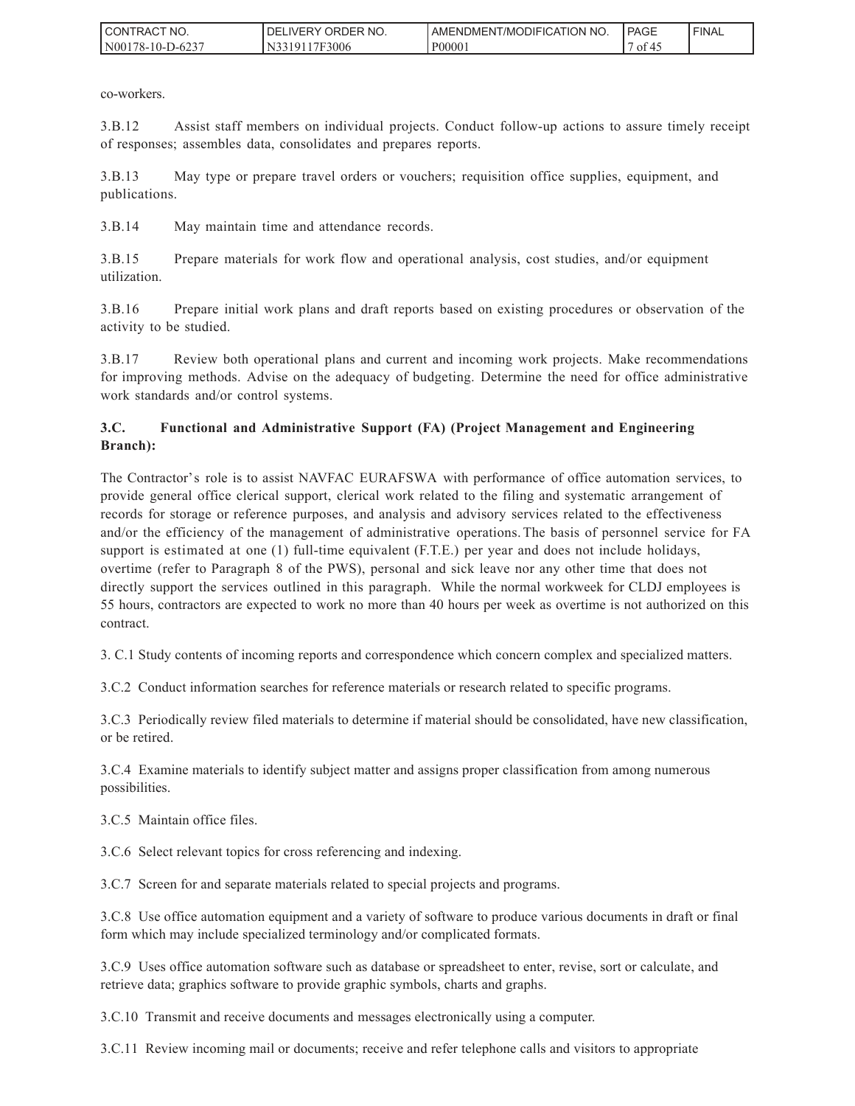| CT NO.<br>CONTRAC <sup>-</sup> | 'NO.<br>∴ORDER<br><b>IDEL.</b><br>.IVERY | AMENDMENT/MODIFICATION NO. | <b>PAGE</b> | ' FINAL |
|--------------------------------|------------------------------------------|----------------------------|-------------|---------|
| N001<br>78-10-L<br>$10-62$     | 7F3006<br>191<br>N                       | P0000 <sub>1</sub>         | 0Ť          |         |

co-workers.

3.B.12 Assist staff members on individual projects. Conduct follow-up actions to assure timely receipt of responses; assembles data, consolidates and prepares reports.

3.B.13 May type or prepare travel orders or vouchers; requisition office supplies, equipment, and publications.

3.B.14 May maintain time and attendance records.

3.B.15 Prepare materials for work flow and operational analysis, cost studies, and/or equipment utilization.

3.B.16 Prepare initial work plans and draft reports based on existing procedures or observation of the activity to be studied.

3.B.17 Review both operational plans and current and incoming work projects. Make recommendations for improving methods. Advise on the adequacy of budgeting. Determine the need for office administrative work standards and/or control systems.

# **3.C. Functional and Administrative Support (FA) (Project Management and Engineering Branch):**

The Contractor's role is to assist NAVFAC EURAFSWA with performance of office automation services, to provide general office clerical support, clerical work related to the filing and systematic arrangement of records for storage or reference purposes, and analysis and advisory services related to the effectiveness and/or the efficiency of the management of administrative operations. The basis of personnel service for FA support is estimated at one (1) full-time equivalent (F.T.E.) per year and does not include holidays, overtime (refer to Paragraph 8 of the PWS), personal and sick leave nor any other time that does not directly support the services outlined in this paragraph. While the normal workweek for CLDJ employees is 55 hours, contractors are expected to work no more than 40 hours per week as overtime is not authorized on this contract.

3. C.1 Study contents of incoming reports and correspondence which concern complex and specialized matters.

3.C.2 Conduct information searches for reference materials or research related to specific programs.

3.C.3 Periodically review filed materials to determine if material should be consolidated, have new classification, or be retired.

3.C.4 Examine materials to identify subject matter and assigns proper classification from among numerous possibilities.

3.C.5 Maintain office files.

3.C.6 Select relevant topics for cross referencing and indexing.

3.C.7 Screen for and separate materials related to special projects and programs.

3.C.8 Use office automation equipment and a variety of software to produce various documents in draft or final form which may include specialized terminology and/or complicated formats.

3.C.9 Uses office automation software such as database or spreadsheet to enter, revise, sort or calculate, and retrieve data; graphics software to provide graphic symbols, charts and graphs.

3.C.10 Transmit and receive documents and messages electronically using a computer.

3.C.11 Review incoming mail or documents; receive and refer telephone calls and visitors to appropriate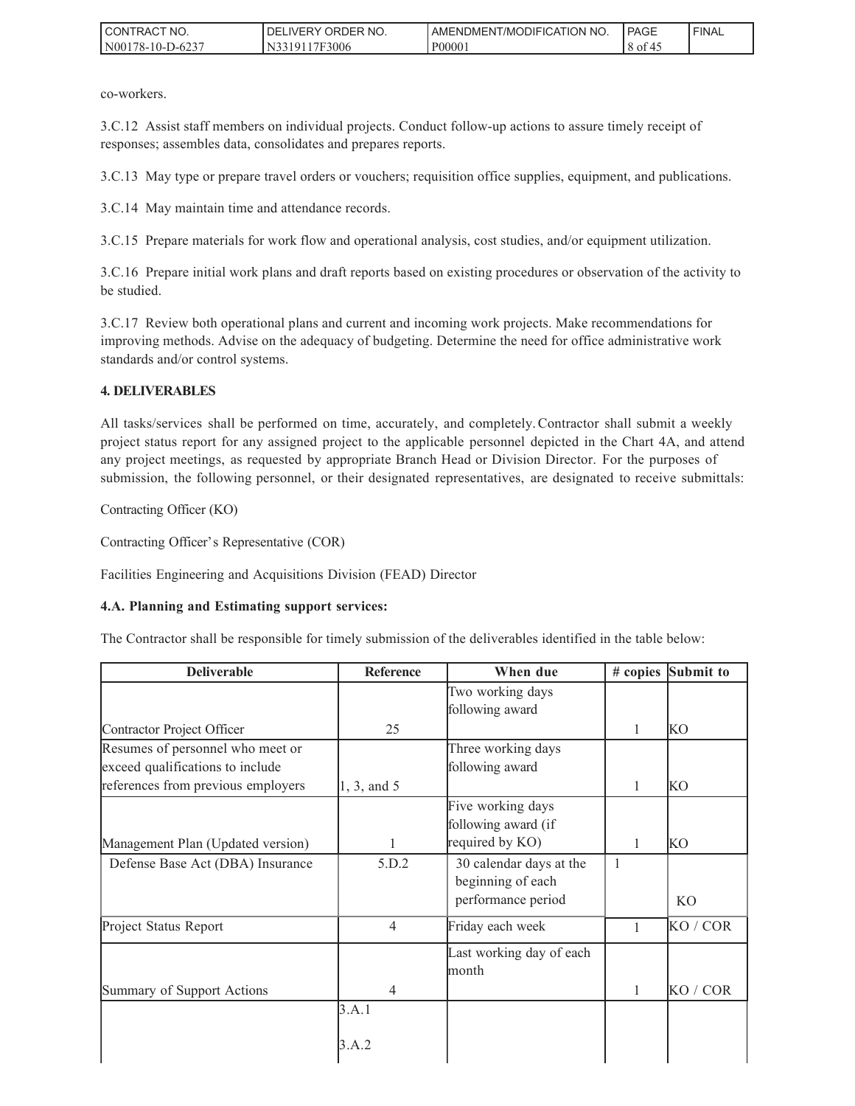| I CONTRACT<br>CT NO. | <b>I DELIVERY ORDER NO.</b> | I AMENDMENT/MODIFICATION I<br>NO. | <b>PAGE</b> | ' FINAL |
|----------------------|-----------------------------|-----------------------------------|-------------|---------|
| N00178-10-D-6237     | 7F3006<br>33191             | P00001                            | 0.47<br>-of |         |

co-workers.

3.C.12 Assist staff members on individual projects. Conduct follow-up actions to assure timely receipt of responses; assembles data, consolidates and prepares reports.

3.C.13 May type or prepare travel orders or vouchers; requisition office supplies, equipment, and publications.

3.C.14 May maintain time and attendance records.

3.C.15 Prepare materials for work flow and operational analysis, cost studies, and/or equipment utilization.

3.C.16 Prepare initial work plans and draft reports based on existing procedures or observation of the activity to be studied.

3.C.17 Review both operational plans and current and incoming work projects. Make recommendations for improving methods. Advise on the adequacy of budgeting. Determine the need for office administrative work standards and/or control systems.

### **4. DELIVERABLES**

All tasks/services shall be performed on time, accurately, and completely. Contractor shall submit a weekly project status report for any assigned project to the applicable personnel depicted in the Chart 4A, and attend any project meetings, as requested by appropriate Branch Head or Division Director. For the purposes of submission, the following personnel, or their designated representatives, are designated to receive submittals:

Contracting Officer (KO)

Contracting Officer's Representative (COR)

Facilities Engineering and Acquisitions Division (FEAD) Director

### **4.A. Planning and Estimating support services:**

The Contractor shall be responsible for timely submission of the deliverables identified in the table below:

| <b>Deliverable</b>                 | Reference      | When due                 | # copies     | Submit to      |
|------------------------------------|----------------|--------------------------|--------------|----------------|
|                                    |                | Two working days         |              |                |
|                                    |                | following award          |              |                |
| Contractor Project Officer         | 25             |                          | $\mathbf{1}$ | KО             |
| Resumes of personnel who meet or   |                | Three working days       |              |                |
| exceed qualifications to include   |                | following award          |              |                |
| references from previous employers | 1, 3, and 5    |                          | 1            | KΟ             |
|                                    |                | Five working days        |              |                |
|                                    |                | following award (if      |              |                |
| Management Plan (Updated version)  | 1              | required by KO)          | 1            | KО             |
| Defense Base Act (DBA) Insurance   | 5.D.2          | 30 calendar days at the  | $\mathbf{1}$ |                |
|                                    |                | beginning of each        |              |                |
|                                    |                | performance period       |              | K <sub>O</sub> |
| Project Status Report              | $\overline{4}$ | Friday each week         | 1            | KO / COR       |
|                                    |                | Last working day of each |              |                |
|                                    |                | month                    |              |                |
| Summary of Support Actions         | 4              |                          | 1            | KO / COR       |
|                                    | 3.A.1          |                          |              |                |
|                                    |                |                          |              |                |
|                                    | 3.A.2          |                          |              |                |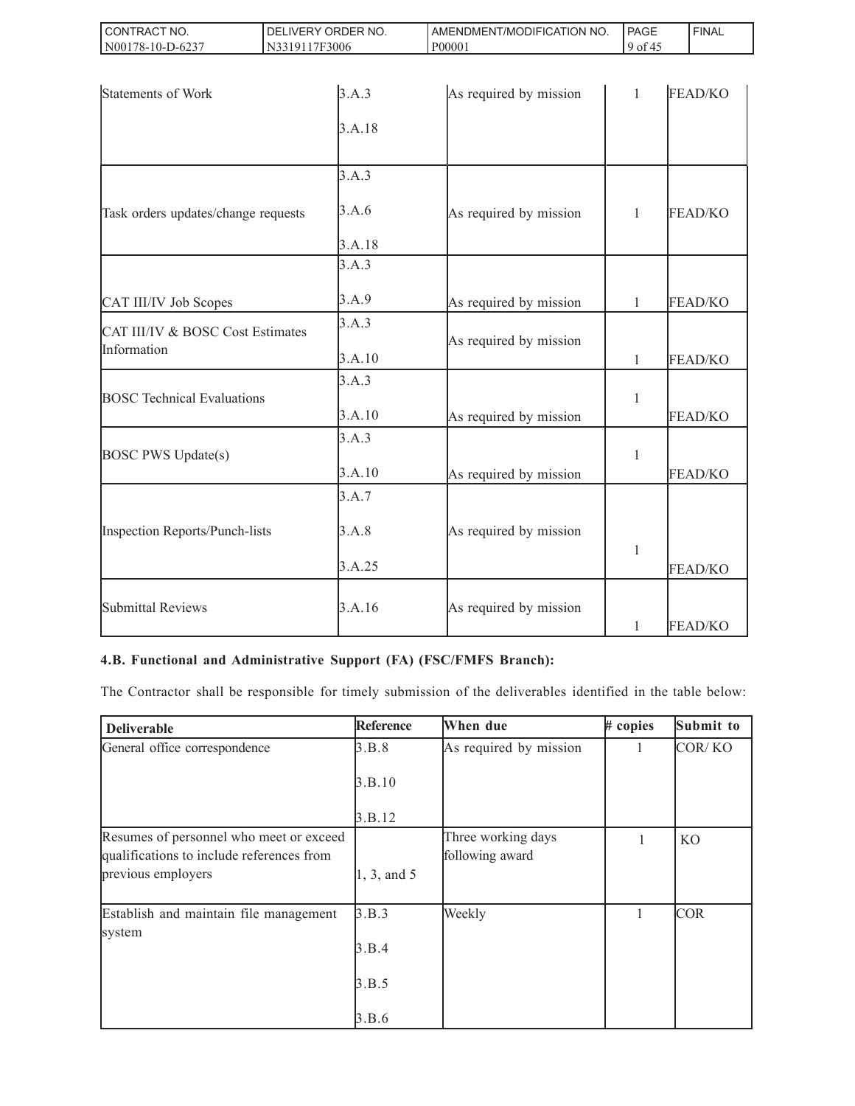| CONTRACT NO.                                    | DELIVERY ORDER NO. |                                   | AMENDMENT/MODIFICATION NO. | PAGE         | <b>FINAL</b>   |
|-------------------------------------------------|--------------------|-----------------------------------|----------------------------|--------------|----------------|
| N00178-10-D-6237                                | N3319117F3006      |                                   | P00001                     | 9 of 45      |                |
| Statements of Work                              |                    | 3.A.3<br>3.A.18                   | As required by mission     | $\mathbf{1}$ | <b>FEAD/KO</b> |
| Task orders updates/change requests             |                    | 3.A.3<br>3.A.6<br>3.A.18<br>3.A.3 | As required by mission     | 1            | <b>FEAD/KO</b> |
| CAT III/IV Job Scopes                           |                    | 3.A.9                             | As required by mission     | $\mathbf{1}$ | <b>FEAD/KO</b> |
| CAT III/IV & BOSC Cost Estimates<br>Information |                    | 3.A.3<br>3.A.10                   | As required by mission     | 1            | <b>FEAD/KO</b> |
| <b>BOSC</b> Technical Evaluations               |                    | 3.A.3<br>3.A.10                   | As required by mission     | $\mathbf{1}$ | <b>FEAD/KO</b> |
| <b>BOSC PWS Update(s)</b>                       |                    | 3.A.3<br>3.A.10                   | As required by mission     | $\mathbf{1}$ | <b>FEAD/KO</b> |
| Inspection Reports/Punch-lists                  |                    | 3.A.7<br>3.A.8                    | As required by mission     |              |                |
|                                                 |                    | 3.A.25                            |                            | $\mathbf{1}$ | <b>FEAD/KO</b> |
| <b>Submittal Reviews</b>                        |                    | 3.A.16                            | As required by mission     | 1            | <b>FEAD/KO</b> |

# **4.B. Functional and Administrative Support (FA) (FSC/FMFS Branch):**

The Contractor shall be responsible for timely submission of the deliverables identified in the table below:

| <b>Deliverable</b>                                                                   | Reference     | When due                              | # copies | Submit to      |
|--------------------------------------------------------------------------------------|---------------|---------------------------------------|----------|----------------|
| General office correspondence                                                        | 3.B.8         | As required by mission                |          | COR/KO         |
|                                                                                      | 3.B.10        |                                       |          |                |
|                                                                                      | 3.B.12        |                                       |          |                |
| Resumes of personnel who meet or exceed<br>qualifications to include references from |               | Three working days<br>following award |          | K <sub>O</sub> |
| previous employers                                                                   | $1, 3,$ and 5 |                                       |          |                |
| Establish and maintain file management                                               | 3.B.3         | Weekly                                | 1        | <b>COR</b>     |
| system                                                                               | 3.B.4         |                                       |          |                |
|                                                                                      | 3.B.5         |                                       |          |                |
|                                                                                      | 3.B.6         |                                       |          |                |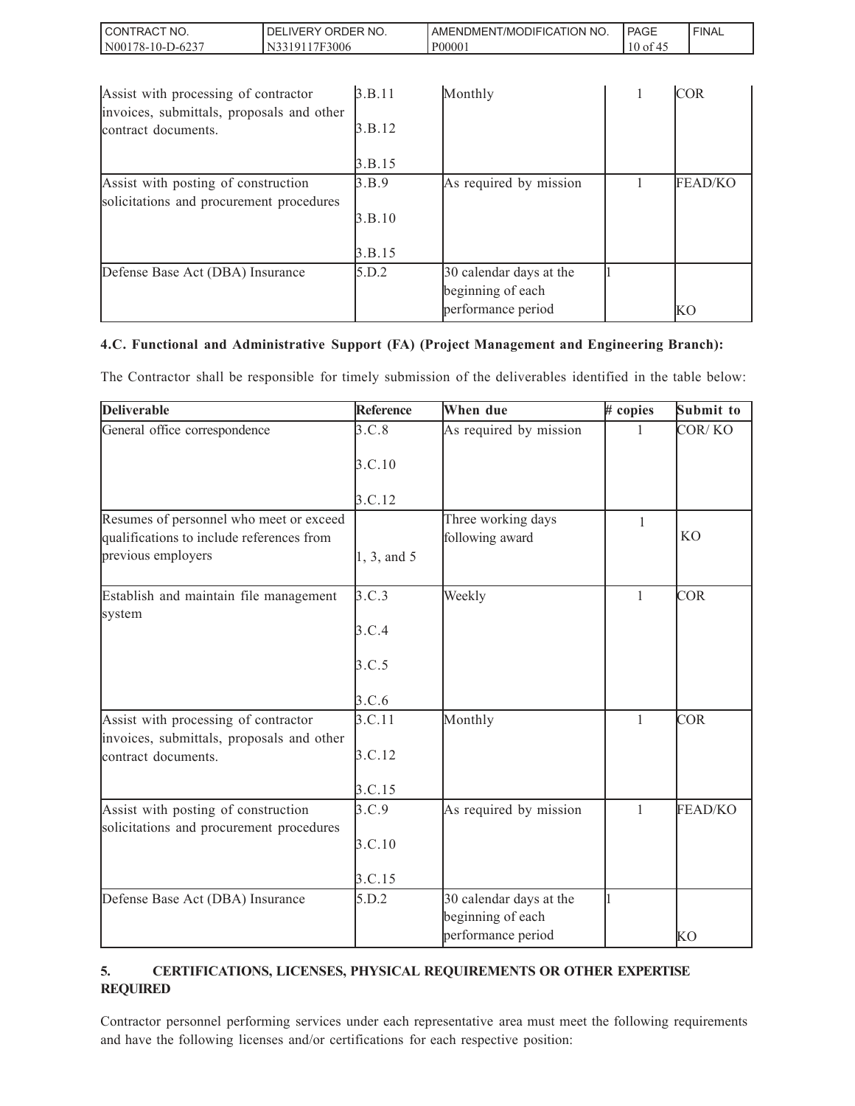| CONTRACT NO.<br>N00178-10-D-6237                                                  | DELIVERY ORDER NO.<br>N3319117F3006 |        | AMENDMENT/MODIFICATION NO.<br>P00001                               | PAGE<br>$10$ of 45 | <b>FINAL</b>   |
|-----------------------------------------------------------------------------------|-------------------------------------|--------|--------------------------------------------------------------------|--------------------|----------------|
|                                                                                   |                                     |        |                                                                    |                    |                |
| Assist with processing of contractor<br>invoices, submittals, proposals and other |                                     | 3.B.11 | Monthly                                                            |                    | <b>COR</b>     |
| contract documents.                                                               |                                     | 3.B.12 |                                                                    |                    |                |
|                                                                                   |                                     | 3.B.15 |                                                                    |                    |                |
| Assist with posting of construction                                               |                                     | 3.B.9  | As required by mission                                             |                    | <b>FEAD/KO</b> |
| solicitations and procurement procedures                                          |                                     | 3.B.10 |                                                                    |                    |                |
|                                                                                   |                                     | 3.B.15 |                                                                    |                    |                |
| Defense Base Act (DBA) Insurance                                                  |                                     | 5.D.2  | 30 calendar days at the<br>beginning of each<br>performance period |                    | ΚO             |

# **4.C. Functional and Administrative Support (FA) (Project Management and Engineering Branch):**

The Contractor shall be responsible for timely submission of the deliverables identified in the table below:

| Deliverable                                                                          | Reference   | When due                                | $\#$ copies  | Submit to      |
|--------------------------------------------------------------------------------------|-------------|-----------------------------------------|--------------|----------------|
| General office correspondence                                                        | 3.C.8       | As required by mission                  | 1            | COR/KO         |
|                                                                                      | 3.C.10      |                                         |              |                |
|                                                                                      | 3.C.12      |                                         |              |                |
| Resumes of personnel who meet or exceed<br>qualifications to include references from |             | Three working days<br>following award   | $\mathbf{1}$ | <b>KO</b>      |
| previous employers                                                                   | 1, 3, and 5 |                                         |              |                |
| Establish and maintain file management                                               | 3.C.3       | Weekly                                  | $\mathbf{1}$ | <b>COR</b>     |
| system                                                                               | 3.C.4       |                                         |              |                |
|                                                                                      | 3.C.5       |                                         |              |                |
|                                                                                      | 3.C.6       |                                         |              |                |
| Assist with processing of contractor                                                 | 3.C.11      | Monthly                                 | $\mathbf{1}$ | <b>COR</b>     |
| invoices, submittals, proposals and other<br>contract documents.                     | 3.C.12      |                                         |              |                |
|                                                                                      | 3.C.15      |                                         |              |                |
| Assist with posting of construction<br>solicitations and procurement procedures      | 3.C.9       | As required by mission                  | 1            | <b>FEAD/KO</b> |
|                                                                                      | 3.C.10      |                                         |              |                |
|                                                                                      | 3.C.15      |                                         |              |                |
| Defense Base Act (DBA) Insurance                                                     | 5.D.2       | 30 calendar days at the                 |              |                |
|                                                                                      |             | beginning of each<br>performance period |              | KО             |

# **5. CERTIFICATIONS, LICENSES, PHYSICAL REQUIREMENTS OR OTHER EXPERTISE REQUIRED**

Contractor personnel performing services under each representative area must meet the following requirements and have the following licenses and/or certifications for each respective position: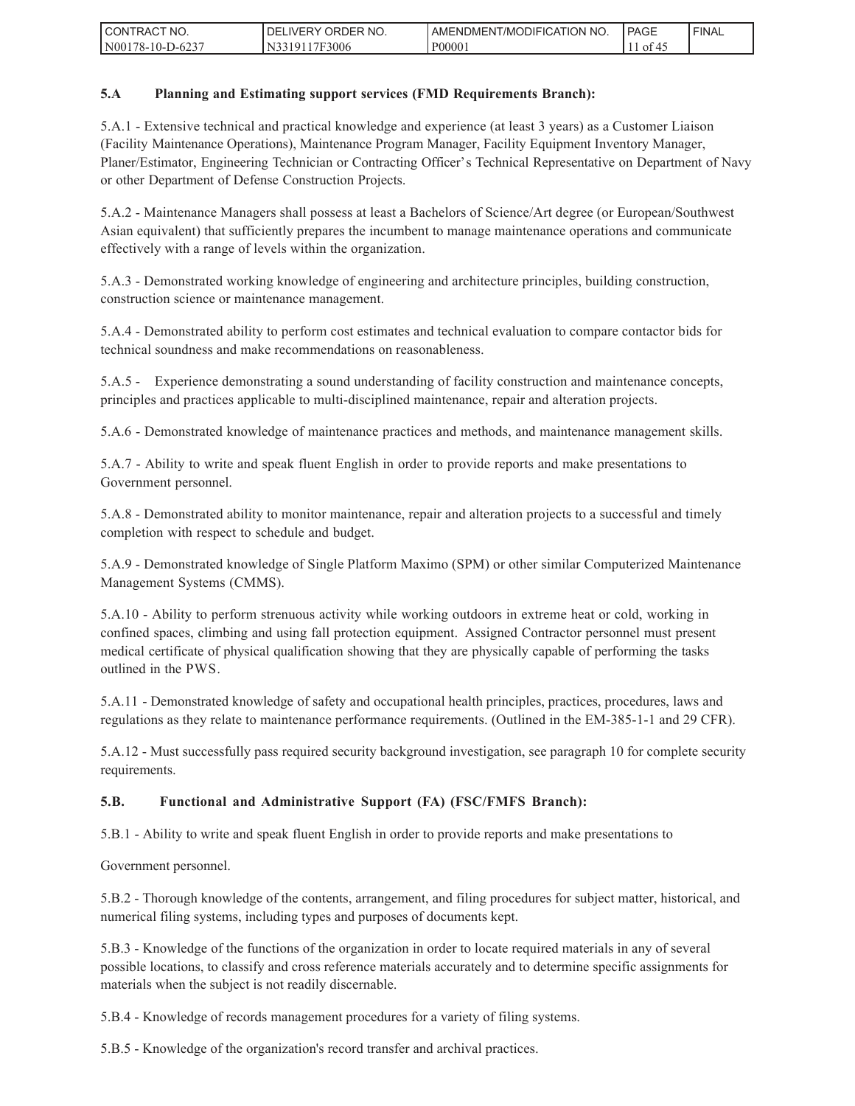| I CONTRACT<br>CT NO. | <b>I DELIVERY ORDER NO.</b> | I AMENDMENT/MODIFICATION NO. | PAGE                     | <b>FINAL</b> |
|----------------------|-----------------------------|------------------------------|--------------------------|--------------|
| N00178-10-D-6237     | N3319117F3006               | P00001                       | $\sim$ $\lambda$<br>` of |              |

### **5.A Planning and Estimating support services (FMD Requirements Branch):**

5.A.1 - Extensive technical and practical knowledge and experience (at least 3 years) as a Customer Liaison (Facility Maintenance Operations), Maintenance Program Manager, Facility Equipment Inventory Manager, Planer/Estimator, Engineering Technician or Contracting Officer's Technical Representative on Department of Navy or other Department of Defense Construction Projects.

5.A.2 - Maintenance Managers shall possess at least a Bachelors of Science/Art degree (or European/Southwest Asian equivalent) that sufficiently prepares the incumbent to manage maintenance operations and communicate effectively with a range of levels within the organization.

5.A.3 - Demonstrated working knowledge of engineering and architecture principles, building construction, construction science or maintenance management.

5.A.4 - Demonstrated ability to perform cost estimates and technical evaluation to compare contactor bids for technical soundness and make recommendations on reasonableness.

5.A.5 - Experience demonstrating a sound understanding of facility construction and maintenance concepts, principles and practices applicable to multi-disciplined maintenance, repair and alteration projects.

5.A.6 - Demonstrated knowledge of maintenance practices and methods, and maintenance management skills.

5.A.7 - Ability to write and speak fluent English in order to provide reports and make presentations to Government personnel.

5.A.8 - Demonstrated ability to monitor maintenance, repair and alteration projects to a successful and timely completion with respect to schedule and budget.

5.A.9 - Demonstrated knowledge of Single Platform Maximo (SPM) or other similar Computerized Maintenance Management Systems (CMMS).

5.A.10 - Ability to perform strenuous activity while working outdoors in extreme heat or cold, working in confined spaces, climbing and using fall protection equipment. Assigned Contractor personnel must present medical certificate of physical qualification showing that they are physically capable of performing the tasks outlined in the PWS.

5.A.11 - Demonstrated knowledge of safety and occupational health principles, practices, procedures, laws and regulations as they relate to maintenance performance requirements. (Outlined in the EM-385-1-1 and 29 CFR).

5.A.12 - Must successfully pass required security background investigation, see paragraph 10 for complete security requirements.

# **5.B. Functional and Administrative Support (FA) (FSC/FMFS Branch):**

5.B.1 - Ability to write and speak fluent English in order to provide reports and make presentations to

Government personnel.

5.B.2 - Thorough knowledge of the contents, arrangement, and filing procedures for subject matter, historical, and numerical filing systems, including types and purposes of documents kept.

5.B.3 - Knowledge of the functions of the organization in order to locate required materials in any of several possible locations, to classify and cross reference materials accurately and to determine specific assignments for materials when the subject is not readily discernable.

5.B.4 - Knowledge of records management procedures for a variety of filing systems.

5.B.5 - Knowledge of the organization's record transfer and archival practices.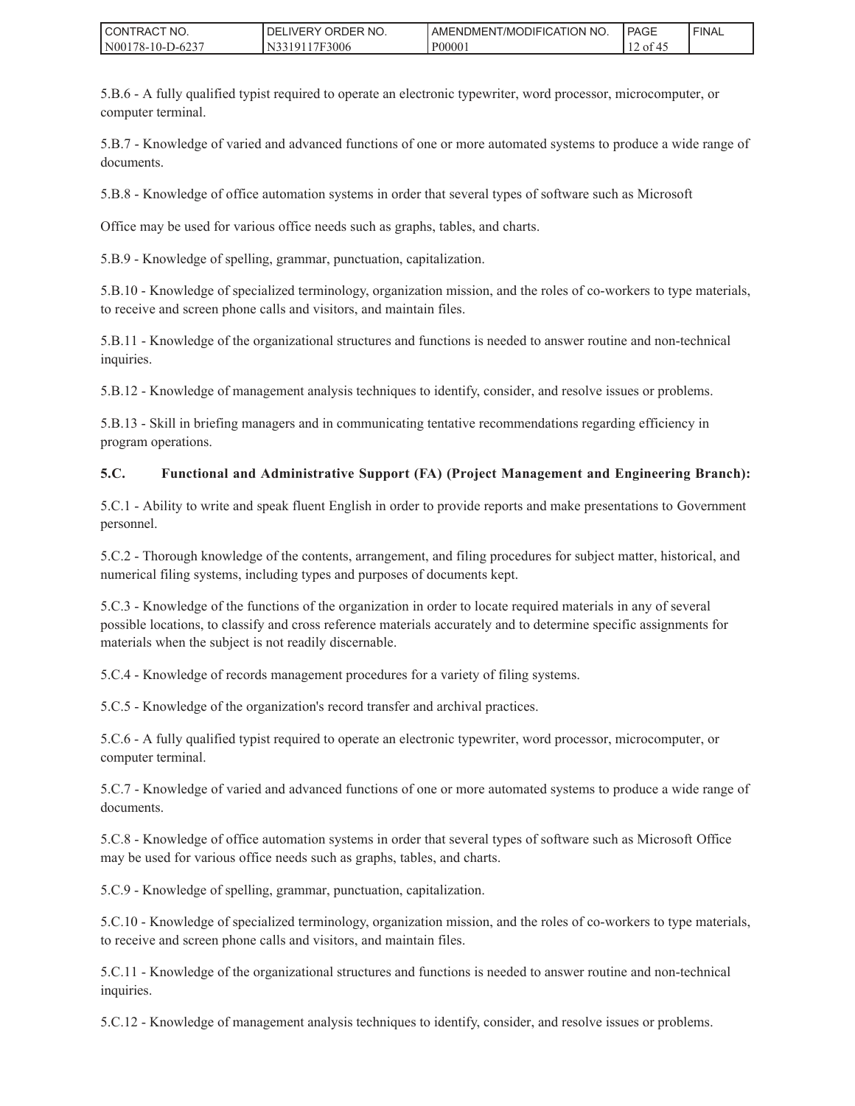| I CONTRACT<br>CT NO. | ' ORDER NO.<br><b>DELIVERY (</b> | AMENDMENT/MODIFICATION<br>' NO. | <b>PAGE</b>    | `FINAL |
|----------------------|----------------------------------|---------------------------------|----------------|--------|
| N00178-10-D-6237     | <sup>1</sup> 7F3006<br>3101      | P0000                           | $\sim$<br>` Oİ |        |

5.B.6 - A fully qualified typist required to operate an electronic typewriter, word processor, microcomputer, or computer terminal.

5.B.7 - Knowledge of varied and advanced functions of one or more automated systems to produce a wide range of documents.

5.B.8 - Knowledge of office automation systems in order that several types of software such as Microsoft

Office may be used for various office needs such as graphs, tables, and charts.

5.B.9 - Knowledge of spelling, grammar, punctuation, capitalization.

5.B.10 - Knowledge of specialized terminology, organization mission, and the roles of co-workers to type materials, to receive and screen phone calls and visitors, and maintain files.

5.B.11 - Knowledge of the organizational structures and functions is needed to answer routine and non-technical inquiries.

5.B.12 - Knowledge of management analysis techniques to identify, consider, and resolve issues or problems.

5.B.13 - Skill in briefing managers and in communicating tentative recommendations regarding efficiency in program operations.

### **5.C. Functional and Administrative Support (FA) (Project Management and Engineering Branch):**

5.C.1 - Ability to write and speak fluent English in order to provide reports and make presentations to Government personnel.

5.C.2 - Thorough knowledge of the contents, arrangement, and filing procedures for subject matter, historical, and numerical filing systems, including types and purposes of documents kept.

5.C.3 - Knowledge of the functions of the organization in order to locate required materials in any of several possible locations, to classify and cross reference materials accurately and to determine specific assignments for materials when the subject is not readily discernable.

5.C.4 - Knowledge of records management procedures for a variety of filing systems.

5.C.5 - Knowledge of the organization's record transfer and archival practices.

5.C.6 - A fully qualified typist required to operate an electronic typewriter, word processor, microcomputer, or computer terminal.

5.C.7 - Knowledge of varied and advanced functions of one or more automated systems to produce a wide range of documents.

5.C.8 - Knowledge of office automation systems in order that several types of software such as Microsoft Office may be used for various office needs such as graphs, tables, and charts.

5.C.9 - Knowledge of spelling, grammar, punctuation, capitalization.

5.C.10 - Knowledge of specialized terminology, organization mission, and the roles of co-workers to type materials, to receive and screen phone calls and visitors, and maintain files.

5.C.11 - Knowledge of the organizational structures and functions is needed to answer routine and non-technical inquiries.

5.C.12 - Knowledge of management analysis techniques to identify, consider, and resolve issues or problems.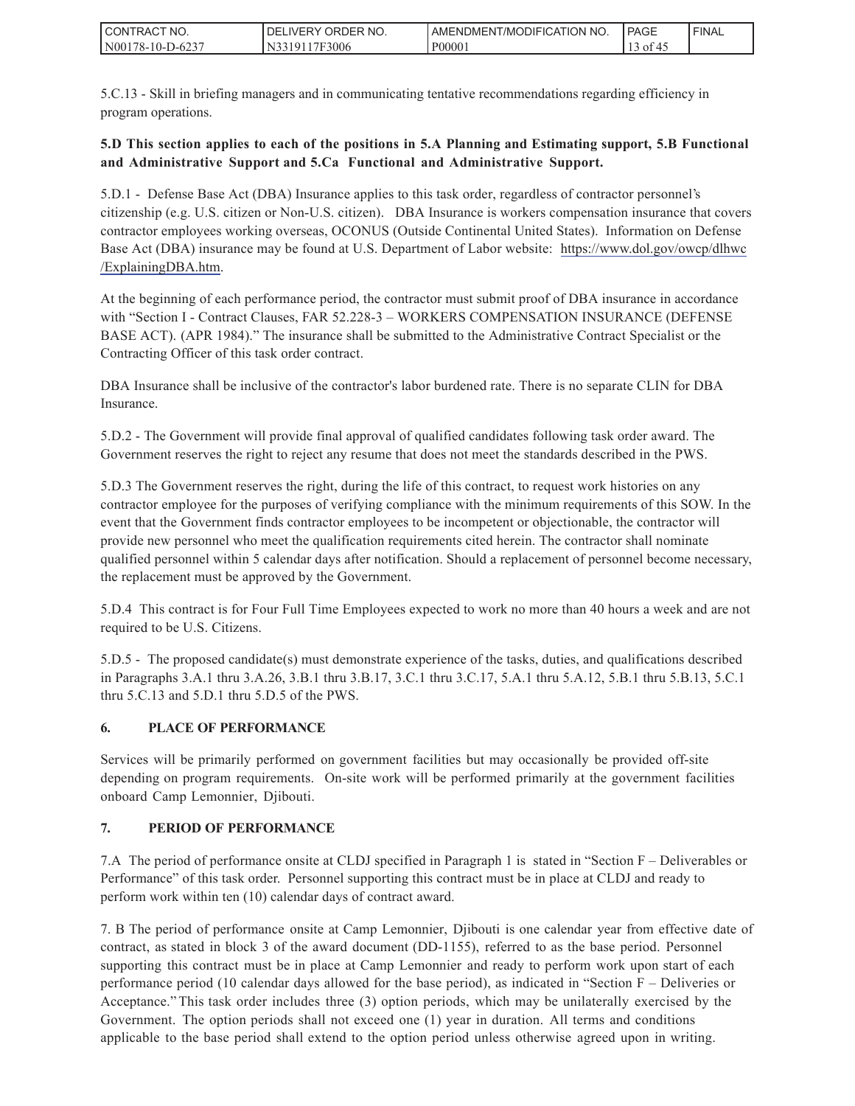| I CONTRACT<br>™NO. | <b>I DELIVERY ORDER NO.</b>    | AMENDMENT/MODIFICATION NO. | PAGE | ' FINAL |
|--------------------|--------------------------------|----------------------------|------|---------|
| N00178-10-D-6237   | <sup>1</sup> 7F3006<br>N33191° | P0000                      | -of  |         |

5.C.13 - Skill in briefing managers and in communicating tentative recommendations regarding efficiency in program operations.

# **5.D This section applies to each of the positions in 5.A Planning and Estimating support, 5.B Functional and Administrative Support and 5.Ca Functional and Administrative Support.**

5.D.1 - Defense Base Act (DBA) Insurance applies to this task order, regardless of contractor personnel's citizenship (e.g. U.S. citizen or Non-U.S. citizen). DBA Insurance is workers compensation insurance that covers contractor employees working overseas, OCONUS (Outside Continental United States). Information on Defense Base Act (DBA) insurance may be found at U.S. Department of Labor website: https://www.dol.gov/owcp/dlhwc /ExplainingDBA.htm.

At the beginning of each performance period, the contractor must submit proof of DBA insurance in accordance with "Section I - Contract Clauses, FAR 52.228-3 - WORKERS COMPENSATION INSURANCE (DEFENSE BASE ACT). (APR 1984)." The insurance shall be submitted to the Administrative Contract Specialist or the Contracting Officer of this task order contract.

DBA Insurance shall be inclusive of the contractor's labor burdened rate. There is no separate CLIN for DBA Insurance.

5.D.2 - The Government will provide final approval of qualified candidates following task order award. The Government reserves the right to reject any resume that does not meet the standards described in the PWS.

5.D.3 The Government reserves the right, during the life of this contract, to request work histories on any contractor employee for the purposes of verifying compliance with the minimum requirements of this SOW. In the event that the Government finds contractor employees to be incompetent or objectionable, the contractor will provide new personnel who meet the qualification requirements cited herein. The contractor shall nominate qualified personnel within 5 calendar days after notification. Should a replacement of personnel become necessary, the replacement must be approved by the Government.

5.D.4 This contract is for Four Full Time Employees expected to work no more than 40 hours a week and are not required to be U.S. Citizens.

5.D.5 - The proposed candidate(s) must demonstrate experience of the tasks, duties, and qualifications described in Paragraphs 3.A.1 thru 3.A.26, 3.B.1 thru 3.B.17, 3.C.1 thru 3.C.17, 5.A.1 thru 5.A.12, 5.B.1 thru 5.B.13, 5.C.1 thru 5.C.13 and 5.D.1 thru 5.D.5 of the PWS.

# **6. PLACE OF PERFORMANCE**

Services will be primarily performed on government facilities but may occasionally be provided off-site depending on program requirements. On-site work will be performed primarily at the government facilities onboard Camp Lemonnier, Djibouti.

### **7. PERIOD OF PERFORMANCE**

7.A The period of performance onsite at CLDJ specified in Paragraph 1 is stated in "Section F – Deliverables or Performance" of this task order. Personnel supporting this contract must be in place at CLDJ and ready to perform work within ten (10) calendar days of contract award.

7. B The period of performance onsite at Camp Lemonnier, Djibouti is one calendar year from effective date of contract, as stated in block 3 of the award document (DD-1155), referred to as the base period. Personnel supporting this contract must be in place at Camp Lemonnier and ready to perform work upon start of each performance period (10 calendar days allowed for the base period), as indicated in "Section F – Deliveries or Acceptance." This task order includes three (3) option periods, which may be unilaterally exercised by the Government. The option periods shall not exceed one (1) year in duration. All terms and conditions applicable to the base period shall extend to the option period unless otherwise agreed upon in writing.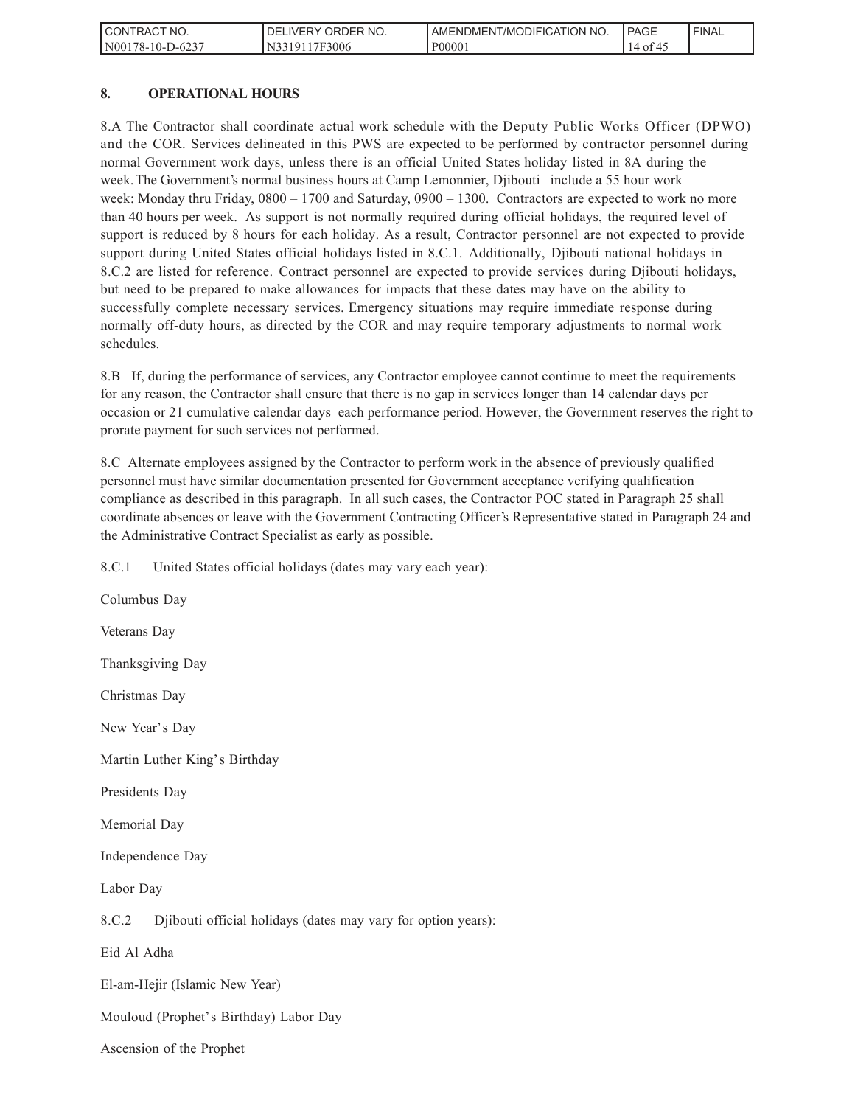| CT NO.<br><b>CONTRACT</b> | <b>I</b> DELIVERY ORDER NO. | I AMENDMENT/MODIFICATION NO. | <b>PAGE</b> | <b>FINAL</b> |
|---------------------------|-----------------------------|------------------------------|-------------|--------------|
| N00178-10-D-6237          | N3319117F3006               | P00001                       | 14 of 45    |              |

### **8. OPERATIONAL HOURS**

8.A The Contractor shall coordinate actual work schedule with the Deputy Public Works Officer (DPWO) and the COR. Services delineated in this PWS are expected to be performed by contractor personnel during normal Government work days, unless there is an official United States holiday listed in 8A during the week. The Government's normal business hours at Camp Lemonnier, Djibouti include a 55 hour work week: Monday thru Friday,  $0800 - 1700$  and Saturday,  $0900 - 1300$ . Contractors are expected to work no more than 40 hours per week. As support is not normally required during official holidays, the required level of support is reduced by 8 hours for each holiday. As a result, Contractor personnel are not expected to provide support during United States official holidays listed in 8.C.1. Additionally, Djibouti national holidays in 8.C.2 are listed for reference. Contract personnel are expected to provide services during Djibouti holidays, but need to be prepared to make allowances for impacts that these dates may have on the ability to successfully complete necessary services. Emergency situations may require immediate response during normally off-duty hours, as directed by the COR and may require temporary adjustments to normal work schedules.

8.B If, during the performance of services, any Contractor employee cannot continue to meet the requirements for any reason, the Contractor shall ensure that there is no gap in services longer than 14 calendar days per occasion or 21 cumulative calendar days each performance period. However, the Government reserves the right to prorate payment for such services not performed.

8.C Alternate employees assigned by the Contractor to perform work in the absence of previously qualified personnel must have similar documentation presented for Government acceptance verifying qualification compliance as described in this paragraph. In all such cases, the Contractor POC stated in Paragraph 25 shall coordinate absences or leave with the Government Contracting Officer's Representative stated in Paragraph 24 and the Administrative Contract Specialist as early as possible.

8.C.1 United States official holidays (dates may vary each year):

Columbus Day Veterans Day Thanksgiving Day Christmas Day New Year's Day Martin Luther King's Birthday Presidents Day Memorial Day Independence Day Labor Day 8.C.2 Djibouti official holidays (dates may vary for option years): Eid Al Adha El-am-Hejir (Islamic New Year) Mouloud (Prophet's Birthday) Labor Day Ascension of the Prophet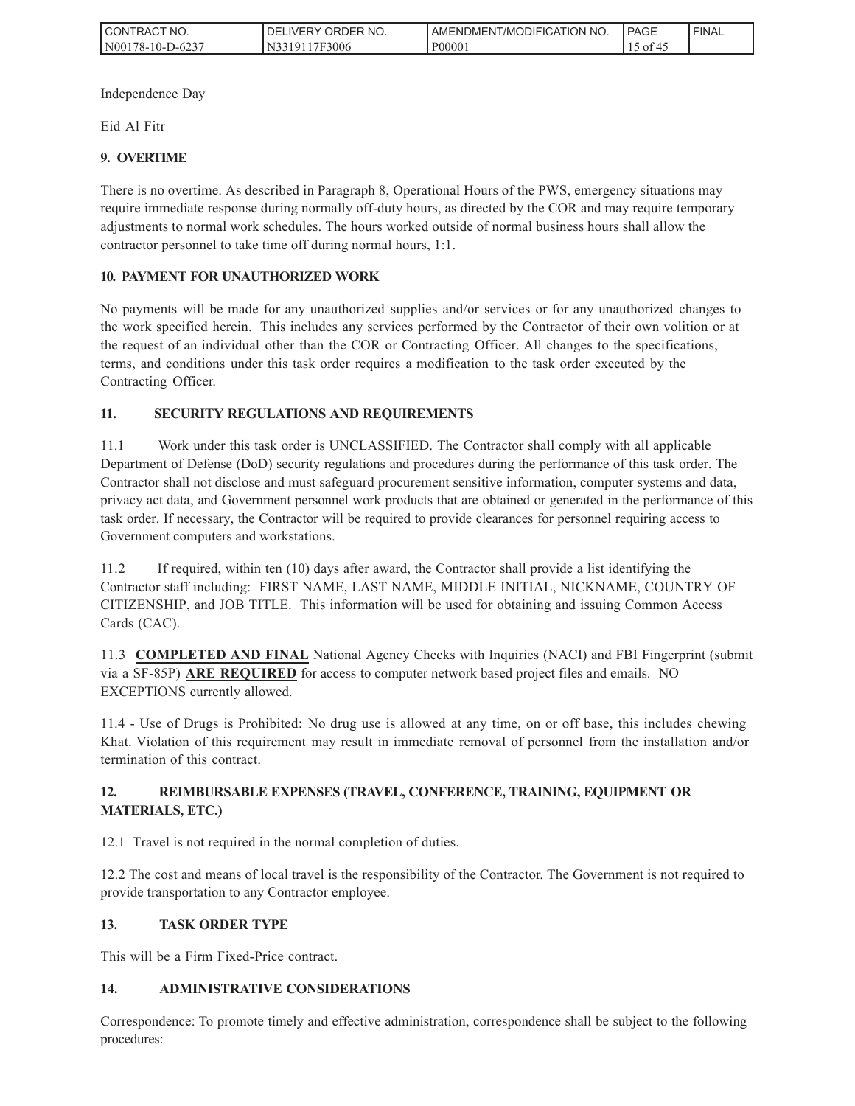| I CONT<br>'NO.<br><b>IRAC</b> | ' ORDER NO.<br>DF<br>IVERY. | <b>I AMENDMENT/MODIFICATION</b><br>NO. | <b>PAGE</b> | <b>FINAL</b> |
|-------------------------------|-----------------------------|----------------------------------------|-------------|--------------|
| N00<br>$-0.623$<br>$78-10-D$  | TF3006<br>∣ Q I             | P00001                                 | 0Ī          |              |

Independence Day

Eid Al Fitr

# **9. OVERTIME**

There is no overtime. As described in Paragraph 8, Operational Hours of the PWS, emergency situations may require immediate response during normally off-duty hours, as directed by the COR and may require temporary adjustments to normal work schedules. The hours worked outside of normal business hours shall allow the contractor personnel to take time off during normal hours, 1:1.

# **10. PAYMENT FOR UNAUTHORIZED WORK**

No payments will be made for any unauthorized supplies and/or services or for any unauthorized changes to the work specified herein. This includes any services performed by the Contractor of their own volition or at the request of an individual other than the COR or Contracting Officer. All changes to the specifications, terms, and conditions under this task order requires a modification to the task order executed by the Contracting Officer.

# **11. SECURITY REGULATIONS AND REQUIREMENTS**

11.1 Work under this task order is UNCLASSIFIED. The Contractor shall comply with all applicable Department of Defense (DoD) security regulations and procedures during the performance of this task order. The Contractor shall not disclose and must safeguard procurement sensitive information, computer systems and data, privacy act data, and Government personnel work products that are obtained or generated in the performance of this task order. If necessary, the Contractor will be required to provide clearances for personnel requiring access to Government computers and workstations.

11.2 If required, within ten (10) days after award, the Contractor shall provide a list identifying the Contractor staff including: FIRST NAME, LAST NAME, MIDDLE INITIAL, NICKNAME, COUNTRY OF CITIZENSHIP, and JOB TITLE. This information will be used for obtaining and issuing Common Access Cards (CAC).

11.3 **COMPLETED AND FINAL** National Agency Checks with Inquiries (NACI) and FBI Fingerprint (submit via a SF-85P) **ARE REQUIRED** for access to computer network based project files and emails. NO EXCEPTIONS currently allowed.

11.4 - Use of Drugs is Prohibited: No drug use is allowed at any time, on or off base, this includes chewing Khat. Violation of this requirement may result in immediate removal of personnel from the installation and/or termination of this contract.

# **12. REIMBURSABLE EXPENSES (TRAVEL, CONFERENCE, TRAINING, EQUIPMENT OR MATERIALS, ETC.)**

12.1 Travel is not required in the normal completion of duties.

12.2 The cost and means of local travel is the responsibility of the Contractor. The Government is not required to provide transportation to any Contractor employee.

# **13. TASK ORDER TYPE**

This will be a Firm Fixed-Price contract.

# **14. ADMINISTRATIVE CONSIDERATIONS**

Correspondence: To promote timely and effective administration, correspondence shall be subject to the following procedures: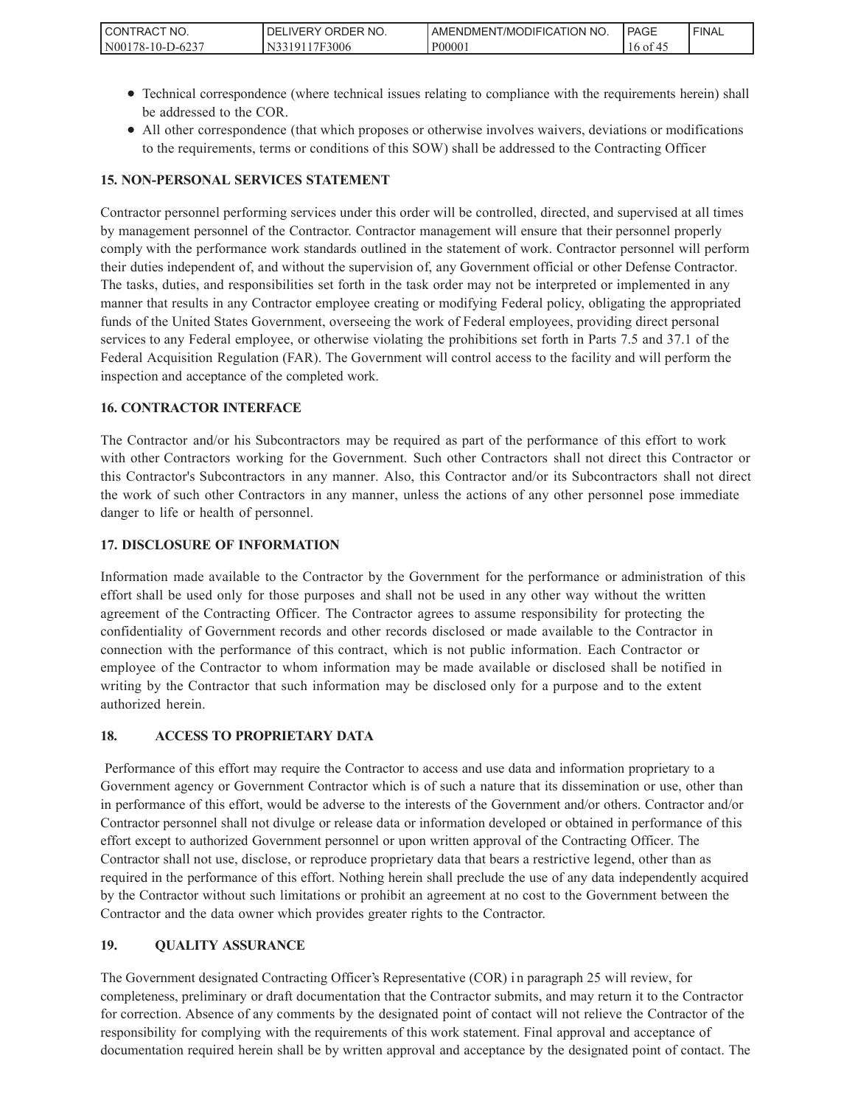| " NO.<br>CONTRACT | ' ORDER NO.<br>DELIVERY C     | AMENDMENT/MODIFICATION I<br>'NO. | <b>PAGE</b> | <b>FINAL</b> |
|-------------------|-------------------------------|----------------------------------|-------------|--------------|
| $NO0178-10-D-623$ | <sup>1</sup> 7F3006<br>131911 | P0000 <sub>1</sub>               | 16 of       |              |

- Technical correspondence (where technical issues relating to compliance with the requirements herein) shall be addressed to the COR.
- All other correspondence (that which proposes or otherwise involves waivers, deviations or modifications to the requirements, terms or conditions of this SOW) shall be addressed to the Contracting Officer

### **15. NON-PERSONAL SERVICES STATEMENT**

Contractor personnel performing services under this order will be controlled, directed, and supervised at all times by management personnel of the Contractor. Contractor management will ensure that their personnel properly comply with the performance work standards outlined in the statement of work. Contractor personnel will perform their duties independent of, and without the supervision of, any Government official or other Defense Contractor. The tasks, duties, and responsibilities set forth in the task order may not be interpreted or implemented in any manner that results in any Contractor employee creating or modifying Federal policy, obligating the appropriated funds of the United States Government, overseeing the work of Federal employees, providing direct personal services to any Federal employee, or otherwise violating the prohibitions set forth in Parts 7.5 and 37.1 of the Federal Acquisition Regulation (FAR). The Government will control access to the facility and will perform the inspection and acceptance of the completed work.

### **16. CONTRACTOR INTERFACE**

The Contractor and/or his Subcontractors may be required as part of the performance of this effort to work with other Contractors working for the Government. Such other Contractors shall not direct this Contractor or this Contractor's Subcontractors in any manner. Also, this Contractor and/or its Subcontractors shall not direct the work of such other Contractors in any manner, unless the actions of any other personnel pose immediate danger to life or health of personnel.

### **17. DISCLOSURE OF INFORMATION**

Information made available to the Contractor by the Government for the performance or administration of this effort shall be used only for those purposes and shall not be used in any other way without the written agreement of the Contracting Officer. The Contractor agrees to assume responsibility for protecting the confidentiality of Government records and other records disclosed or made available to the Contractor in connection with the performance of this contract, which is not public information. Each Contractor or employee of the Contractor to whom information may be made available or disclosed shall be notified in writing by the Contractor that such information may be disclosed only for a purpose and to the extent authorized herein.

### **18. ACCESS TO PROPRIETARY DATA**

Performance of this effort may require the Contractor to access and use data and information proprietary to a Government agency or Government Contractor which is of such a nature that its dissemination or use, other than in performance of this effort, would be adverse to the interests of the Government and/or others. Contractor and/or Contractor personnel shall not divulge or release data or information developed or obtained in performance of this effort except to authorized Government personnel or upon written approval of the Contracting Officer. The Contractor shall not use, disclose, or reproduce proprietary data that bears a restrictive legend, other than as required in the performance of this effort. Nothing herein shall preclude the use of any data independently acquired by the Contractor without such limitations or prohibit an agreement at no cost to the Government between the Contractor and the data owner which provides greater rights to the Contractor.

### **19. QUALITY ASSURANCE**

The Government designated Contracting Officer's Representative (COR) i n paragraph 25 will review, for completeness, preliminary or draft documentation that the Contractor submits, and may return it to the Contractor for correction. Absence of any comments by the designated point of contact will not relieve the Contractor of the responsibility for complying with the requirements of this work statement. Final approval and acceptance of documentation required herein shall be by written approval and acceptance by the designated point of contact. The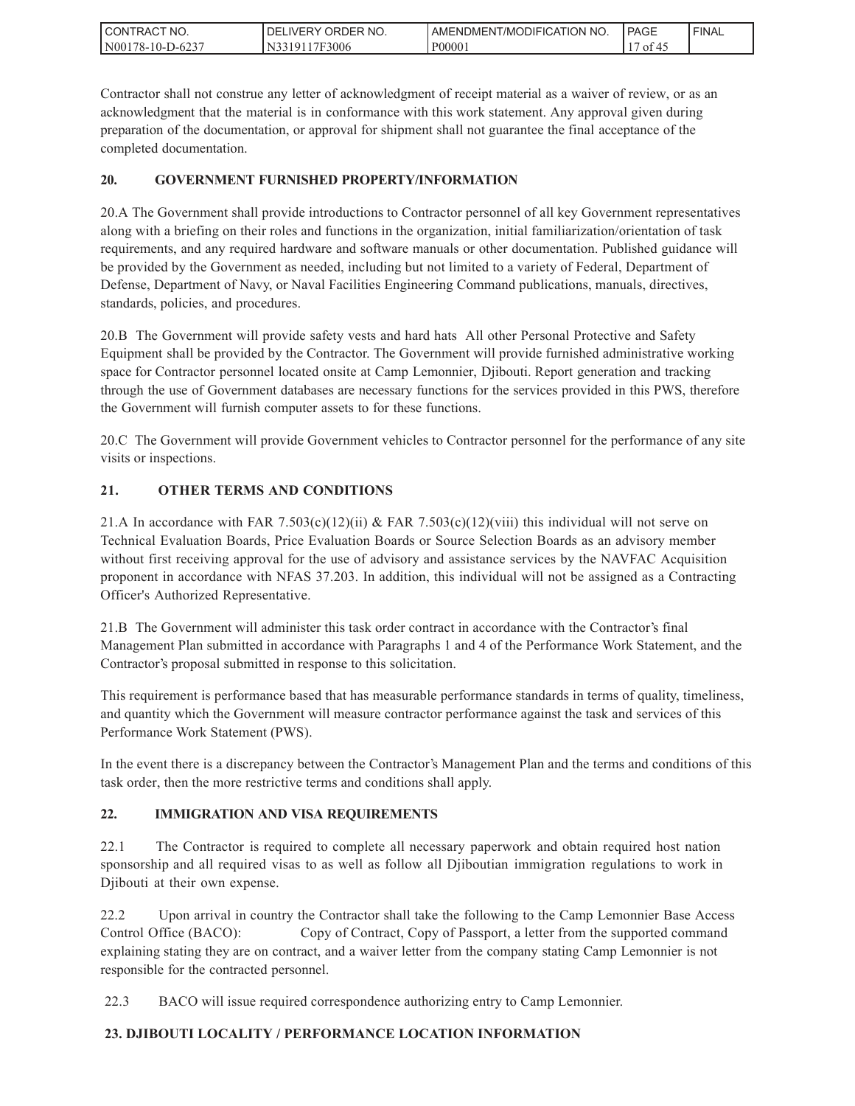| I CONTRACT NO.   | ' ORDER NO.<br>DELIVERY (    | <b>LAMENDMENT/MODIFICATION NO.</b> | <b>PAGE</b>                    | ' FINAL |
|------------------|------------------------------|------------------------------------|--------------------------------|---------|
| N00178-10-D-6237 | <sup>1</sup> 7F3006<br>33191 | P00001                             | $\overline{\phantom{0}}$<br>0t |         |

Contractor shall not construe any letter of acknowledgment of receipt material as a waiver of review, or as an acknowledgment that the material is in conformance with this work statement. Any approval given during preparation of the documentation, or approval for shipment shall not guarantee the final acceptance of the completed documentation.

# **20. GOVERNMENT FURNISHED PROPERTY/INFORMATION**

20.A The Government shall provide introductions to Contractor personnel of all key Government representatives along with a briefing on their roles and functions in the organization, initial familiarization/orientation of task requirements, and any required hardware and software manuals or other documentation. Published guidance will be provided by the Government as needed, including but not limited to a variety of Federal, Department of Defense, Department of Navy, or Naval Facilities Engineering Command publications, manuals, directives, standards, policies, and procedures.

20.B The Government will provide safety vests and hard hats All other Personal Protective and Safety Equipment shall be provided by the Contractor. The Government will provide furnished administrative working space for Contractor personnel located onsite at Camp Lemonnier, Djibouti. Report generation and tracking through the use of Government databases are necessary functions for the services provided in this PWS, therefore the Government will furnish computer assets to for these functions.

20.C The Government will provide Government vehicles to Contractor personnel for the performance of any site visits or inspections.

### **21. OTHER TERMS AND CONDITIONS**

21.A In accordance with FAR 7.503(c)(12)(ii) & FAR 7.503(c)(12)(viii) this individual will not serve on Technical Evaluation Boards, Price Evaluation Boards or Source Selection Boards as an advisory member without first receiving approval for the use of advisory and assistance services by the NAVFAC Acquisition proponent in accordance with NFAS 37.203. In addition, this individual will not be assigned as a Contracting Officer's Authorized Representative.

21.B The Government will administer this task order contract in accordance with the Contractor's final Management Plan submitted in accordance with Paragraphs 1 and 4 of the Performance Work Statement, and the Contractor's proposal submitted in response to this solicitation.

This requirement is performance based that has measurable performance standards in terms of quality, timeliness, and quantity which the Government will measure contractor performance against the task and services of this Performance Work Statement (PWS).

In the event there is a discrepancy between the Contractor's Management Plan and the terms and conditions of this task order, then the more restrictive terms and conditions shall apply.

### **22. IMMIGRATION AND VISA REQUIREMENTS**

22.1 The Contractor is required to complete all necessary paperwork and obtain required host nation sponsorship and all required visas to as well as follow all Djiboutian immigration regulations to work in Djibouti at their own expense.

22.2 Upon arrival in country the Contractor shall take the following to the Camp Lemonnier Base Access Control Office (BACO): Copy of Contract, Copy of Passport, a letter from the supported command explaining stating they are on contract, and a waiver letter from the company stating Camp Lemonnier is not responsible for the contracted personnel.

22.3 BACO will issue required correspondence authorizing entry to Camp Lemonnier.

# **23. DJIBOUTI LOCALITY / PERFORMANCE LOCATION INFORMATION**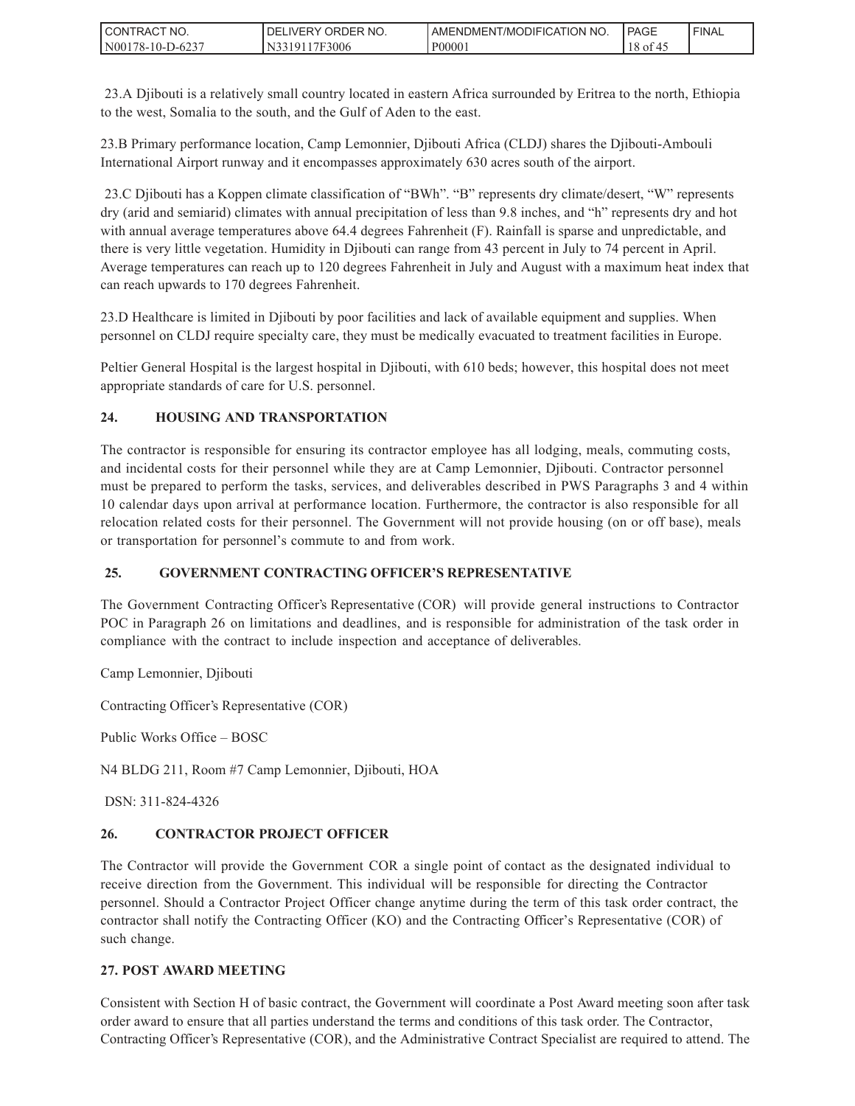| NO.<br><b>CONTRAC</b>     | ' NO.<br>' ORDER<br><b>DELIVERY</b> | AMENDMENT/MODIFICATION NO. | <b>PAGE</b> | ' FINAL |
|---------------------------|-------------------------------------|----------------------------|-------------|---------|
| N00<br>78-10-L<br>$12-62$ | 3006<br>וטו<br>N                    | P0000                      | οt          |         |

 23.A Djibouti is a relatively small country located in eastern Africa surrounded by Eritrea to the north, Ethiopia to the west, Somalia to the south, and the Gulf of Aden to the east.

23.B Primary performance location, Camp Lemonnier, Djibouti Africa (CLDJ) shares the Djibouti-Ambouli International Airport runway and it encompasses approximately 630 acres south of the airport.

 23.C Djibouti has a Koppen climate classification of "BWh". "B" represents dry climate/desert, "W" represents dry (arid and semiarid) climates with annual precipitation of less than 9.8 inches, and "h" represents dry and hot with annual average temperatures above 64.4 degrees Fahrenheit (F). Rainfall is sparse and unpredictable, and there is very little vegetation. Humidity in Djibouti can range from 43 percent in July to 74 percent in April. Average temperatures can reach up to 120 degrees Fahrenheit in July and August with a maximum heat index that can reach upwards to 170 degrees Fahrenheit.

23.D Healthcare is limited in Djibouti by poor facilities and lack of available equipment and supplies. When personnel on CLDJ require specialty care, they must be medically evacuated to treatment facilities in Europe.

Peltier General Hospital is the largest hospital in Djibouti, with 610 beds; however, this hospital does not meet appropriate standards of care for U.S. personnel.

### **24. HOUSING AND TRANSPORTATION**

The contractor is responsible for ensuring its contractor employee has all lodging, meals, commuting costs, and incidental costs for their personnel while they are at Camp Lemonnier, Djibouti. Contractor personnel must be prepared to perform the tasks, services, and deliverables described in PWS Paragraphs 3 and 4 within 10 calendar days upon arrival at performance location. Furthermore, the contractor is also responsible for all relocation related costs for their personnel. The Government will not provide housing (on or off base), meals or transportation for personnel's commute to and from work.

### **25. GOVERNMENT CONTRACTING OFFICER'S REPRESENTATIVE**

The Government Contracting Officer's Representative (COR) will provide general instructions to Contractor POC in Paragraph 26 on limitations and deadlines, and is responsible for administration of the task order in compliance with the contract to include inspection and acceptance of deliverables.

Camp Lemonnier, Djibouti

Contracting Officer's Representative (COR)

Public Works Office – BOSC

N4 BLDG 211, Room #7 Camp Lemonnier, Djibouti, HOA

DSN: 311-824-4326

### **26. CONTRACTOR PROJECT OFFICER**

The Contractor will provide the Government COR a single point of contact as the designated individual to receive direction from the Government. This individual will be responsible for directing the Contractor personnel. Should a Contractor Project Officer change anytime during the term of this task order contract, the contractor shall notify the Contracting Officer (KO) and the Contracting Officer's Representative (COR) of such change.

### **27. POST AWARD MEETING**

Consistent with Section H of basic contract, the Government will coordinate a Post Award meeting soon after task order award to ensure that all parties understand the terms and conditions of this task order. The Contractor, Contracting Officer's Representative (COR), and the Administrative Contract Specialist are required to attend. The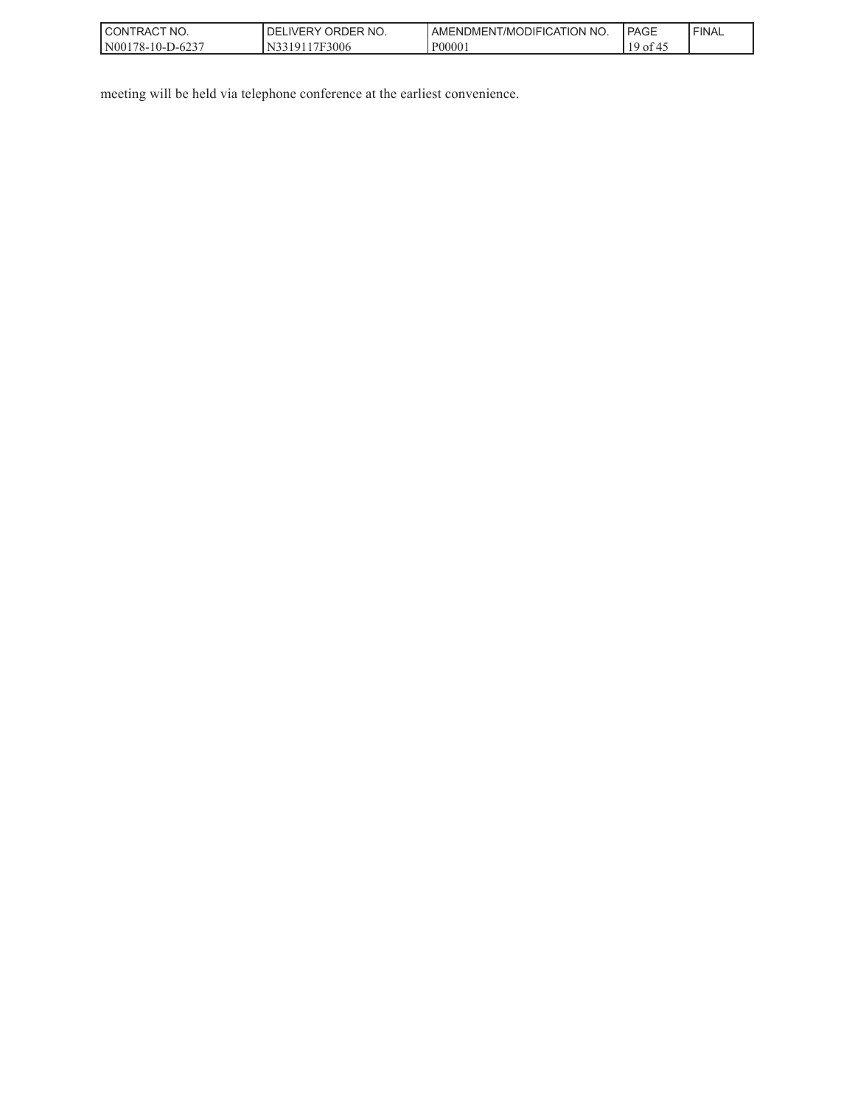| 'NO.<br>CONTRAC <sup>-</sup>            | RDER NO.<br>DE<br>JK'<br>. IVERY | T/MODIFICATION NO.<br>AMENDMENT | <b>PAGE</b> | <b>FINAL</b> |
|-----------------------------------------|----------------------------------|---------------------------------|-------------|--------------|
| N00 <sub>1</sub><br>78-10-1<br>$1 - 62$ | 7F3006<br>. O<br>N               | P00001                          | 9 of        |              |

meeting will be held via telephone conference at the earliest convenience.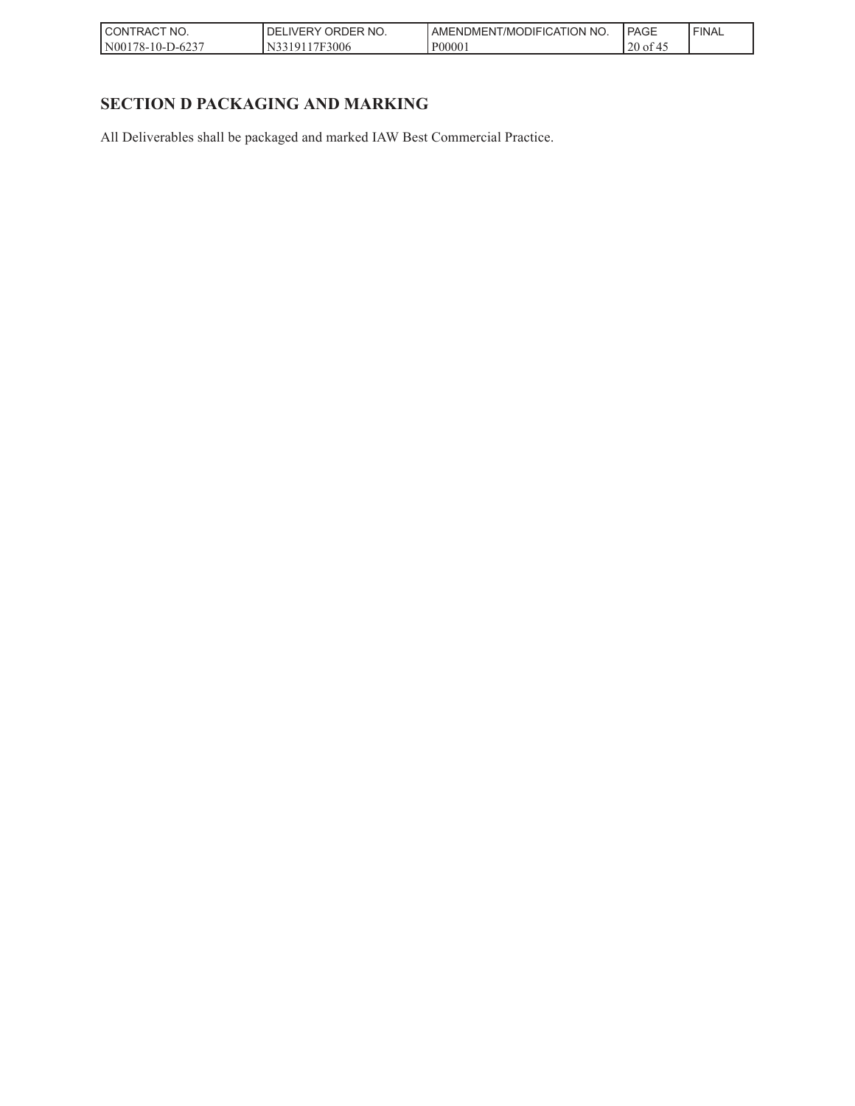| 'NO.<br>CONTRAC                         | RDER NO.<br>DE<br>יאט<br>IVFRY | AMENDMENT/MODIFICATION NO. | <b>PAGE</b>        | <b>FINAL</b> |
|-----------------------------------------|--------------------------------|----------------------------|--------------------|--------------|
| N00 <sub>1</sub><br>78-10-1<br>$1 - 62$ | <sup>7</sup> F3006<br>ı u<br>N | P0000                      | . .<br>nη<br>20 of |              |

# **SECTION D PACKAGING AND MARKING**

All Deliverables shall be packaged and marked IAW Best Commercial Practice.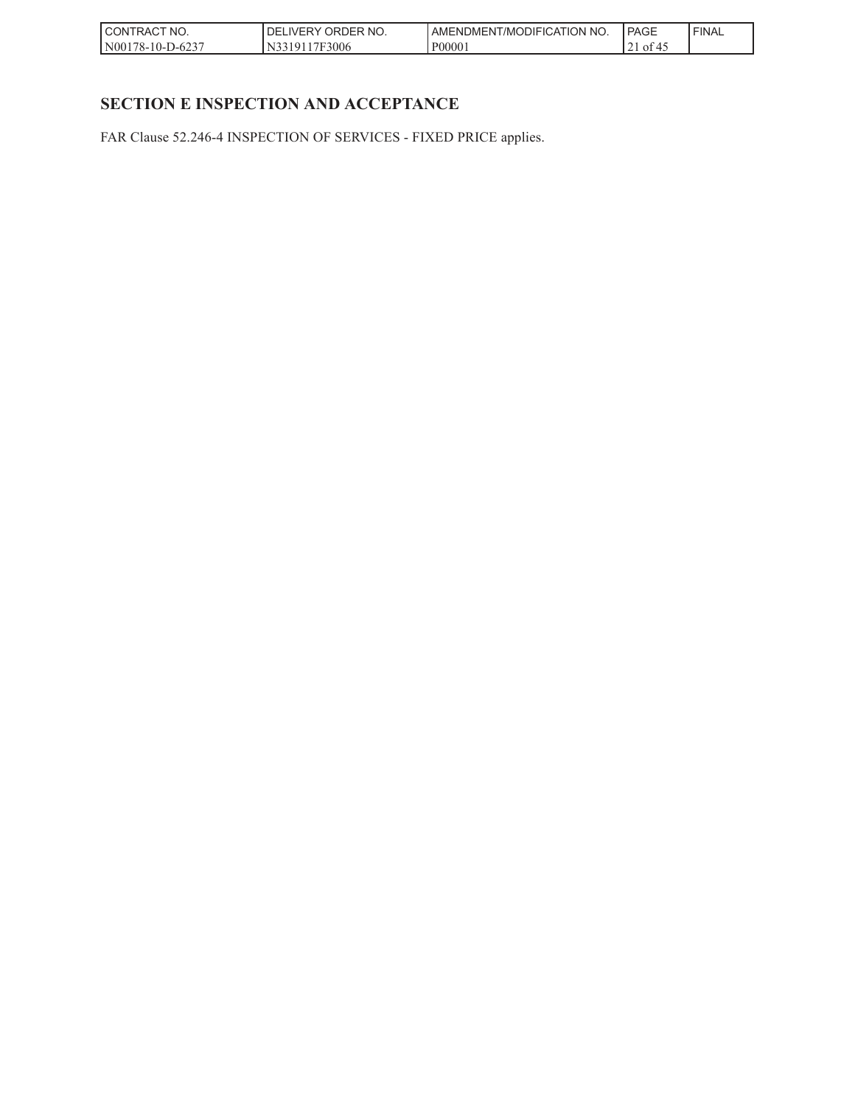| 'NO.<br>CONTRAC                               | RDER NO.<br>DE<br>JK'<br>IVFRY | T/MODIFICATION NO.<br>AME<br>·NI)M⊢N I | <b>PAGE</b> | <b>FINAL</b> |
|-----------------------------------------------|--------------------------------|----------------------------------------|-------------|--------------|
| N00 <sub>1</sub><br>$/8 - 10 - 1$<br>$1 - 62$ | <sup>7</sup> F3006<br>u<br>N   | P00001                                 | . .<br>οt   |              |

# **SECTION E INSPECTION AND ACCEPTANCE**

FAR Clause 52.246-4 INSPECTION OF SERVICES - FIXED PRICE applies.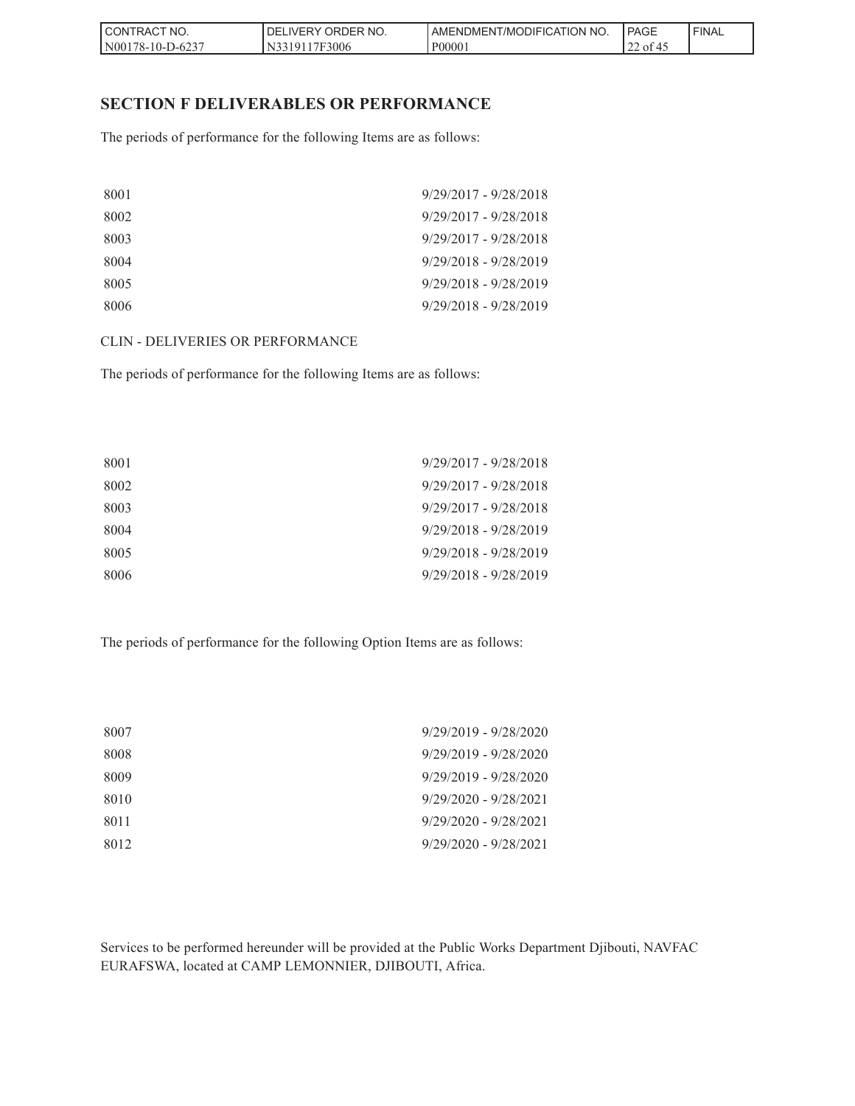| ' CONTRACT NO.   | ' ORDER NO.<br>DELIVERY C | AMENDMENT/MODIFICATION NO. | <b>PAGE</b>   | <b>FINAL</b> |
|------------------|---------------------------|----------------------------|---------------|--------------|
| N00178-10-D-6237 | 319117F3006               | P00001                     | $\sim$<br>∶ot |              |

# **SECTION F DELIVERABLES OR PERFORMANCE**

The periods of performance for the following Items are as follows:

| 8001 | $9/29/2017 - 9/28/2018$ |
|------|-------------------------|
| 8002 | $9/29/2017 - 9/28/2018$ |
| 8003 | $9/29/2017 - 9/28/2018$ |
| 8004 | $9/29/2018 - 9/28/2019$ |
| 8005 | $9/29/2018 - 9/28/2019$ |
| 8006 | $9/29/2018 - 9/28/2019$ |

## CLIN - DELIVERIES OR PERFORMANCE

The periods of performance for the following Items are as follows:

| 8001 | $9/29/2017 - 9/28/2018$ |
|------|-------------------------|
| 8002 | $9/29/2017 - 9/28/2018$ |
| 8003 | $9/29/2017 - 9/28/2018$ |
| 8004 | $9/29/2018 - 9/28/2019$ |
| 8005 | $9/29/2018 - 9/28/2019$ |
| 8006 | $9/29/2018 - 9/28/2019$ |

The periods of performance for the following Option Items are as follows:

| 8007 | $9/29/2019 - 9/28/2020$ |
|------|-------------------------|
| 8008 | $9/29/2019 - 9/28/2020$ |
| 8009 | $9/29/2019 - 9/28/2020$ |
| 8010 | $9/29/2020 - 9/28/2021$ |
| 8011 | $9/29/2020 - 9/28/2021$ |
| 8012 | $9/29/2020 - 9/28/2021$ |

Services to be performed hereunder will be provided at the Public Works Department Djibouti, NAVFAC EURAFSWA, located at CAMP LEMONNIER, DJIBOUTI, Africa.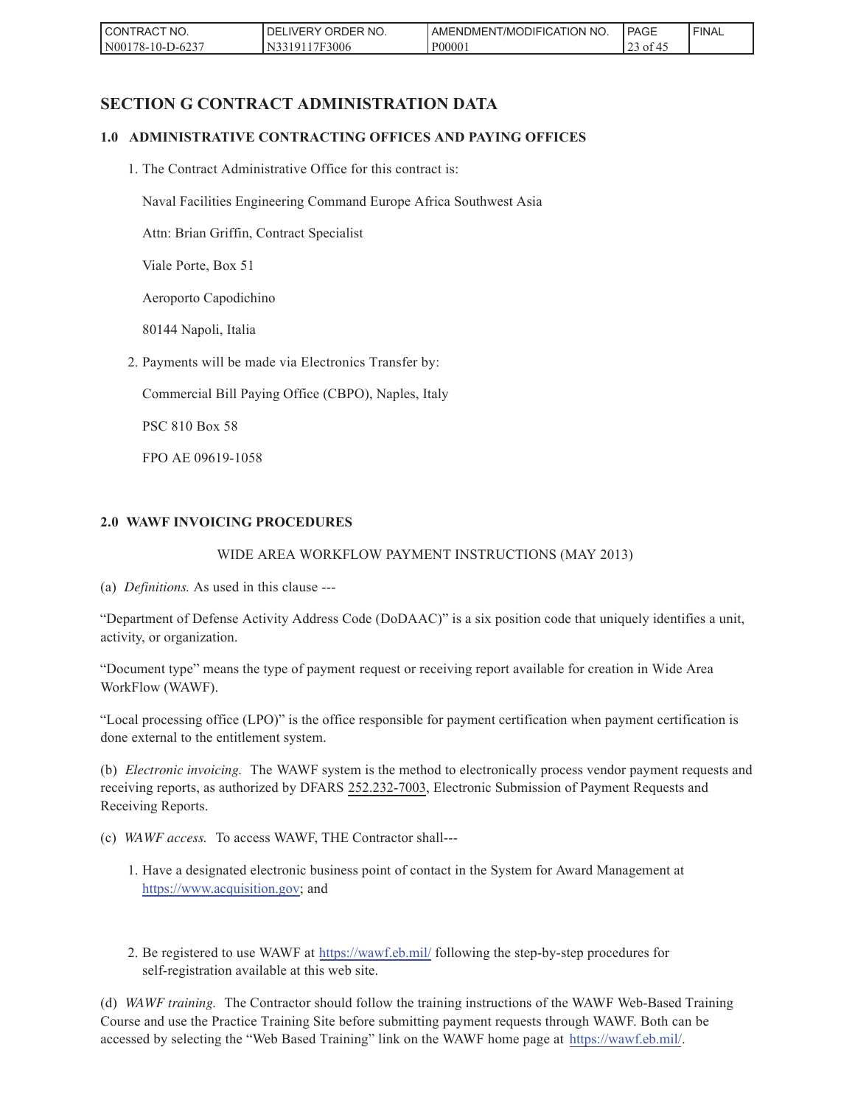| I CONTRACT NO.   | <b>I DELIVERY ORDER NO.</b> | AMENDMENT/MODIFICATION I<br>' NO. | PAGE      | <b>FINAL</b> |
|------------------|-----------------------------|-----------------------------------|-----------|--------------|
| N00178-10-D-6237 | N3319117F3006               | P00001                            | $\circ$ t |              |

# **SECTION G CONTRACT ADMINISTRATION DATA**

### **1.0 ADMINISTRATIVE CONTRACTING OFFICES AND PAYING OFFICES**

1. The Contract Administrative Office for this contract is:

Naval Facilities Engineering Command Europe Africa Southwest Asia

Attn: Brian Griffin, Contract Specialist

Viale Porte, Box 51

Aeroporto Capodichino

80144 Napoli, Italia

2. Payments will be made via Electronics Transfer by:

Commercial Bill Paying Office (CBPO), Naples, Italy

PSC 810 Box 58

FPO AE 09619-1058

### **2.0 WAWF INVOICING PROCEDURES**

### WIDE AREA WORKFLOW PAYMENT INSTRUCTIONS (MAY 2013)

(a) *Definitions.* As used in this clause ---

"Department of Defense Activity Address Code (DoDAAC)" is a six position code that uniquely identifies a unit, activity, or organization.

"Document type" means the type of payment request or receiving report available for creation in Wide Area WorkFlow (WAWF).

"Local processing office (LPO)" is the office responsible for payment certification when payment certification is done external to the entitlement system.

(b) *Electronic invoicing.* The WAWF system is the method to electronically process vendor payment requests and receiving reports, as authorized by DFARS 252.232-7003, Electronic Submission of Payment Requests and Receiving Reports.

- (c) *WAWF access.* To access WAWF, THE Contractor shall---
	- 1. Have a designated electronic business point of contact in the System for Award Management at https://www.acquisition.gov; and
	- 2. Be registered to use WAWF at https://wawf.eb.mil/ following the step-by-step procedures for self-registration available at this web site.

(d) *WAWF training.* The Contractor should follow the training instructions of the WAWF Web-Based Training Course and use the Practice Training Site before submitting payment requests through WAWF. Both can be accessed by selecting the "Web Based Training" link on the WAWF home page at https://wawf.eb.mil/.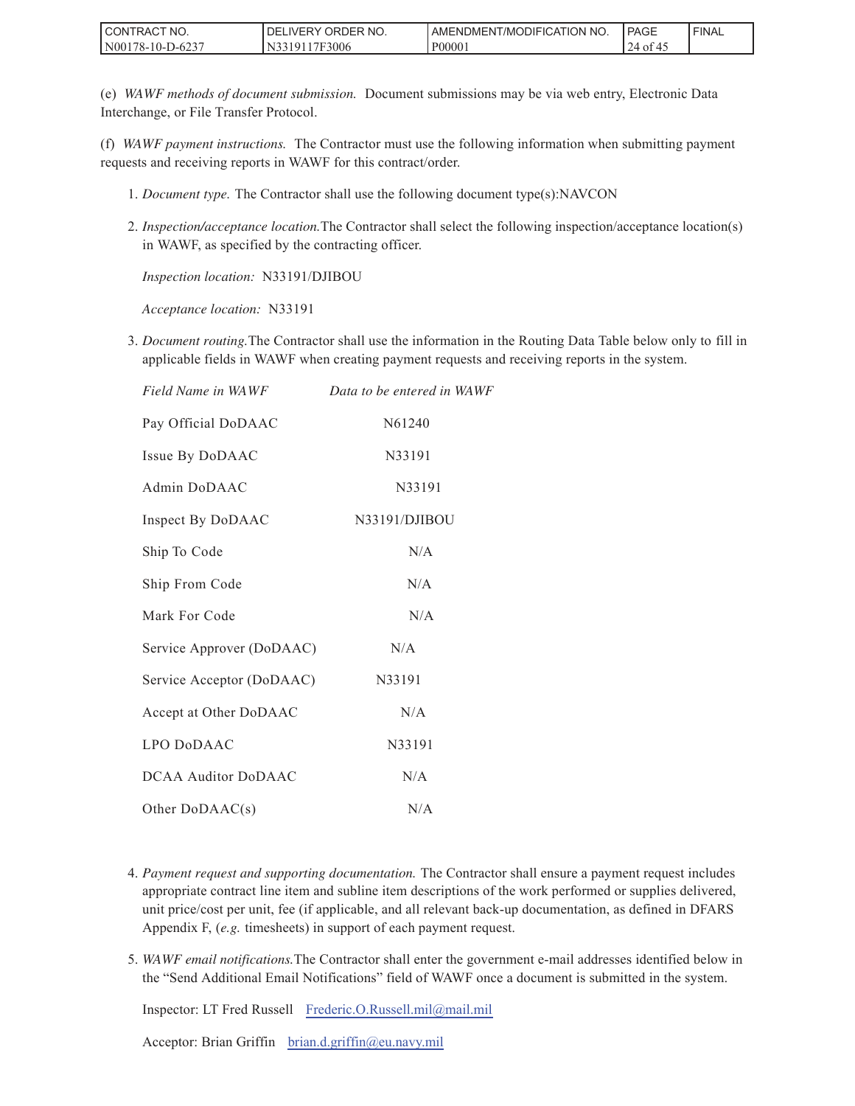| I CONTRACT NO.   | ' ORDER NO.<br>DELIVERY C | AMENDMENT/MODIFICATION I<br>' NO. | <b>PAGE</b> | `FINAL |
|------------------|---------------------------|-----------------------------------|-------------|--------|
| N00178-10-D-6237 | N3319117F3006             | P00001                            | $24$ of     |        |

(e) *WAWF methods of document submission.* Document submissions may be via web entry, Electronic Data Interchange, or File Transfer Protocol.

(f) *WAWF payment instructions.* The Contractor must use the following information when submitting payment requests and receiving reports in WAWF for this contract/order.

- 1. *Document type.* The Contractor shall use the following document type(s):NAVCON
- *Inspection/acceptance location.*The Contractor shall select the following inspection/acceptance location(s) 2. in WAWF, as specified by the contracting officer.

*Inspection location:* N33191/DJIBOU

*Acceptance location:* N33191

*Document routing.*The Contractor shall use the information in the Routing Data Table below only to fill in 3. applicable fields in WAWF when creating payment requests and receiving reports in the system.

| Field Name in WAWF        | Data to be entered in WAWF |
|---------------------------|----------------------------|
| Pay Official DoDAAC       | N61240                     |
| Issue By DoDAAC           | N33191                     |
| Admin DoDAAC              | N33191                     |
| Inspect By DoDAAC         | N33191/DJIBOU              |
| Ship To Code              | N/A                        |
| Ship From Code            | N/A                        |
| Mark For Code             | N/A                        |
| Service Approver (DoDAAC) | N/A                        |
| Service Acceptor (DoDAAC) | N33191                     |
| Accept at Other DoDAAC    | N/A                        |
| LPO DoDAAC                | N33191                     |
| DCAA Auditor DoDAAC       | N/A                        |
| Other DoDAAC(s)           | N/A                        |

- *Payment request and supporting documentation.* The Contractor shall ensure a payment request includes 4. appropriate contract line item and subline item descriptions of the work performed or supplies delivered, unit price/cost per unit, fee (if applicable, and all relevant back-up documentation, as defined in DFARS Appendix F, (*e.g.* timesheets) in support of each payment request.
- *WAWF email notifications.*The Contractor shall enter the government e-mail addresses identified below in 5. the "Send Additional Email Notifications" field of WAWF once a document is submitted in the system.

Inspector: LT Fred Russell Frederic.O.Russell.mil@mail.mil

Acceptor: Brian Griffin brian.d.griffin@eu.navy.mil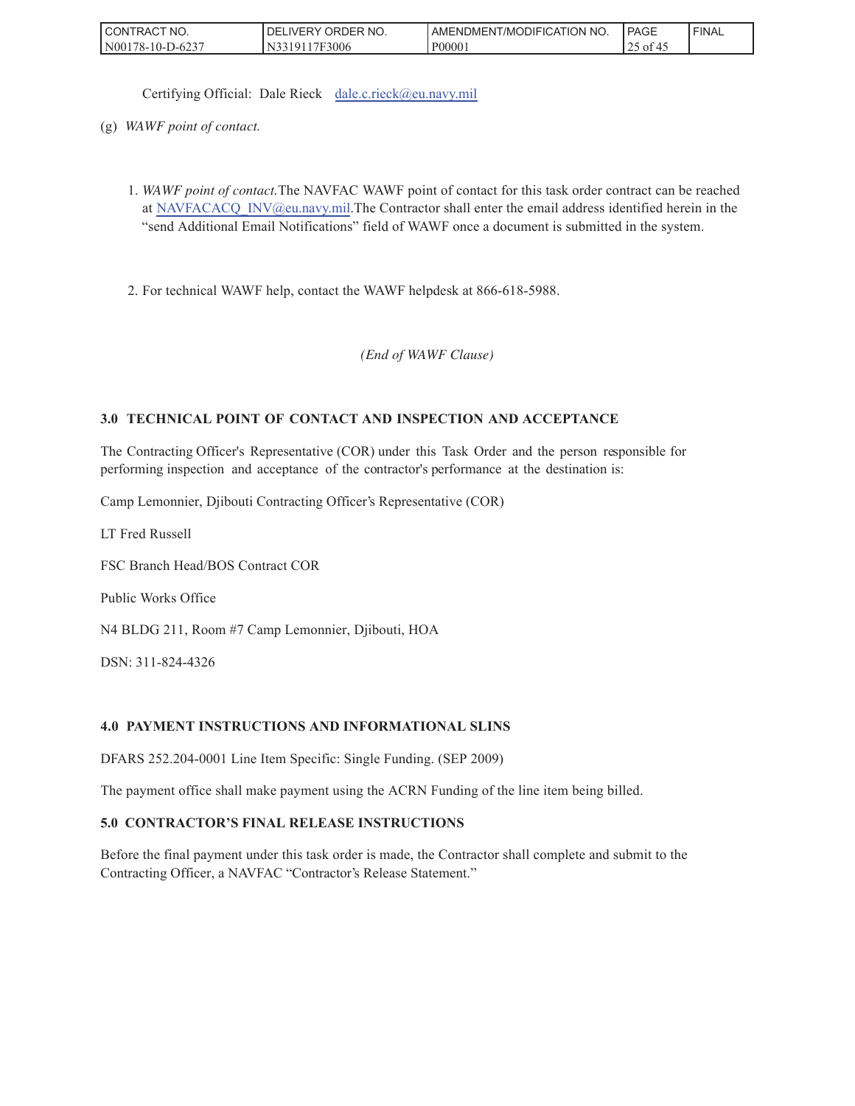| " NO.<br>I CONTRACT          | <b>I DELIVERY ORDER NO.</b> | IT/MODIFICATION<br>NO <sub>1</sub><br>AMENDMENT. | <b>PAGE</b>     | ' FINAL |
|------------------------------|-----------------------------|--------------------------------------------------|-----------------|---------|
| $178 - 10 - D - 623$<br>N001 | 7F3006<br>33191             | P00001                                           | $\overline{ot}$ |         |

Certifying Official: Dale Rieck dale.c.rieck@eu.navy.mil

(g) *WAWF point of contact.*

*WAWF point of contact.*The NAVFAC WAWF point of contact for this task order contract can be reached 1. at NAVFACACQ\_INV@eu.navy.mil.The Contractor shall enter the email address identified herein in the "send Additional Email Notifications" field of WAWF once a document is submitted in the system.

2. For technical WAWF help, contact the WAWF helpdesk at 866-618-5988.

*(End of WAWF Clause)*

### **3.0 TECHNICAL POINT OF CONTACT AND INSPECTION AND ACCEPTANCE**

The Contracting Officer's Representative (COR) under this Task Order and the person responsible for performing inspection and acceptance of the contractor's performance at the destination is:

Camp Lemonnier, Djibouti Contracting Officer's Representative (COR)

LT Fred Russell

FSC Branch Head/BOS Contract COR

Public Works Office

N4 BLDG 211, Room #7 Camp Lemonnier, Djibouti, HOA

DSN: 311-824-4326

### **4.0 PAYMENT INSTRUCTIONS AND INFORMATIONAL SLINS**

DFARS 252.204-0001 Line Item Specific: Single Funding. (SEP 2009)

The payment office shall make payment using the ACRN Funding of the line item being billed.

### **5.0 CONTRACTOR'S FINAL RELEASE INSTRUCTIONS**

Before the final payment under this task order is made, the Contractor shall complete and submit to the Contracting Officer, a NAVFAC "Contractor's Release Statement."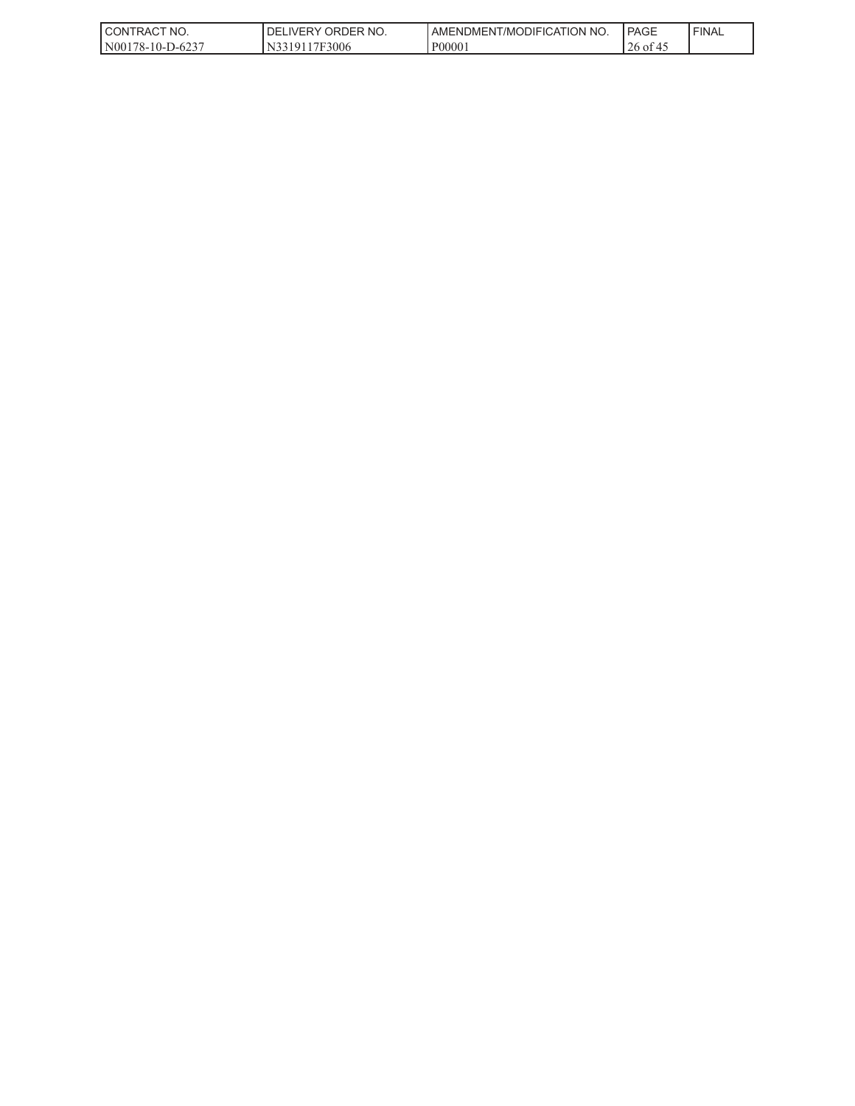| CONTRACT<br>" NO. | ' NO.<br>LIVERY ORDER <b>:</b><br>DEI | AMENDMENT/MODIFICATION<br>'NO. | <b>PAGE</b> | <b>FINAL</b> |
|-------------------|---------------------------------------|--------------------------------|-------------|--------------|
| N00178-10-D-6237  | 7F3006<br>101                         | P <sub>0000</sub>              | $26$ of     |              |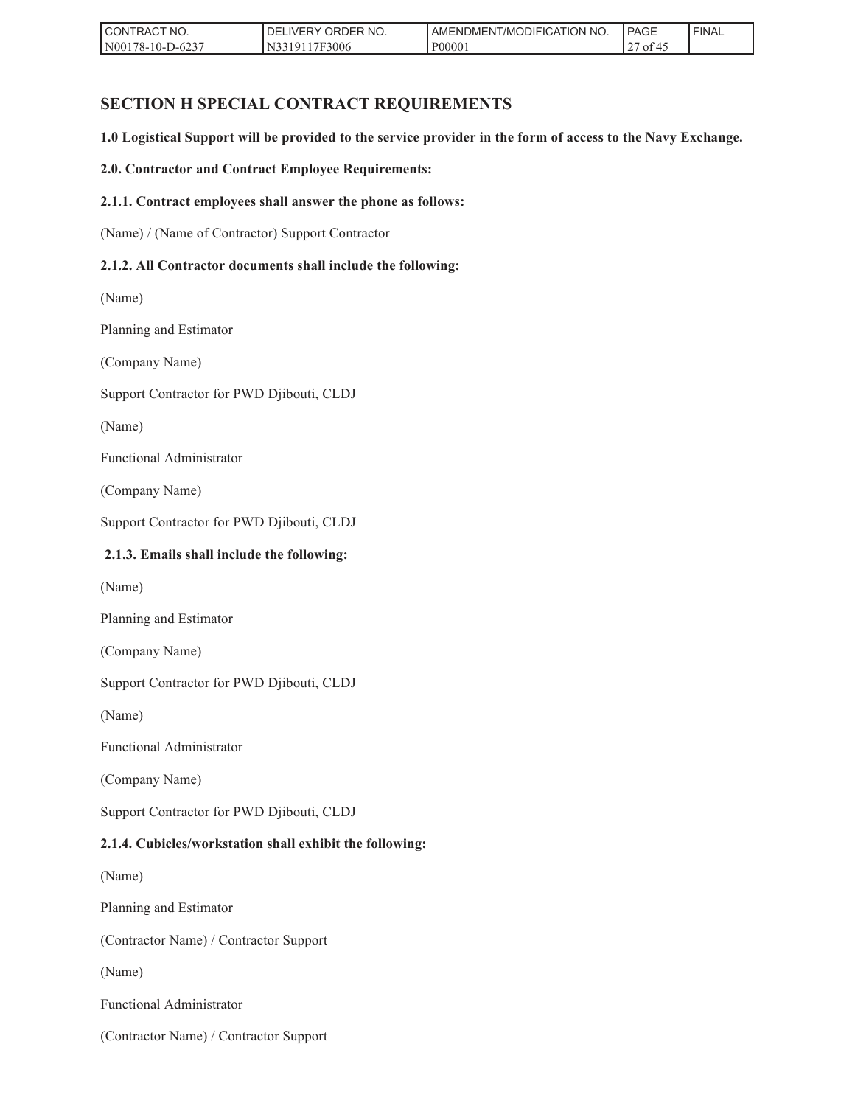| " NO.<br>CONTRACT | ' NO.<br>IVERY ORDER<br>DELI' | AMENDMENT/MODIFICATION<br>' NO. | <b>PAGE</b>                                     | ' FINAL |
|-------------------|-------------------------------|---------------------------------|-------------------------------------------------|---------|
| N00178-10-D-6237  | 7F3006<br>  7F<br>101<br>NL   | P0000 <sub>1</sub>              | $\sim$<br>$\sim$<br>01 <sup>4</sup><br>$\sim$ 1 |         |

# **SECTION H SPECIAL CONTRACT REQUIREMENTS**

**1.0 Logistical Support will be provided to the service provider in the form of access to the Navy Exchange.**

### **2.0. Contractor and Contract Employee Requirements:**

### **2.1.1. Contract employees shall answer the phone as follows:**

(Name) / (Name of Contractor) Support Contractor

### **2.1.2. All Contractor documents shall include the following:**

(Name)

Planning and Estimator

(Company Name)

Support Contractor for PWD Djibouti, CLDJ

(Name)

Functional Administrator

(Company Name)

Support Contractor for PWD Djibouti, CLDJ

### **2.1.3. Emails shall include the following:**

(Name)

Planning and Estimator

(Company Name)

Support Contractor for PWD Djibouti, CLDJ

(Name)

Functional Administrator

(Company Name)

Support Contractor for PWD Djibouti, CLDJ

### **2.1.4. Cubicles/workstation shall exhibit the following:**

(Name)

Planning and Estimator

(Contractor Name) / Contractor Support

(Name)

Functional Administrator

(Contractor Name) / Contractor Support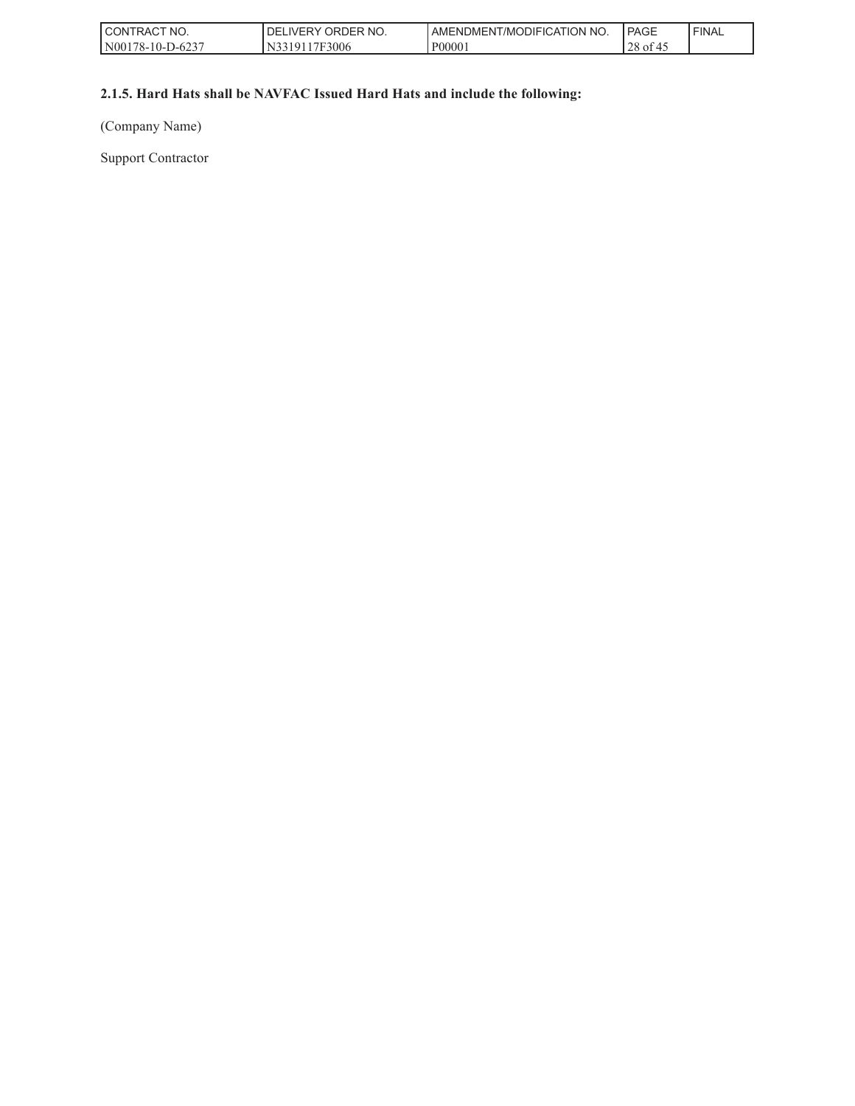| l CON<br>" NO.<br>''RAU. | `NO.<br><b>CRDER</b><br>. v – R | <b>ODIFICATION NO.</b><br><b>AMENDMEN</b><br>/MO | <b>PAGE</b> | <b>FINAL</b> |
|--------------------------|---------------------------------|--------------------------------------------------|-------------|--------------|
| 78-10-D-6237<br>N001     | 3006<br>സ<br>∼                  | P <sub>0000</sub>                                | ററ<br>28 of |              |

# **2.1.5. Hard Hats shall be NAVFAC Issued Hard Hats and include the following:**

(Company Name)

Support Contractor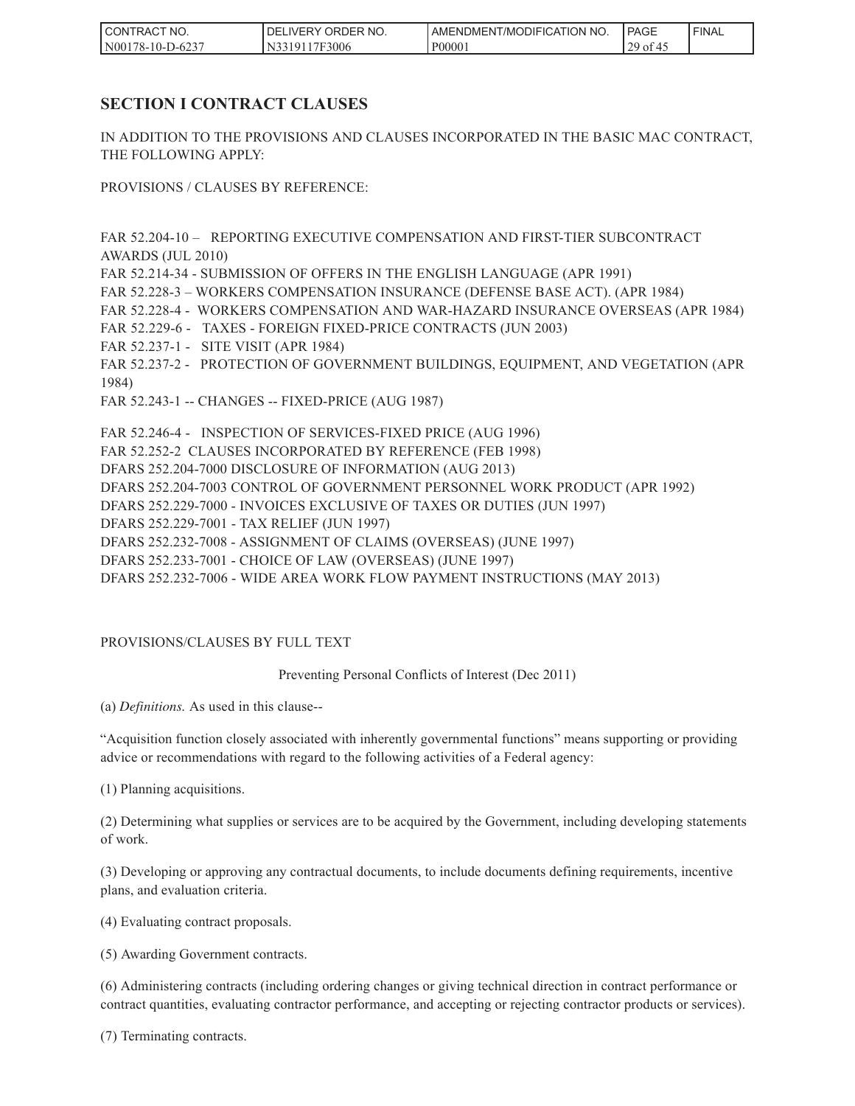| I CONTRACT NO.   | <b>I DELIVERY ORDER NO.</b> | AMENDMENT/MODIFICATION<br>' NO. | <b>PAGE</b>     | `FINAL |
|------------------|-----------------------------|---------------------------------|-----------------|--------|
| N00178-10-D-6237 | J3319117F3006               | P00001                          | $29$ of $\cdot$ |        |

# **SECTION I CONTRACT CLAUSES**

IN ADDITION TO THE PROVISIONS AND CLAUSES INCORPORATED IN THE BASIC MAC CONTRACT, THE FOLLOWING APPLY:

PROVISIONS / CLAUSES BY REFERENCE:

FAR 52.204-10 – REPORTING EXECUTIVE COMPENSATION AND FIRST-TIER SUBCONTRACT AWARDS (JUL 2010) FAR 52.214-34 - SUBMISSION OF OFFERS IN THE ENGLISH LANGUAGE (APR 1991) FAR 52.228-3 – WORKERS COMPENSATION INSURANCE (DEFENSE BASE ACT). (APR 1984) FAR 52.228-4 - WORKERS COMPENSATION AND WAR-HAZARD INSURANCE OVERSEAS (APR 1984) FAR 52.229-6 - TAXES - FOREIGN FIXED-PRICE CONTRACTS (JUN 2003) FAR 52.237-1 - SITE VISIT (APR 1984) FAR 52.237-2 - PROTECTION OF GOVERNMENT BUILDINGS, EQUIPMENT, AND VEGETATION (APR 1984) FAR 52.243-1 -- CHANGES -- FIXED-PRICE (AUG 1987) FAR 52.246-4 - INSPECTION OF SERVICES-FIXED PRICE (AUG 1996) FAR 52.252-2 CLAUSES INCORPORATED BY REFERENCE (FEB 1998) DFARS 252.204-7000 DISCLOSURE OF INFORMATION (AUG 2013) DFARS 252.204-7003 CONTROL OF GOVERNMENT PERSONNEL WORK PRODUCT (APR 1992) DFARS 252.229-7000 - INVOICES EXCLUSIVE OF TAXES OR DUTIES (JUN 1997)

DFARS 252.229-7001 - TAX RELIEF (JUN 1997)

DFARS 252.232-7008 - ASSIGNMENT OF CLAIMS (OVERSEAS) (JUNE 1997)

DFARS 252.233-7001 - CHOICE OF LAW (OVERSEAS) (JUNE 1997)

DFARS 252.232-7006 - WIDE AREA WORK FLOW PAYMENT INSTRUCTIONS (MAY 2013)

### PROVISIONS/CLAUSES BY FULL TEXT

Preventing Personal Conflicts of Interest (Dec 2011)

(a) *Definitions.* As used in this clause--

"Acquisition function closely associated with inherently governmental functions" means supporting or providing advice or recommendations with regard to the following activities of a Federal agency:

(1) Planning acquisitions.

(2) Determining what supplies or services are to be acquired by the Government, including developing statements of work.

(3) Developing or approving any contractual documents, to include documents defining requirements, incentive plans, and evaluation criteria.

(4) Evaluating contract proposals.

(5) Awarding Government contracts.

(6) Administering contracts (including ordering changes or giving technical direction in contract performance or contract quantities, evaluating contractor performance, and accepting or rejecting contractor products or services).

(7) Terminating contracts.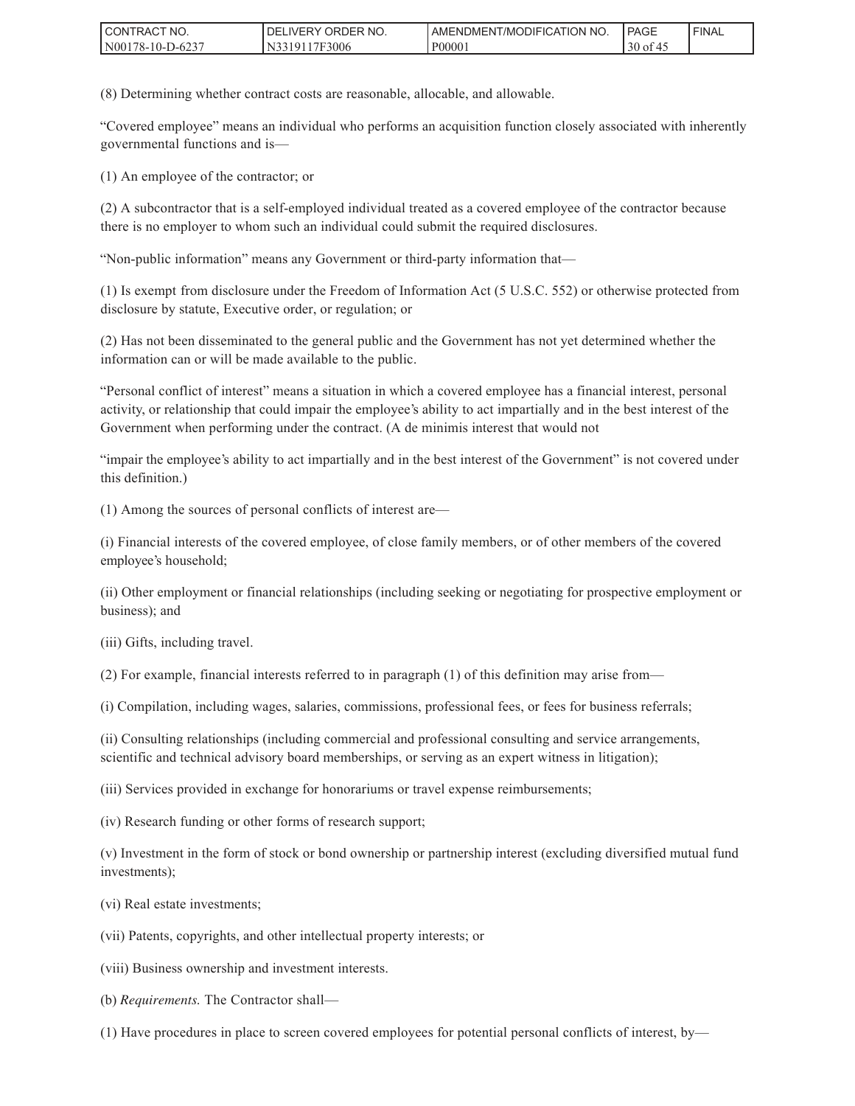| I CONTRACT NO.   | <b>I DELIVERY ORDER NO.</b> | I AMENDMENT/MODIFICATION NO. | <b>PAGE</b>       | `FINAL |
|------------------|-----------------------------|------------------------------|-------------------|--------|
| N00178-10-D-6237 | J3319117F3006               | P00001                       | $\sim$<br>$30$ of |        |

(8) Determining whether contract costs are reasonable, allocable, and allowable.

"Covered employee" means an individual who performs an acquisition function closely associated with inherently governmental functions and is—

(1) An employee of the contractor; or

(2) A subcontractor that is a self-employed individual treated as a covered employee of the contractor because there is no employer to whom such an individual could submit the required disclosures.

"Non-public information" means any Government or third-party information that—

(1) Is exempt from disclosure under the Freedom of Information Act (5 U.S.C. 552) or otherwise protected from disclosure by statute, Executive order, or regulation; or

(2) Has not been disseminated to the general public and the Government has not yet determined whether the information can or will be made available to the public.

"Personal conflict of interest" means a situation in which a covered employee has a financial interest, personal activity, or relationship that could impair the employee's ability to act impartially and in the best interest of the Government when performing under the contract. (A de minimis interest that would not

"impair the employee's ability to act impartially and in the best interest of the Government" is not covered under this definition.)

(1) Among the sources of personal conflicts of interest are—

(i) Financial interests of the covered employee, of close family members, or of other members of the covered employee's household;

(ii) Other employment or financial relationships (including seeking or negotiating for prospective employment or business); and

(iii) Gifts, including travel.

(2) For example, financial interests referred to in paragraph (1) of this definition may arise from—

(i) Compilation, including wages, salaries, commissions, professional fees, or fees for business referrals;

(ii) Consulting relationships (including commercial and professional consulting and service arrangements, scientific and technical advisory board memberships, or serving as an expert witness in litigation);

(iii) Services provided in exchange for honorariums or travel expense reimbursements;

(iv) Research funding or other forms of research support;

(v) Investment in the form of stock or bond ownership or partnership interest (excluding diversified mutual fund investments);

(vi) Real estate investments;

(vii) Patents, copyrights, and other intellectual property interests; or

(viii) Business ownership and investment interests.

(b) *Requirements.* The Contractor shall—

(1) Have procedures in place to screen covered employees for potential personal conflicts of interest, by—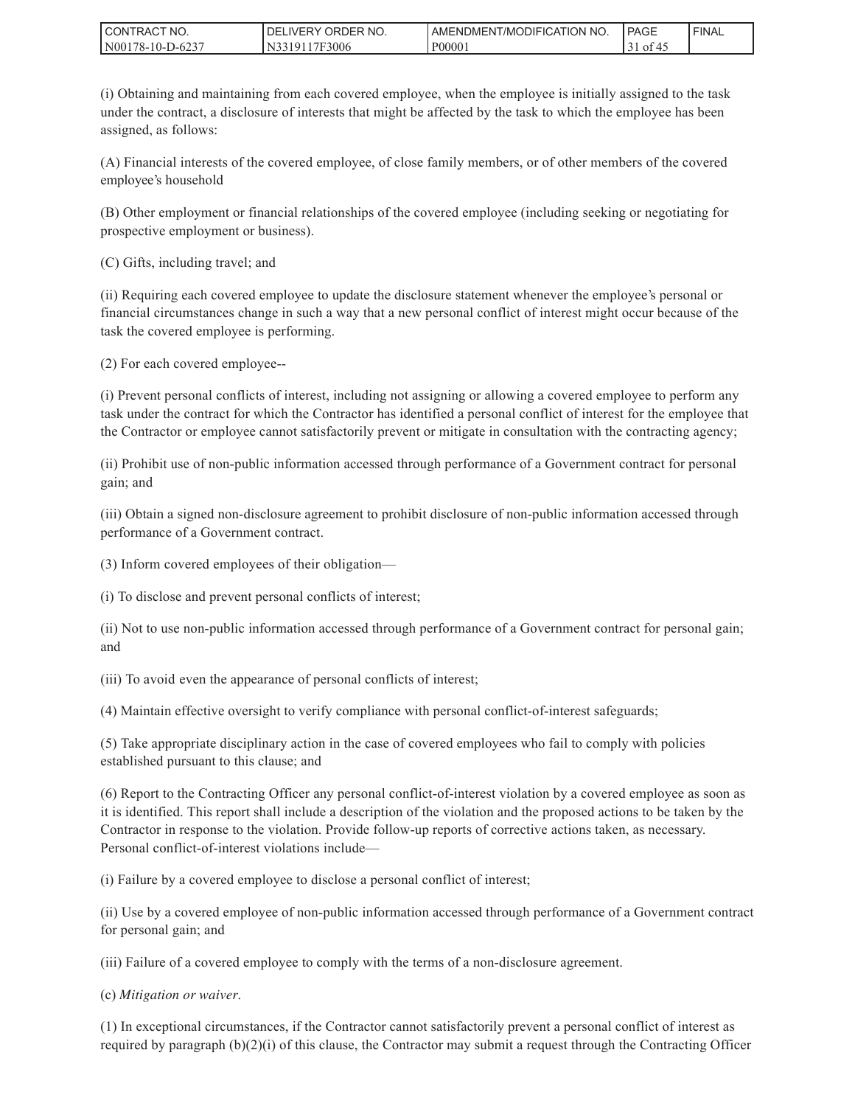| I CONTRACT NO.   | ' ORDER NO.<br>DELIVERY ( | AMENDMENT/MODIFICATION NO. | <b>PAGE</b> | ' FINAL |
|------------------|---------------------------|----------------------------|-------------|---------|
| N00178-10-D-6237 | 7F3006<br>191             | P00001                     | 0Ī          |         |

(i) Obtaining and maintaining from each covered employee, when the employee is initially assigned to the task under the contract, a disclosure of interests that might be affected by the task to which the employee has been assigned, as follows:

(A) Financial interests of the covered employee, of close family members, or of other members of the covered employee's household

(B) Other employment or financial relationships of the covered employee (including seeking or negotiating for prospective employment or business).

(C) Gifts, including travel; and

(ii) Requiring each covered employee to update the disclosure statement whenever the employee's personal or financial circumstances change in such a way that a new personal conflict of interest might occur because of the task the covered employee is performing.

(2) For each covered employee--

(i) Prevent personal conflicts of interest, including not assigning or allowing a covered employee to perform any task under the contract for which the Contractor has identified a personal conflict of interest for the employee that the Contractor or employee cannot satisfactorily prevent or mitigate in consultation with the contracting agency;

(ii) Prohibit use of non-public information accessed through performance of a Government contract for personal gain; and

(iii) Obtain a signed non-disclosure agreement to prohibit disclosure of non-public information accessed through performance of a Government contract.

(3) Inform covered employees of their obligation—

(i) To disclose and prevent personal conflicts of interest;

(ii) Not to use non-public information accessed through performance of a Government contract for personal gain; and

(iii) To avoid even the appearance of personal conflicts of interest;

(4) Maintain effective oversight to verify compliance with personal conflict-of-interest safeguards;

(5) Take appropriate disciplinary action in the case of covered employees who fail to comply with policies established pursuant to this clause; and

(6) Report to the Contracting Officer any personal conflict-of-interest violation by a covered employee as soon as it is identified. This report shall include a description of the violation and the proposed actions to be taken by the Contractor in response to the violation. Provide follow-up reports of corrective actions taken, as necessary. Personal conflict-of-interest violations include—

(i) Failure by a covered employee to disclose a personal conflict of interest;

(ii) Use by a covered employee of non-public information accessed through performance of a Government contract for personal gain; and

(iii) Failure of a covered employee to comply with the terms of a non-disclosure agreement.

(c) *Mitigation or waiver*.

(1) In exceptional circumstances, if the Contractor cannot satisfactorily prevent a personal conflict of interest as required by paragraph (b)(2)(i) of this clause, the Contractor may submit a request through the Contracting Officer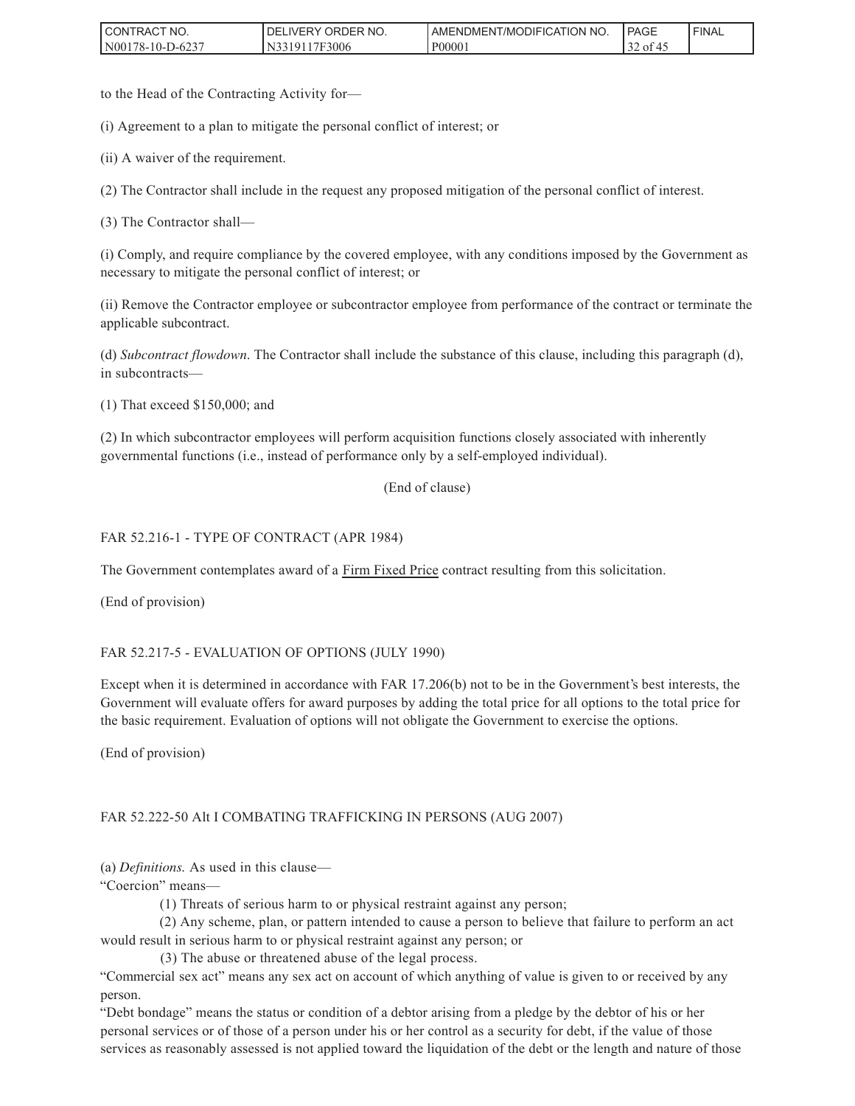| I CONTRACT NO.   | <b>I</b> DELIVERY ORDER NO.   | <b>I AMENDMENT/MODIFICATION NO.</b> | PAGE   | FINAL |
|------------------|-------------------------------|-------------------------------------|--------|-------|
| N00178-10-D-6237 | <sup>1</sup> 7F3006<br>N33191 | P00001                              | ' of · |       |

to the Head of the Contracting Activity for—

(i) Agreement to a plan to mitigate the personal conflict of interest; or

(ii) A waiver of the requirement.

(2) The Contractor shall include in the request any proposed mitigation of the personal conflict of interest.

(3) The Contractor shall—

(i) Comply, and require compliance by the covered employee, with any conditions imposed by the Government as necessary to mitigate the personal conflict of interest; or

(ii) Remove the Contractor employee or subcontractor employee from performance of the contract or terminate the applicable subcontract.

(d) *Subcontract flowdown*. The Contractor shall include the substance of this clause, including this paragraph (d), in subcontracts—

(1) That exceed \$150,000; and

(2) In which subcontractor employees will perform acquisition functions closely associated with inherently governmental functions (i.e., instead of performance only by a self-employed individual).

### (End of clause)

### FAR 52.216-1 - TYPE OF CONTRACT (APR 1984)

The Government contemplates award of a Firm Fixed Price contract resulting from this solicitation.

(End of provision)

### FAR 52.217-5 - EVALUATION OF OPTIONS (JULY 1990)

Except when it is determined in accordance with FAR 17.206(b) not to be in the Government's best interests, the Government will evaluate offers for award purposes by adding the total price for all options to the total price for the basic requirement. Evaluation of options will not obligate the Government to exercise the options.

(End of provision)

### FAR 52.222-50 Alt I COMBATING TRAFFICKING IN PERSONS (AUG 2007)

(a) *Definitions.* As used in this clause—

"Coercion" means—

- (1) Threats of serious harm to or physical restraint against any person;
- (2) Any scheme, plan, or pattern intended to cause a person to believe that failure to perform an act would result in serious harm to or physical restraint against any person; or
	- (3) The abuse or threatened abuse of the legal process.

"Commercial sex act" means any sex act on account of which anything of value is given to or received by any person.

"Debt bondage" means the status or condition of a debtor arising from a pledge by the debtor of his or her personal services or of those of a person under his or her control as a security for debt, if the value of those services as reasonably assessed is not applied toward the liquidation of the debt or the length and nature of those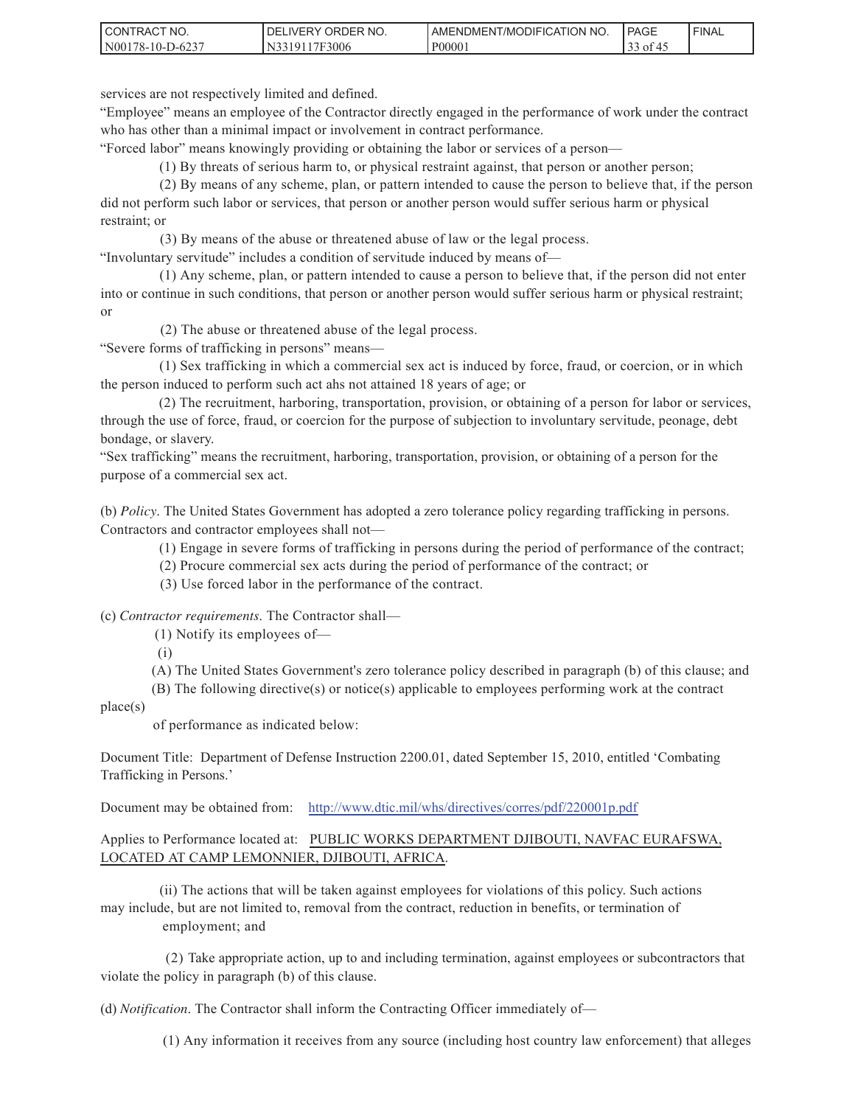| l CON<br>'NO.<br><b>RAC</b> | ORDER NO.<br>DELI<br>LIVERY. | T/MODIFICATION NO.<br>AMENDMENT, | <b>PAGE</b> | ' FINAL |
|-----------------------------|------------------------------|----------------------------------|-------------|---------|
| N00<br>78-10-J<br>-D-623    | $-3006$<br>71.<br>. ( ۱      | P0000                            | 0Ī          |         |

services are not respectively limited and defined.

"Employee" means an employee of the Contractor directly engaged in the performance of work under the contract who has other than a minimal impact or involvement in contract performance.

"Forced labor" means knowingly providing or obtaining the labor or services of a person—

(1) By threats of serious harm to, or physical restraint against, that person or another person;

 (2) By means of any scheme, plan, or pattern intended to cause the person to believe that, if the person did not perform such labor or services, that person or another person would suffer serious harm or physical restraint; or

(3) By means of the abuse or threatened abuse of law or the legal process.

"Involuntary servitude" includes a condition of servitude induced by means of—

 (1) Any scheme, plan, or pattern intended to cause a person to believe that, if the person did not enter into or continue in such conditions, that person or another person would suffer serious harm or physical restraint; or

(2) The abuse or threatened abuse of the legal process.

"Severe forms of trafficking in persons" means—

 (1) Sex trafficking in which a commercial sex act is induced by force, fraud, or coercion, or in which the person induced to perform such act ahs not attained 18 years of age; or

 (2) The recruitment, harboring, transportation, provision, or obtaining of a person for labor or services, through the use of force, fraud, or coercion for the purpose of subjection to involuntary servitude, peonage, debt bondage, or slavery.

"Sex trafficking" means the recruitment, harboring, transportation, provision, or obtaining of a person for the purpose of a commercial sex act.

(b) *Policy*. The United States Government has adopted a zero tolerance policy regarding trafficking in persons. Contractors and contractor employees shall not—

(1) Engage in severe forms of trafficking in persons during the period of performance of the contract;

(2) Procure commercial sex acts during the period of performance of the contract; or

(3) Use forced labor in the performance of the contract.

(c) *Contractor requirements*. The Contractor shall—

(1) Notify its employees of—

(i)

(A) The United States Government's zero tolerance policy described in paragraph (b) of this clause; and

(B) The following directive(s) or notice(s) applicable to employees performing work at the contract

place(s)

of performance as indicated below:

Document Title: Department of Defense Instruction 2200.01, dated September 15, 2010, entitled 'Combating Trafficking in Persons.'

Document may be obtained from: http://www.dtic.mil/whs/directives/corres/pdf/220001p.pdf

### Applies to Performance located at: PUBLIC WORKS DEPARTMENT DJIBOUTI, NAVFAC EURAFSWA, LOCATED AT CAMP LEMONNIER, DJIBOUTI, AFRICA.

 (ii) The actions that will be taken against employees for violations of this policy. Such actions may include, but are not limited to, removal from the contract, reduction in benefits, or termination of employment; and

 (2) Take appropriate action, up to and including termination, against employees or subcontractors that violate the policy in paragraph (b) of this clause.

(d) *Notification*. The Contractor shall inform the Contracting Officer immediately of—

(1) Any information it receives from any source (including host country law enforcement) that alleges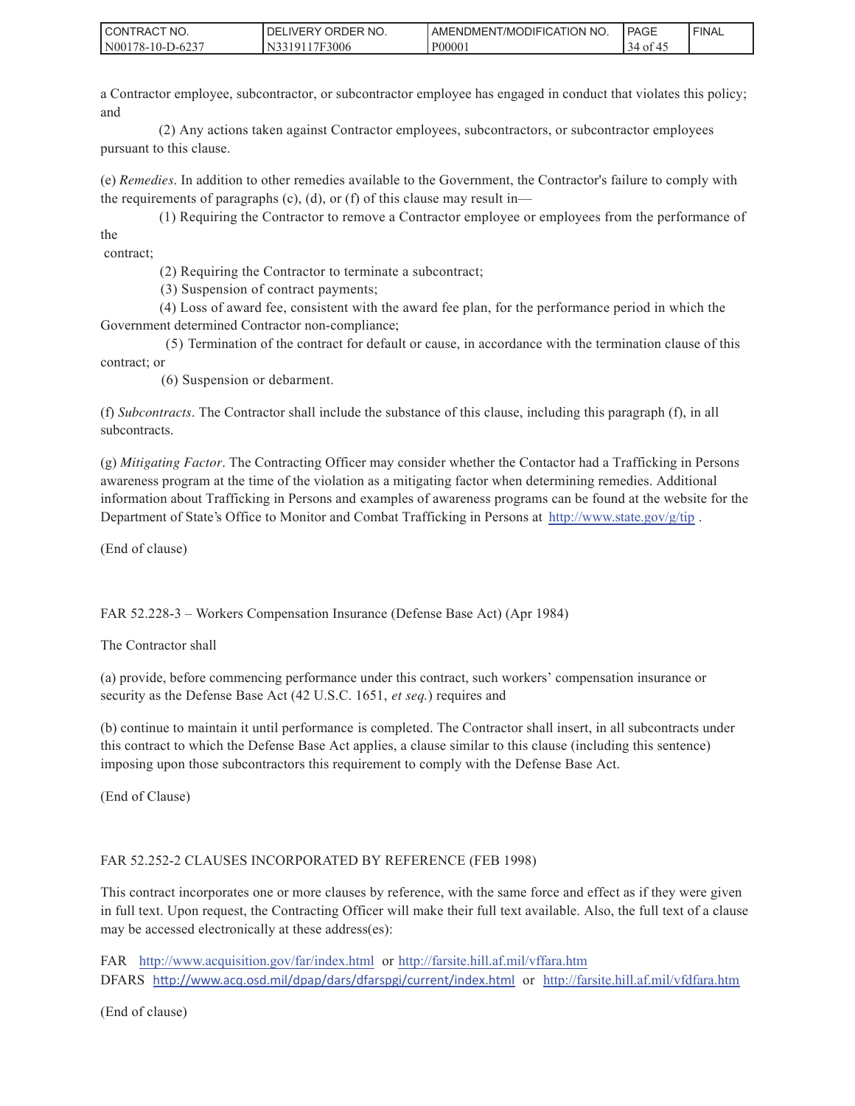| 'NO.<br>CONTRACT            | र NO.<br>/ ORDER<br>DELI<br>IVERY | LAMENDMENT/MODIFICATION NO. | <b>PAGE</b> | `FINAL |
|-----------------------------|-----------------------------------|-----------------------------|-------------|--------|
| N001<br>$178 - 10 - D - 62$ | 7F3006<br>1 Q<br>NL               | P <sub>000</sub>            | 34<br>° of  |        |

a Contractor employee, subcontractor, or subcontractor employee has engaged in conduct that violates this policy; and

 (2) Any actions taken against Contractor employees, subcontractors, or subcontractor employees pursuant to this clause.

(e) *Remedies*. In addition to other remedies available to the Government, the Contractor's failure to comply with the requirements of paragraphs (c), (d), or (f) of this clause may result in—

 (1) Requiring the Contractor to remove a Contractor employee or employees from the performance of the

contract;

(2) Requiring the Contractor to terminate a subcontract;

(3) Suspension of contract payments;

 (4) Loss of award fee, consistent with the award fee plan, for the performance period in which the Government determined Contractor non-compliance;

 (5) Termination of the contract for default or cause, in accordance with the termination clause of this contract; or

(6) Suspension or debarment.

(f) *Subcontracts*. The Contractor shall include the substance of this clause, including this paragraph (f), in all subcontracts.

(g) *Mitigating Factor*. The Contracting Officer may consider whether the Contactor had a Trafficking in Persons awareness program at the time of the violation as a mitigating factor when determining remedies. Additional information about Trafficking in Persons and examples of awareness programs can be found at the website for the Department of State's Office to Monitor and Combat Trafficking in Persons at http://www.state.gov/g/tip .

(End of clause)

FAR 52.228-3 – Workers Compensation Insurance (Defense Base Act) (Apr 1984)

The Contractor shall

(a) provide, before commencing performance under this contract, such workers' compensation insurance or security as the Defense Base Act (42 U.S.C. 1651, *et seq.*) requires and

(b) continue to maintain it until performance is completed. The Contractor shall insert, in all subcontracts under this contract to which the Defense Base Act applies, a clause similar to this clause (including this sentence) imposing upon those subcontractors this requirement to comply with the Defense Base Act.

(End of Clause)

### FAR 52.252-2 CLAUSES INCORPORATED BY REFERENCE (FEB 1998)

This contract incorporates one or more clauses by reference, with the same force and effect as if they were given in full text. Upon request, the Contracting Officer will make their full text available. Also, the full text of a clause may be accessed electronically at these address(es):

FAR http://www.acquisition.gov/far/index.html or http://farsite.hill.af.mil/vffara.htm DFARS http://www.acq.osd.mil/dpap/dars/dfarspgi/current/index.html or http://farsite.hill.af.mil/vfdfara.htm

(End of clause)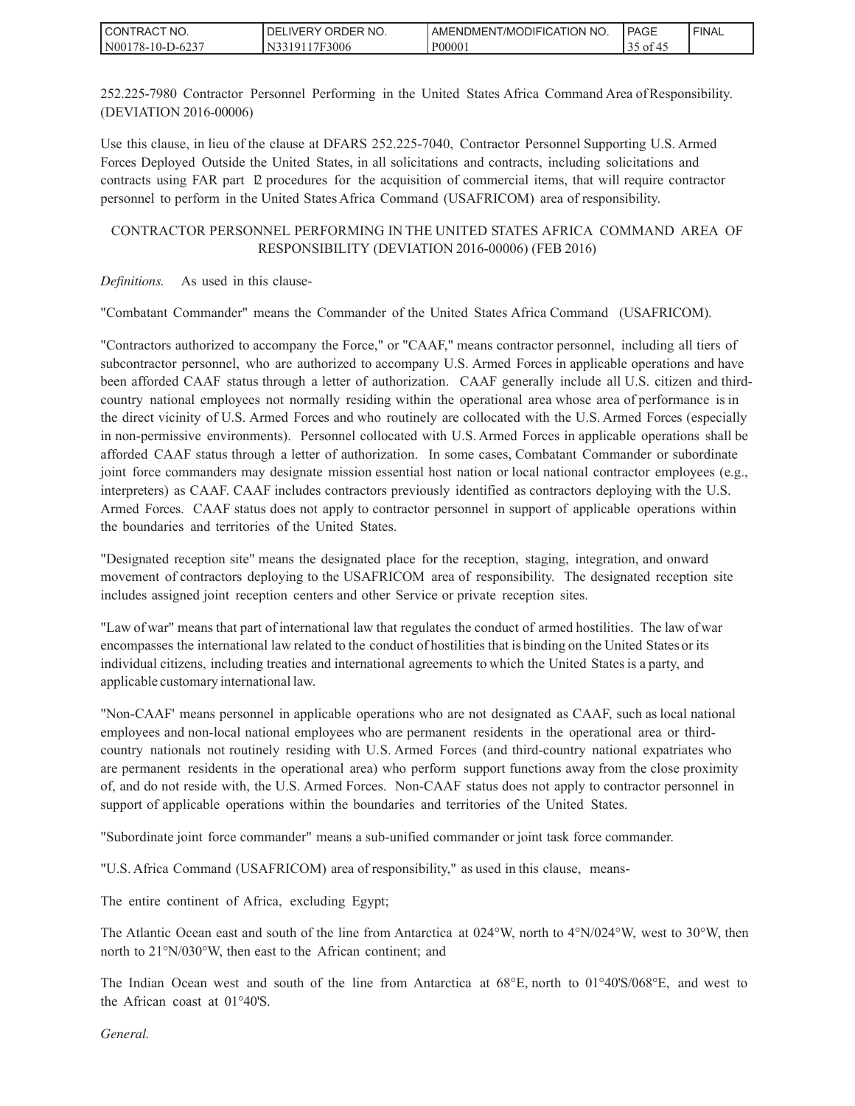| I CONTRACT NO.   | ' ORDER NO.<br>DELIVERY C | AMENDMENT/MODIFICATION I<br>' NO. | <b>PAGE</b>         | `FINAL |
|------------------|---------------------------|-----------------------------------|---------------------|--------|
| N00178-10-D-6237 | N3319117F3006             | P00001                            | $\sim$<br>0İ<br>ر ر |        |

252.225-7980 Contractor Personnel Performing in the United States Africa Command Area of Responsibility. (DEVIATION 2016-00006)

Use this clause, in lieu of the clause at DFARS 252.225-7040, Contractor Personnel Supporting U.S. Armed Forces Deployed Outside the United States, in all solicitations and contracts, including solicitations and contracts using FAR part 12 procedures for the acquisition of commercial items, that will require contractor personnel to perform in the United States Africa Command (USAFRICOM) area of responsibility.

## CONTRACTOR PERSONNEL PERFORMING IN THE UNITED STATES AFRICA COMMAND AREA OF RESPONSIBILITY (DEVIATION 2016-00006) (FEB 2016)

*Definitions.* As used in this clause-

"Combatant Commander" means the Commander of the United States Africa Command (USAFRICOM).

"Contractors authorized to accompany the Force," or "CAAF," means contractor personnel, including all tiers of subcontractor personnel, who are authorized to accompany U.S. Armed Forces in applicable operations and have been afforded CAAF status through a letter of authorization. CAAF generally include all U.S. citizen and thirdcountry national employees not normally residing within the operational area whose area of performance is in the direct vicinity of U.S. Armed Forces and who routinely are collocated with the U.S. Armed Forces (especially in non-permissive environments). Personnel collocated with U.S. Armed Forces in applicable operations shall be afforded CAAF status through a letter of authorization. In some cases, Combatant Commander or subordinate joint force commanders may designate mission essential host nation or local national contractor employees (e.g., interpreters) as CAAF. CAAF includes contractors previously identified as contractors deploying with the U.S. Armed Forces. CAAF status does not apply to contractor personnel in support of applicable operations within the boundaries and territories of the United States.

"Designated reception site" means the designated place for the reception, staging, integration, and onward movement of contractors deploying to the USAFRICOM area of responsibility. The designated reception site includes assigned joint reception centers and other Service or private reception sites.

"Law of war" means that part of international law that regulates the conduct of armed hostilities. The law of war encompasses the international law related to the conduct of hostilities that is binding on the United States or its individual citizens, including treaties and international agreements to which the United States is a party, and applicable customary international law.

"Non-CAAF' means personnel in applicable operations who are not designated as CAAF, such as local national employees and non-local national employees who are permanent residents in the operational area or thirdcountry nationals not routinely residing with U.S. Armed Forces (and third-country national expatriates who are permanent residents in the operational area) who perform support functions away from the close proximity of, and do not reside with, the U.S. Armed Forces. Non-CAAF status does not apply to contractor personnel in support of applicable operations within the boundaries and territories of the United States.

"Subordinate joint force commander" means a sub-unified commander or joint task force commander.

"U.S. Africa Command (USAFRICOM) area of responsibility," as used in this clause, means-

The entire continent of Africa, excluding Egypt;

The Atlantic Ocean east and south of the line from Antarctica at 024°W, north to 4°N/024°W, west to 30°W, then north to 21°N/030°W, then east to the African continent; and

The Indian Ocean west and south of the line from Antarctica at 68°E, north to 01°40'S/068°E, and west to the African coast at 01°40'S.

*General.*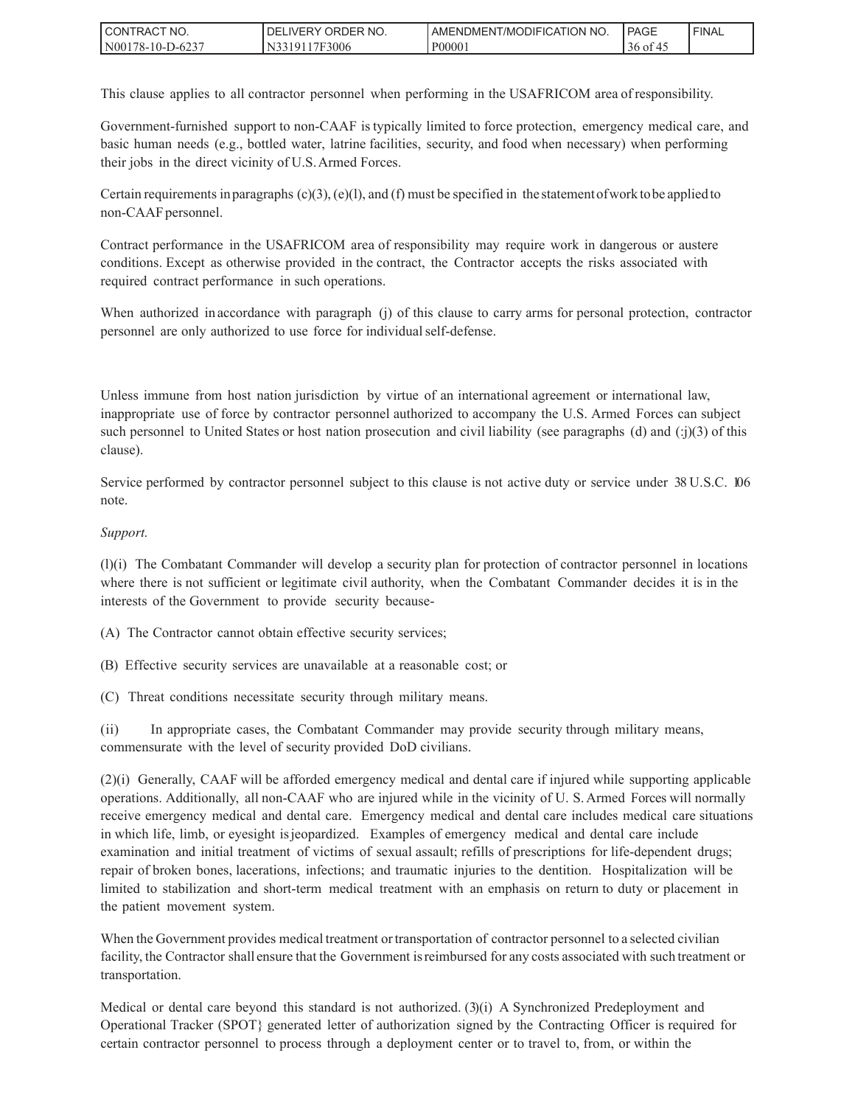| I CON'<br>" NO.<br><b>.</b> FRACT     | ' ORDER NO.<br>DEI<br>LIVERY ( | <b>I AMENDMENT/MODIFICATION I</b><br>NO <sub>1</sub> | <b>PAGE</b> | ' FINAL |
|---------------------------------------|--------------------------------|------------------------------------------------------|-------------|---------|
| $178 - 10 - D - 6237$<br>$\vert$ N001 | TF3006<br>7F.<br>191           | P00001                                               | 36 of       |         |

This clause applies to all contractor personnel when performing in the USAFRICOM area of responsibility.

Government-furnished support to non-CAAF is typically limited to force protection, emergency medical care, and basic human needs (e.g., bottled water, latrine facilities, security, and food when necessary) when performing their jobs in the direct vicinity of U.S.Armed Forces.

Certain requirements in paragraphs  $(c)(3)$ ,  $(e)(1)$ , and  $(f)$  must be specified in the statement of work to be applied to non-CAAF personnel.

Contract performance in the USAFRICOM area of responsibility may require work in dangerous or austere conditions. Except as otherwise provided in the contract, the Contractor accepts the risks associated with required contract performance in such operations.

When authorized in accordance with paragraph (j) of this clause to carry arms for personal protection, contractor personnel are only authorized to use force for individual self-defense.

Unless immune from host nation jurisdiction by virtue of an international agreement or international law, inappropriate use of force by contractor personnel authorized to accompany the U.S. Armed Forces can subject such personnel to United States or host nation prosecution and civil liability (see paragraphs (d) and (:j)(3) of this clause).

Service performed by contractor personnel subject to this clause is not active duty or service under 38 U.S.C. 106 note.

### *Support.*

(l)(i) The Combatant Commander will develop a security plan for protection of contractor personnel in locations where there is not sufficient or legitimate civil authority, when the Combatant Commander decides it is in the interests of the Government to provide security because-

(A) The Contractor cannot obtain effective security services;

(B) Effective security services are unavailable at a reasonable cost; or

(C) Threat conditions necessitate security through military means.

(ii) In appropriate cases, the Combatant Commander may provide security through military means, commensurate with the level of security provided DoD civilians.

(2)(i) Generally, CAAF will be afforded emergency medical and dental care if injured while supporting applicable operations. Additionally, all non-CAAF who are injured while in the vicinity of U. S. Armed Forces will normally receive emergency medical and dental care. Emergency medical and dental care includes medical care situations in which life, limb, or eyesight is jeopardized. Examples of emergency medical and dental care include examination and initial treatment of victims of sexual assault; refills of prescriptions for life-dependent drugs; repair of broken bones, lacerations, infections; and traumatic injuries to the dentition. Hospitalization will be limited to stabilization and short-term medical treatment with an emphasis on return to duty or placement in the patient movement system.

When the Government provides medical treatment or transportation of contractor personnel to a selected civilian facility, the Contractor shall ensure that the Government is reimbursed for any costs associated with such treatment or transportation.

Medical or dental care beyond this standard is not authorized. (3)(i) A Synchronized Predeployment and Operational Tracker (SPOT} generated letter of authorization signed by the Contracting Officer is required for certain contractor personnel to process through a deployment center or to travel to, from, or within the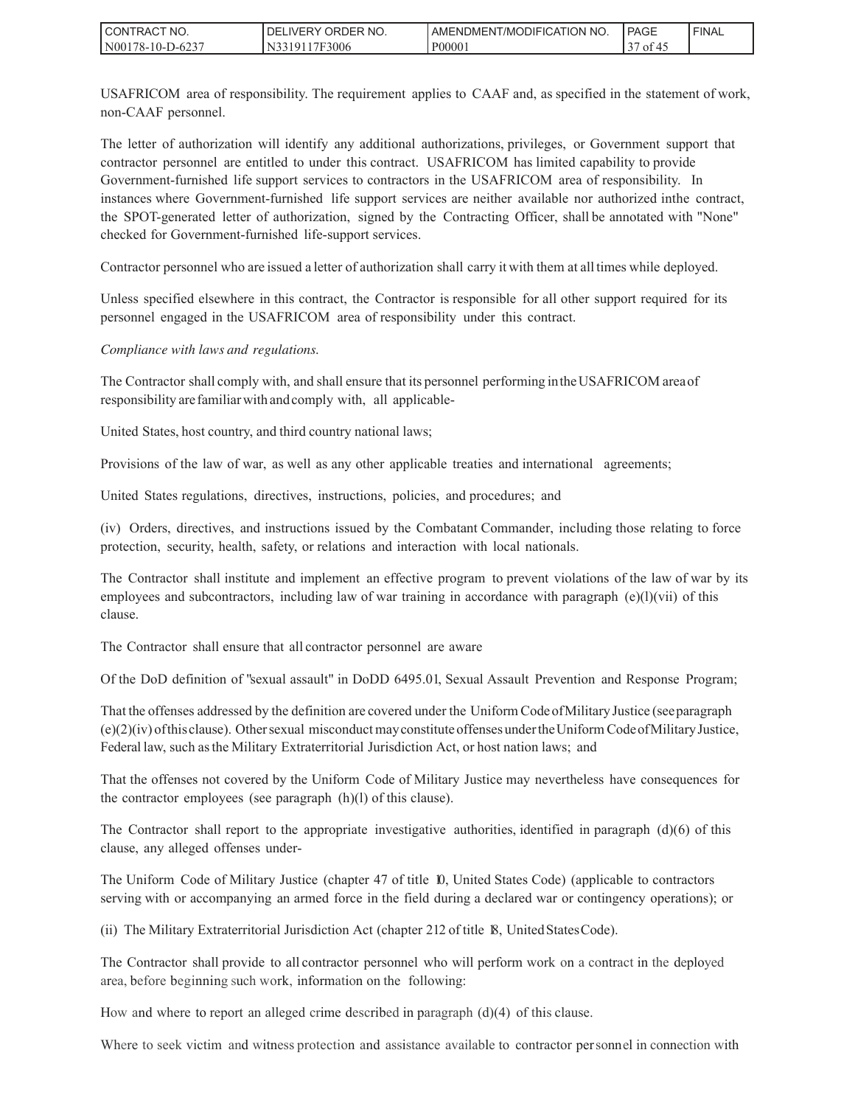| " NO.<br>I CON<br>I RAC  | ' ORDER NO.<br>DELI<br>_IVERY ′ | AMENDMENT/MODIFICATION NO. | <b>PAGE</b>    | <b>FINAL</b> |
|--------------------------|---------------------------------|----------------------------|----------------|--------------|
| N00<br>78-10-1<br>-D-623 | T3006<br>7L.<br>191             | P <sub>0000</sub>          | $\sim$<br>' of |              |

USAFRICOM area of responsibility. The requirement applies to CAAF and, as specified in the statement of work, non-CAAF personnel.

The letter of authorization will identify any additional authorizations, privileges, or Government support that contractor personnel are entitled to under this contract. USAFRICOM has limited capability to provide Government-furnished life support services to contractors in the USAFRICOM area of responsibility. In instances where Government-furnished life support services are neither available nor authorized inthe contract, the SPOT-generated letter of authorization, signed by the Contracting Officer, shall be annotated with "None" checked for Government-furnished life-support services.

Contractor personnel who are issued a letter of authorization shall carry it with them at all times while deployed.

Unless specified elsewhere in this contract, the Contractor is responsible for all other support required for its personnel engaged in the USAFRICOM area of responsibility under this contract.

### *Compliance with laws and regulations.*

The Contractor shall comply with, and shall ensure that its personnel performing inthe USAFRICOM areaof responsibility arefamiliarwith andcomply with, all applicable-

United States, host country, and third country national laws;

Provisions of the law of war, as well as any other applicable treaties and international agreements;

United States regulations, directives, instructions, policies, and procedures; and

(iv) Orders, directives, and instructions issued by the Combatant Commander, including those relating to force protection, security, health, safety, or relations and interaction with local nationals.

The Contractor shall institute and implement an effective program to prevent violations of the law of war by its employees and subcontractors, including law of war training in accordance with paragraph  $(e)(l)(vi)$  of this clause.

The Contractor shall ensure that all contractor personnel are aware

Of the DoD definition of "sexual assault" in DoDD 6495.01, Sexual Assault Prevention and Response Program;

That the offenses addressed by the definition are covered under the Uniform CodeofMilitary Justice (seeparagraph (e)(2)(iv) ofthisclause). Othersexual misconduct mayconstituteoffensesundertheUniform CodeofMilitaryJustice, Federal law, such as the Military Extraterritorial Jurisdiction Act, or host nation laws; and

That the offenses not covered by the Uniform Code of Military Justice may nevertheless have consequences for the contractor employees (see paragraph (h)(l) of this clause).

The Contractor shall report to the appropriate investigative authorities, identified in paragraph  $(d)(6)$  of this clause, any alleged offenses under-

The Uniform Code of Military Justice (chapter 47 of title 10, United States Code) (applicable to contractors serving with or accompanying an armed force in the field during a declared war or contingency operations); or

(ii) The Military Extraterritorial Jurisdiction Act (chapter 212 of title 18, UnitedStatesCode).

The Contractor shall provide to all contractor personnel who will perform work on a contract in the deployed area, before beginning such work, information on the following:

How and where to report an alleged crime described in paragraph  $(d)(4)$  of this clause.

Where to seek victim and witness protection and assistance available to contractor personnel in connection with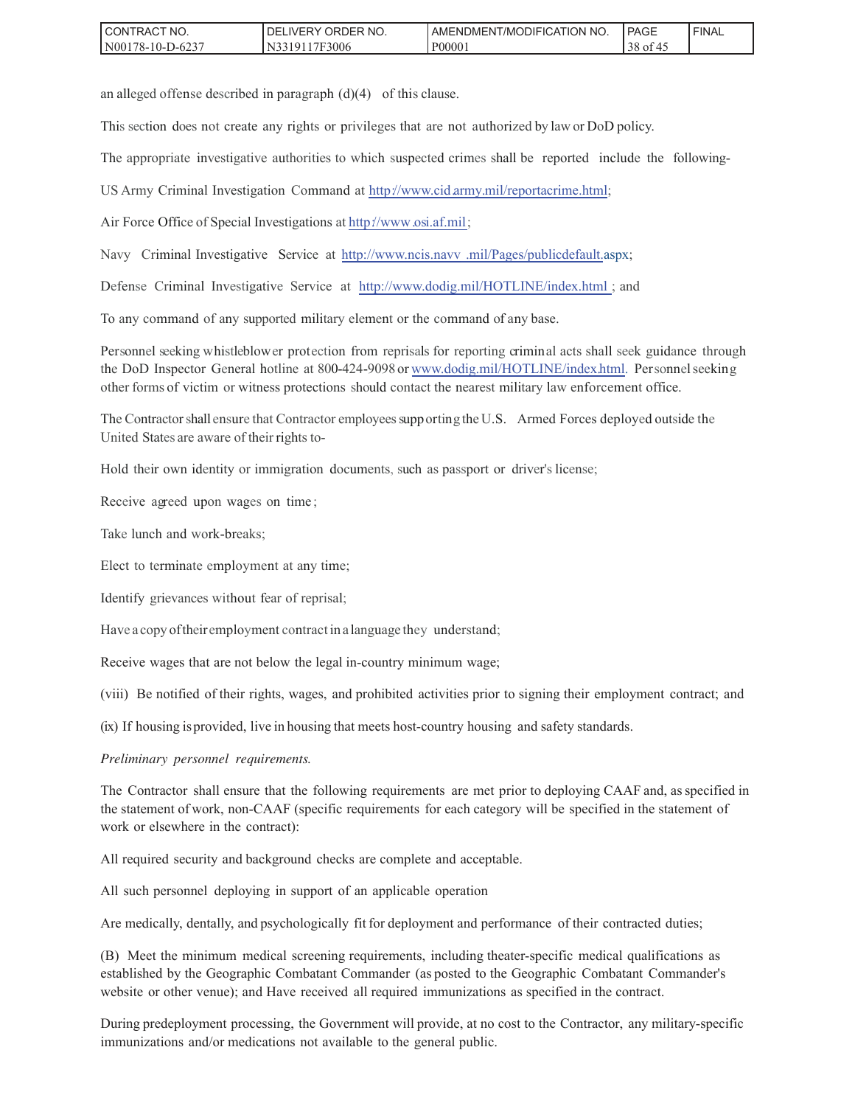| I CONTRACT NO.   | <b>I DELIVERY ORDER NO.</b> | I AMENDMENT/MODIFICATION NO. | <b>PAGE</b> | ' FINAL |
|------------------|-----------------------------|------------------------------|-------------|---------|
| N00178-10-D-6237 | 17F3006<br>J33191           | P00001                       | $38$ of     |         |

an alleged offense described in paragraph (d)(4) of this clause.

This section does not create any rights or privileges that are not authorized by law or DoD policy.

The appropriate investigative authorities to which suspected crimes shall be reported include the following-

US Army Criminal Investigation Command at http://www.cid.army.mil/reportacrime.html;

Air Force Office of Special Investigations at http://www.osi.af.mil;

Navy Criminal Investigative Service at http://www.ncis.navv .mil/Pages/publicdefault.aspx;

Defense Criminal Investigative Service at http://www.dodig.mil/HOTLINE/index.html ; and

To any command of any supported military element or the command of any base.

Personnel seeking whistleblower protection from reprisals for reporting criminal acts shall seek guidance through the DoD Inspector General hotline at 800-424-9098 or www.dodig.mil/HOTLINE/index.html. Personnelseeking other forms of victim or witness protections should contact the nearest military law enforcement office.

The Contractorshall ensure that Contractor employees supporting the U.S. Armed Forces deployed outside the United States are aware of their rights to-

Hold their own identity or immigration documents, such as passport or driver's license;

Receive agreed upon wages on time ;

Take lunch and work-breaks;

Elect to terminate employment at any time;

Identify grievances without fear of reprisal;

Have a copy of their employment contract in a language they understand;

Receive wages that are not below the legal in-country minimum wage;

(viii) Be notified of their rights, wages, and prohibited activities prior to signing their employment contract; and

(ix) If housing isprovided, live in housing that meets host-country housing and safety standards.

### *Preliminary personnel requirements.*

The Contractor shall ensure that the following requirements are met prior to deploying CAAF and, as specified in the statement of work, non-CAAF (specific requirements for each category will be specified in the statement of work or elsewhere in the contract):

All required security and background checks are complete and acceptable.

All such personnel deploying in support of an applicable operation

Are medically, dentally, and psychologically fit for deployment and performance of their contracted duties;

(B) Meet the minimum medical screening requirements, including theater-specific medical qualifications as established by the Geographic Combatant Commander (as posted to the Geographic Combatant Commander's website or other venue); and Have received all required immunizations as specified in the contract.

During predeployment processing, the Government will provide, at no cost to the Contractor, any military-specific immunizations and/or medications not available to the general public.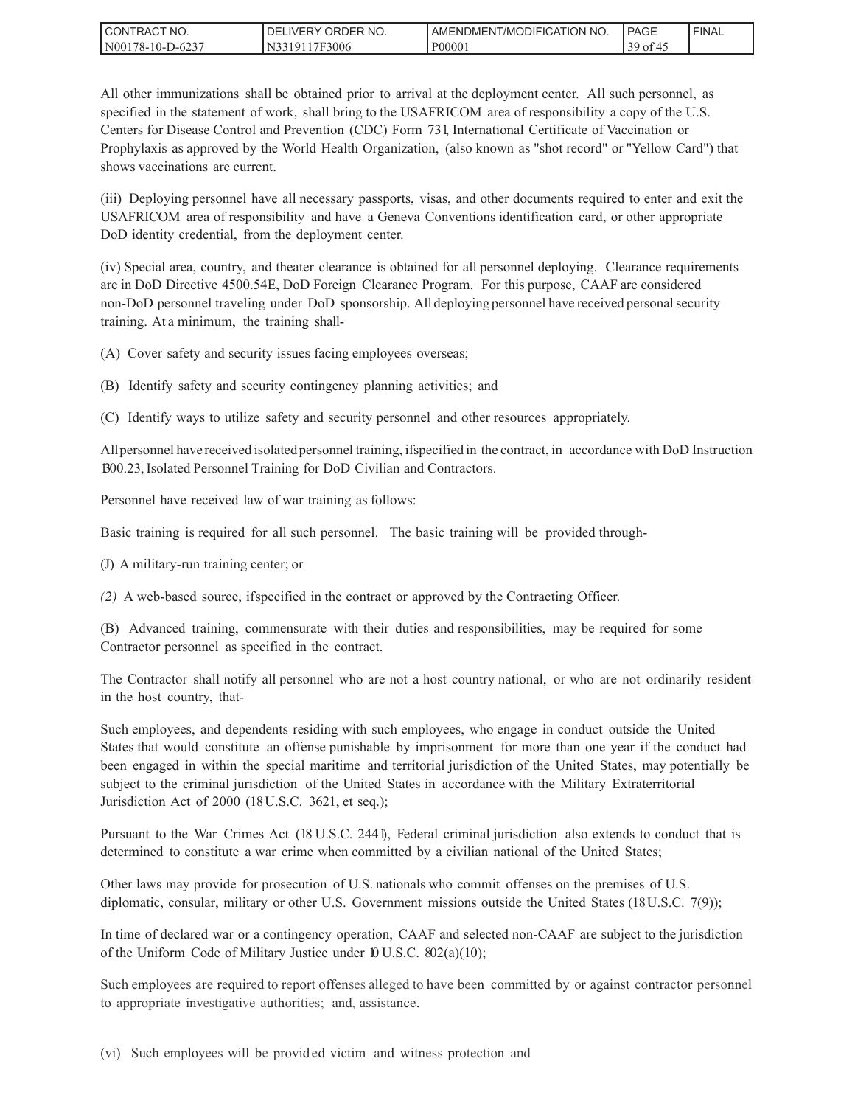| CT NO.<br>I CONTRACT | <b>I DELIVERY ORDER NO.</b> | <b>LAMENDMENT/MODIFICATION NO.</b> | <b>PAGE</b> | ' FINAL |
|----------------------|-----------------------------|------------------------------------|-------------|---------|
| N00178-10-D-6237     | 7F3006<br>33191             | P00001                             | $29$ of 4.  |         |

All other immunizations shall be obtained prior to arrival at the deployment center. All such personnel, as specified in the statement of work, shall bring to the USAFRICOM area of responsibility a copy of the U.S. Centers for Disease Control and Prevention (CDC) Form 731, International Certificate of Vaccination or Prophylaxis as approved by the World Health Organization, (also known as "shot record" or ''Yellow Card") that shows vaccinations are current.

(iii) Deploying personnel have all necessary passports, visas, and other documents required to enter and exit the USAFRICOM area of responsibility and have a Geneva Conventions identification card, or other appropriate DoD identity credential, from the deployment center.

(iv) Special area, country, and theater clearance is obtained for all personnel deploying. Clearance requirements are in DoD Directive 4500.54E, DoD Foreign Clearance Program. For this purpose, CAAF are considered non-DoD personnel traveling under DoD sponsorship. All deploying personnel have received personal security training. At a minimum, the training shall-

(A) Cover safety and security issues facing employees overseas;

(B) Identify safety and security contingency planning activities; and

(C) Identify ways to utilize safety and security personnel and other resources appropriately.

Allpersonnel have received isolatedpersonnel training, ifspecified in the contract, in accordance with DoD Instruction 1300.23, Isolated Personnel Training for DoD Civilian and Contractors.

Personnel have received law of war training as follows:

Basic training is required for all such personnel. The basic training will be provided through-

(J) A military-run training center; or

*(2)* A web-based source, ifspecified in the contract or approved by the Contracting Officer.

(B) Advanced training, commensurate with their duties and responsibilities, may be required for some Contractor personnel as specified in the contract.

The Contractor shall notify all personnel who are not a host country national, or who are not ordinarily resident in the host country, that-

Such employees, and dependents residing with such employees, who engage in conduct outside the United States that would constitute an offense punishable by imprisonment for more than one year if the conduct had been engaged in within the special maritime and territorial jurisdiction of the United States, may potentially be subject to the criminal jurisdiction of the United States in accordance with the Military Extraterritorial Jurisdiction Act of 2000 (18U.S.C. 3621, et seq.);

Pursuant to the War Crimes Act (18 U.S.C. 2441), Federal criminal jurisdiction also extends to conduct that is determined to constitute a war crime when committed by a civilian national of the United States;

Other laws may provide for prosecution of U.S. nationals who commit offenses on the premises of U.S. diplomatic, consular, military or other U.S. Government missions outside the United States (18U.S.C. 7(9));

In time of declared war or a contingency operation, CAAF and selected non-CAAF are subject to the jurisdiction of the Uniform Code of Military Justice under 10 U.S.C. 802(a)(10);

Such employees are required to report offenses alleged to have been committed by or against contractor personnel to appropriate investigative authorities; and, assistance.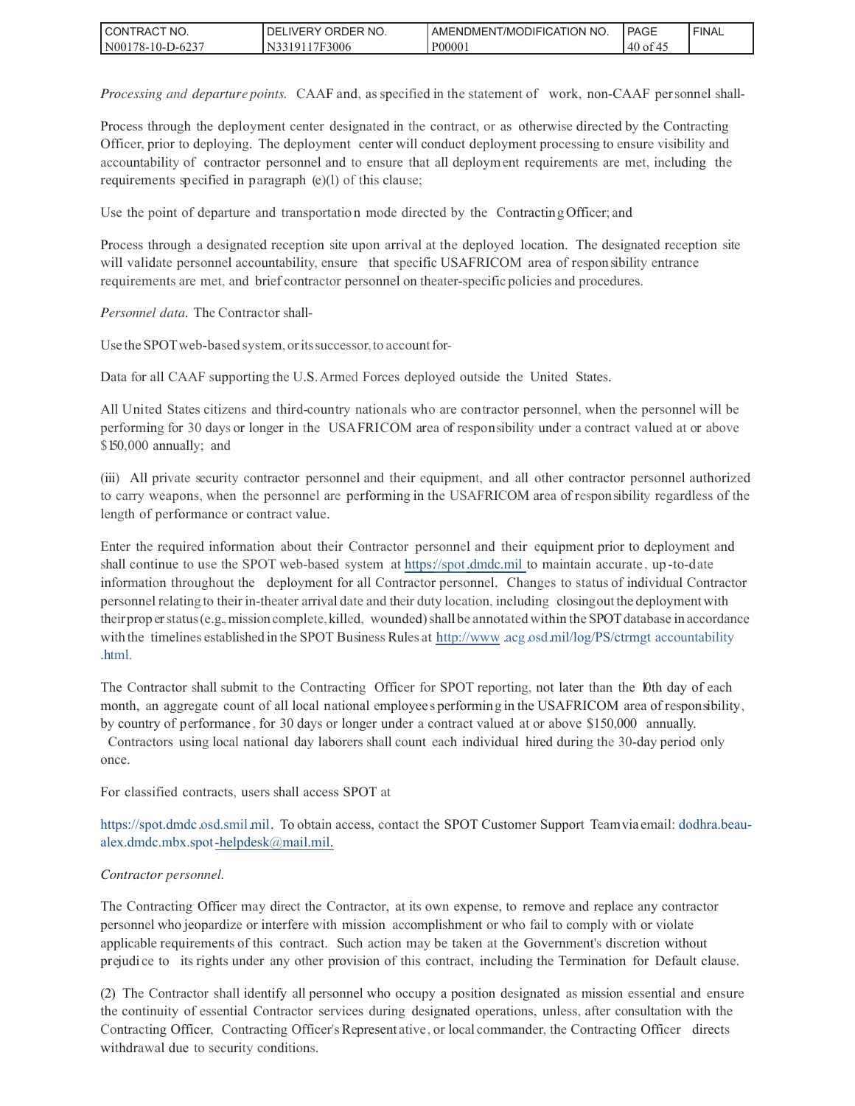| I CONTRACT NO.   | <b>I DELIVERY ORDER NO.</b> | AMENDMENT/MODIFICATION NO. | <b>PAGE</b> | ' FINAL |
|------------------|-----------------------------|----------------------------|-------------|---------|
| N00178-10-D-6237 | N3319117F3006               | P0000 <sub>1</sub>         | $40$ of     |         |

*Processing and departure points.* CAAF and, as specified in the statement of work, non-CAAF personnel shall-

Process through the deployment center designated in the contract, or as otherwise directed by the Contracting Officer, prior to deploying. The deployment center will conduct deployment processing to ensure visibility and accountability of contractor personnel and to ensure that all deployment requirements are met, including the requirements specified in paragraph (e)(l) of this clause;

Use the point of departure and transportatio n mode directed by the Contracting Officer; and

Process through a designated reception site upon arrival at the deployed location. The designated reception site will validate personnel accountability, ensure that specific USAFRICOM area of responsibility entrance requirements are met, and brief contractor personnel on theater-specific policies and procedures.

*Personnel data.* The Contractor shall-

Use the SPOT web-based system, or its successor, to account for-

Data for all CAAF supporting the U.S.Armed Forces deployed outside the United States.

All United States citizens and third-country nationals who are contractor personnel, when the personnel will be performing for 30 days or longer in the USAFRICOM area of responsibility under a contract valued at or above \$150,000 annually; and

(iii) All private security contractor personnel and their equipment, and all other contractor personnel authorized to carry weapons, when the personnel are performing in the USAFRICOM area of responsibility regardless of the length of performance or contract value.

Enter the required information about their Contractor personnel and their equipment prior to deployment and shall continue to use the SPOT web-based system at https://spot.dmdc.mil to maintain accurate , up -to-date information throughout the deployment for all Contractor personnel. Changes to status of individual Contractor personnel relating to their in-theater arrival date and their duty location,including closingoutthe deployment with theirprop er status (e.g., mission complete, killed, wounded) shall be annotated within the SPOT database in accordance with the timelines established in the SPOT Business Rules at http://www.acg.osd.mil/log/PS/ctrmgt accountability .html.

The Contractor shall submit to the Contracting Officer for SPOT reporting, not later than the 10th day of each month, an aggregate count of all local national employee s performing in the USAFRICOM area of responsibility, by country of performance , for 30 days or longer under a contract valued at or above \$150,000 annually.

Contractors using local national day laborers shall count each individual hired during the 30-day period only once.

For classified contracts, users shall access SPOT at

https://spot.dmdc.osd.smil.mil. To obtain access, contact the SPOT Customer Support Teamvia email: dodhra.beaualex.dmdc.mbx.spot-helpdesk@mail.mil.

### *Contractor personnel.*

The Contracting Officer may direct the Contractor, at its own expense, to remove and replace any contractor personnel who jeopardize or interfere with mission accomplishment or who fail to comply with or violate applicable requirements of this contract. Such action may be taken at the Government's discretion without prejudi ce to its rights under any other provision of this contract, including the Termination for Default clause.

(2) The Contractor shall identify all personnel who occupy a position designated as mission essential and ensure the continuity of essential Contractor services during designated operations, unless, after consultation with the Contracting Officer, Contracting Officer's Represent ative, or local commander, the Contracting Officer directs withdrawal due to security conditions.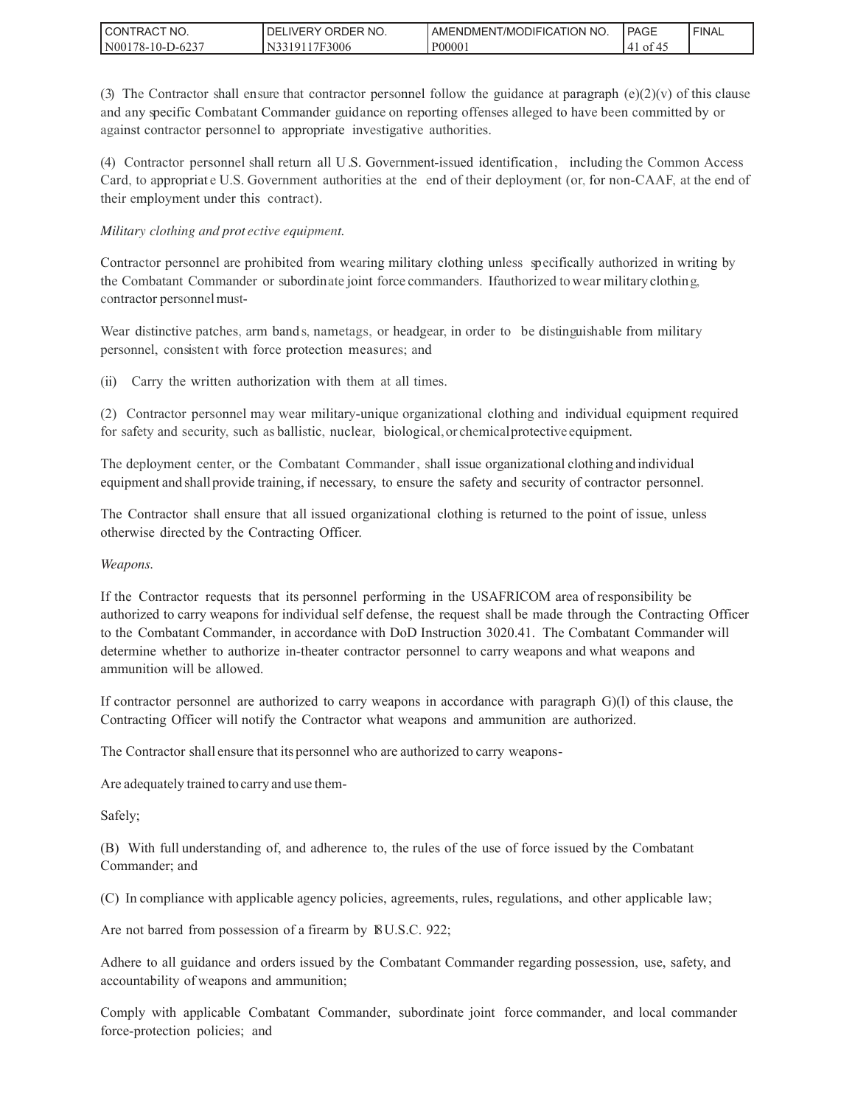| I CONTRACT<br>" NO. | ORDER NO.<br><b>DELIVERY C</b> | ' AMENDMENT/MODIFICATION NO. | <b>PAGE</b>   | <b>I FINAL</b> |
|---------------------|--------------------------------|------------------------------|---------------|----------------|
| N00178-10-D-6237    | 下3006<br>.31011<br>l 7 L'      | P0000                        | $^{\circ}$ O1 |                |

(3) The Contractor shall ensure that contractor personnel follow the guidance at paragraph (e)(2)(v) of this clause and any specific Combatant Commander guidance on reporting offenses alleged to have been committed by or against contractor personnel to appropriate investigative authorities.

(4) Contractor personnel shall return all U .S. Government-issued identification, including the Common Access Card, to appropriat e U.S. Government authorities at the end of their deployment (or, for non-CAAF, at the end of their employment under this contract).

### *Military clothing and prot ective equipment.*

Contractor personnel are prohibited from wearing military clothing unless specifically authorized in writing by the Combatant Commander or subordinate joint force commanders. Ifauthorized to wear military clothing, contractor personnel must-

Wear distinctive patches, arm band s, nametags, or headgear, in order to be distinguishable from military personnel, consistent with force protection measures; and

(ii) Carry the written authorization with them at all times.

(2) Contractor personnel may wear military-unique organizational clothing and individual equipment required for safety and security, such as ballistic, nuclear, biological, or chemical protective equipment.

The deployment center, or the Combatant Commander, shall issue organizational clothing and individual equipment and shallprovide training, if necessary, to ensure the safety and security of contractor personnel.

The Contractor shall ensure that all issued organizational clothing is returned to the point of issue, unless otherwise directed by the Contracting Officer.

### *Weapons.*

If the Contractor requests that its personnel performing in the USAFRICOM area of responsibility be authorized to carry weapons for individual self defense, the request shall be made through the Contracting Officer to the Combatant Commander, in accordance with DoD Instruction 3020.41. The Combatant Commander will determine whether to authorize in-theater contractor personnel to carry weapons and what weapons and ammunition will be allowed.

If contractor personnel are authorized to carry weapons in accordance with paragraph G)(l) of this clause, the Contracting Officer will notify the Contractor what weapons and ammunition are authorized.

The Contractor shall ensure that its personnel who are authorized to carry weapons-

Are adequately trained to carry and use them-

Safely;

(B) With full understanding of, and adherence to, the rules of the use of force issued by the Combatant Commander; and

(C) In compliance with applicable agency policies, agreements, rules, regulations, and other applicable law;

Are not barred from possession of a firearm by 18U.S.C. 922;

Adhere to all guidance and orders issued by the Combatant Commander regarding possession, use, safety, and accountability of weapons and ammunition;

Comply with applicable Combatant Commander, subordinate joint force commander, and local commander force-protection policies; and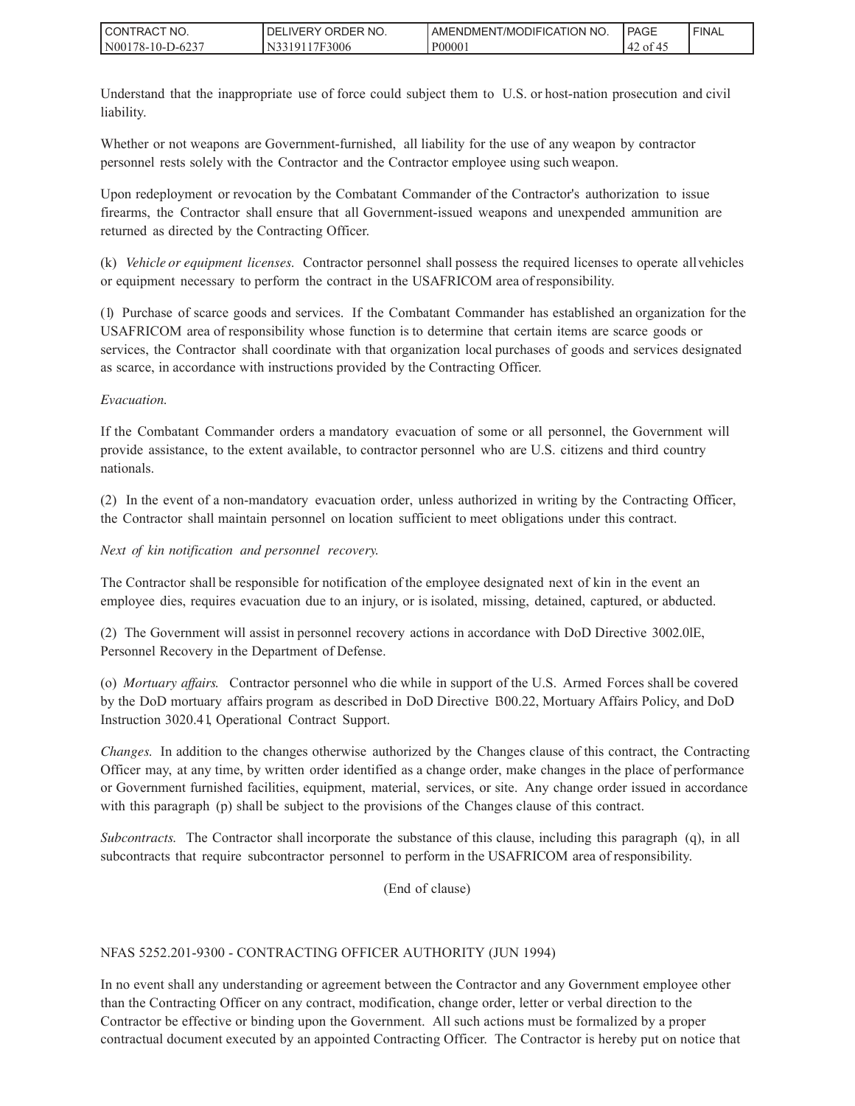| I CONTRACT<br>`CT NO. | ' ORDER NO.<br>DELIVERY O | I AMENDMENT/MODIFICATION I<br>NO. | PAGE     | <b>FINAL</b> |
|-----------------------|---------------------------|-----------------------------------|----------|--------------|
| N00178-10-D-6237      | '7F3006<br>33191          | $P0000_1$                         | 0Ī<br>4L |              |

Understand that the inappropriate use of force could subject them to U.S. or host-nation prosecution and civil liability.

Whether or not weapons are Government-furnished, all liability for the use of any weapon by contractor personnel rests solely with the Contractor and the Contractor employee using such weapon.

Upon redeployment or revocation by the Combatant Commander of the Contractor's authorization to issue firearms, the Contractor shall ensure that all Government-issued weapons and unexpended ammunition are returned as directed by the Contracting Officer.

(k) *Vehicle or equipment licenses.* Contractor personnel shall possess the required licenses to operate allvehicles or equipment necessary to perform the contract in the USAFRICOM area of responsibility.

(1) Purchase of scarce goods and services. If the Combatant Commander has established an organization for the USAFRICOM area of responsibility whose function is to determine that certain items are scarce goods or services, the Contractor shall coordinate with that organization local purchases of goods and services designated as scarce, in accordance with instructions provided by the Contracting Officer.

### *Evacuation.*

If the Combatant Commander orders a mandatory evacuation of some or all personnel, the Government will provide assistance, to the extent available, to contractor personnel who are U.S. citizens and third country nationals.

(2) In the event of a non-mandatory evacuation order, unless authorized in writing by the Contracting Officer, the Contractor shall maintain personnel on location sufficient to meet obligations under this contract.

### *Next of kin notification and personnel recovery.*

The Contractor shall be responsible for notification of the employee designated next of kin in the event an employee dies, requires evacuation due to an injury, or is isolated, missing, detained, captured, or abducted.

(2) The Government will assist in personnel recovery actions in accordance with DoD Directive 3002.0lE, Personnel Recovery in the Department of Defense.

(o) *Mortuary affairs.* Contractor personnel who die while in support of the U.S. Armed Forces shall be covered by the DoD mortuary affairs program as described in DoD Directive 1300.22, Mortuary Affairs Policy, and DoD Instruction 3020.41, Operational Contract Support.

*Changes.* In addition to the changes otherwise authorized by the Changes clause of this contract, the Contracting Officer may, at any time, by written order identified as a change order, make changes in the place of performance or Government furnished facilities, equipment, material, services, or site. Any change order issued in accordance with this paragraph (p) shall be subject to the provisions of the Changes clause of this contract.

*Subcontracts.* The Contractor shall incorporate the substance of this clause, including this paragraph (q), in all subcontracts that require subcontractor personnel to perform in the USAFRICOM area of responsibility.

(End of clause)

### NFAS 5252.201-9300 - CONTRACTING OFFICER AUTHORITY (JUN 1994)

In no event shall any understanding or agreement between the Contractor and any Government employee other than the Contracting Officer on any contract, modification, change order, letter or verbal direction to the Contractor be effective or binding upon the Government. All such actions must be formalized by a proper contractual document executed by an appointed Contracting Officer. The Contractor is hereby put on notice that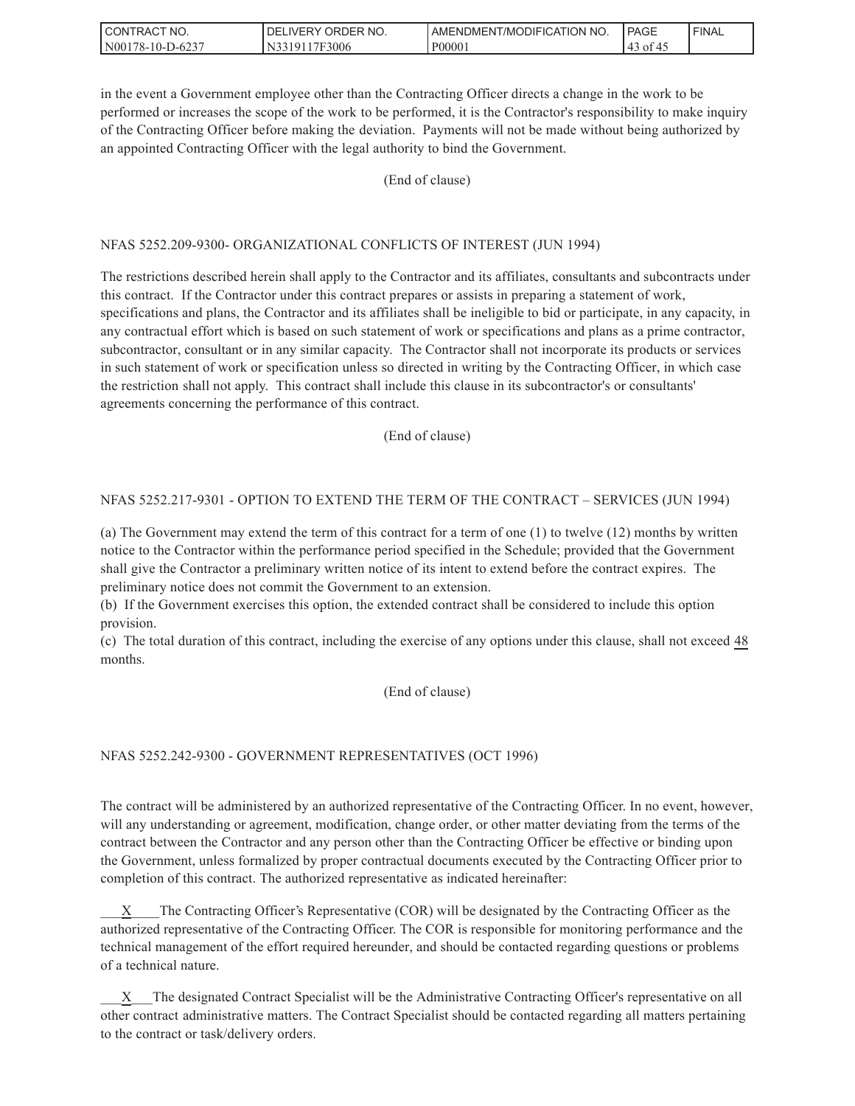| I CONTRACT NO.                       | `NO.<br>LIVERY ORDER<br>DELIV | AMENDMENT/MODIFICATION NO. | <b>PAGE</b>                 | ' FINAL |
|--------------------------------------|-------------------------------|----------------------------|-----------------------------|---------|
| N00<br>D-623 <sup>.</sup><br>78-10-L | 7F3006<br>7F<br>: 3191.       | P0000 <sub>1</sub>         | $\sim$ $\sim$<br>$\cdot$ 01 |         |

in the event a Government employee other than the Contracting Officer directs a change in the work to be performed or increases the scope of the work to be performed, it is the Contractor's responsibility to make inquiry of the Contracting Officer before making the deviation. Payments will not be made without being authorized by an appointed Contracting Officer with the legal authority to bind the Government.

### (End of clause)

### NFAS 5252.209-9300- ORGANIZATIONAL CONFLICTS OF INTEREST (JUN 1994)

The restrictions described herein shall apply to the Contractor and its affiliates, consultants and subcontracts under this contract. If the Contractor under this contract prepares or assists in preparing a statement of work, specifications and plans, the Contractor and its affiliates shall be ineligible to bid or participate, in any capacity, in any contractual effort which is based on such statement of work or specifications and plans as a prime contractor, subcontractor, consultant or in any similar capacity. The Contractor shall not incorporate its products or services in such statement of work or specification unless so directed in writing by the Contracting Officer, in which case the restriction shall not apply. This contract shall include this clause in its subcontractor's or consultants' agreements concerning the performance of this contract.

(End of clause)

### NFAS 5252.217-9301 - OPTION TO EXTEND THE TERM OF THE CONTRACT – SERVICES (JUN 1994)

(a) The Government may extend the term of this contract for a term of one (1) to twelve (12) months by written notice to the Contractor within the performance period specified in the Schedule; provided that the Government shall give the Contractor a preliminary written notice of its intent to extend before the contract expires. The preliminary notice does not commit the Government to an extension.

(b) If the Government exercises this option, the extended contract shall be considered to include this option provision.

(c) The total duration of this contract, including the exercise of any options under this clause, shall not exceed 48 months.

(End of clause)

### NFAS 5252.242-9300 - GOVERNMENT REPRESENTATIVES (OCT 1996)

The contract will be administered by an authorized representative of the Contracting Officer. In no event, however, will any understanding or agreement, modification, change order, or other matter deviating from the terms of the contract between the Contractor and any person other than the Contracting Officer be effective or binding upon the Government, unless formalized by proper contractual documents executed by the Contracting Officer prior to completion of this contract. The authorized representative as indicated hereinafter:

The Contracting Officer's Representative (COR) will be designated by the Contracting Officer as the authorized representative of the Contracting Officer. The COR is responsible for monitoring performance and the technical management of the effort required hereunder, and should be contacted regarding questions or problems of a technical nature.

X The designated Contract Specialist will be the Administrative Contracting Officer's representative on all other contract administrative matters. The Contract Specialist should be contacted regarding all matters pertaining to the contract or task/delivery orders.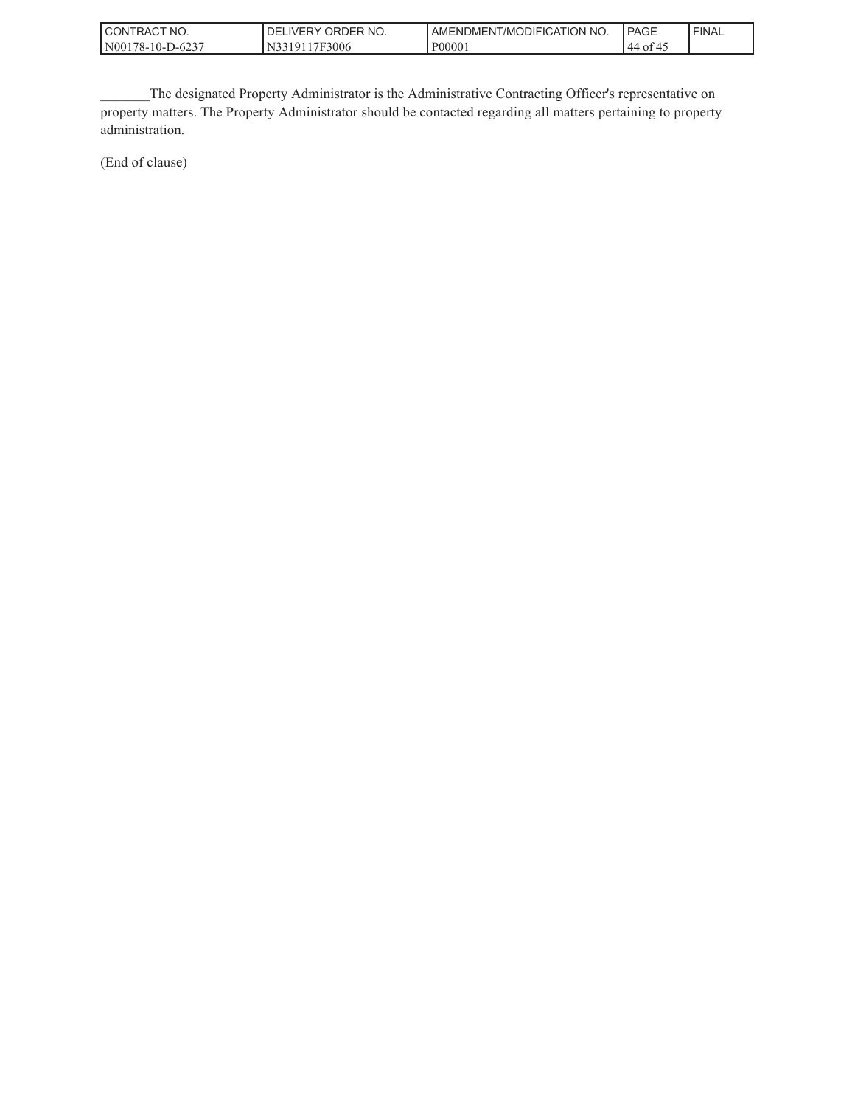| 'NO.<br>CON I<br>I RAL<br>___            | `NO.<br>DE<br>ופר<br>$\ldots$ $NFT$<br>H | 'ON NO.<br><b>CONFIC</b><br>AMENI<br>' JM⊢N ∟<br>/ML | <b>PAGE</b> | <b>FINAL</b> |
|------------------------------------------|------------------------------------------|------------------------------------------------------|-------------|--------------|
| $\sim$<br>N001<br>$(8-10-1)$<br>$1 - 02$ | `3006<br>N                               | $P0000_1$                                            | 44<br>V1.   |              |

\_\_\_\_\_\_\_The designated Property Administrator is the Administrative Contracting Officer's representative on property matters. The Property Administrator should be contacted regarding all matters pertaining to property administration.

(End of clause)